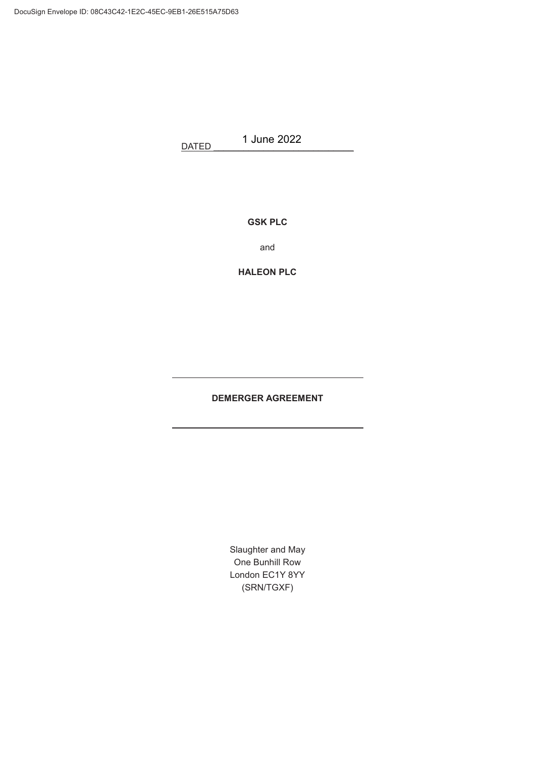DATED 1 June 2022

**GSK PLC**

and

**HALEON PLC**

# **DEMERGER AGREEMENT**

<u> 1980 - Johann Barn, mars ann an t-Amhain Aonaich an t-Aonaich an t-Aonaich ann an t-Aonaich ann an t-Aonaich</u>

Slaughter and May One Bunhill Row London EC1Y 8YY (SRN/TGXF)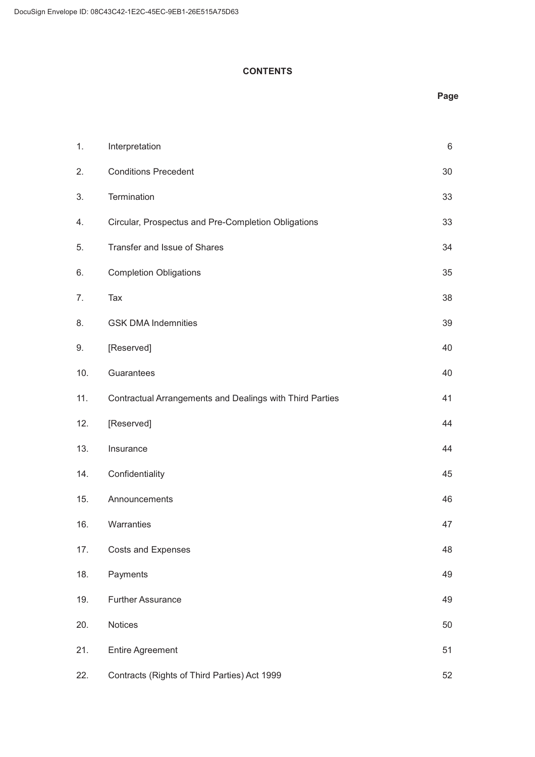### **CONTENTS**

# **Page**

| 1.  | Interpretation                                           | $\,6$ |
|-----|----------------------------------------------------------|-------|
| 2.  | <b>Conditions Precedent</b>                              | 30    |
| 3.  | Termination                                              | 33    |
| 4.  | Circular, Prospectus and Pre-Completion Obligations      | 33    |
| 5.  | Transfer and Issue of Shares                             | 34    |
| 6.  | <b>Completion Obligations</b>                            | 35    |
| 7.  | Tax                                                      | 38    |
| 8.  | <b>GSK DMA Indemnities</b>                               | 39    |
| 9.  | [Reserved]                                               | 40    |
| 10. | Guarantees                                               | 40    |
| 11. | Contractual Arrangements and Dealings with Third Parties | 41    |
| 12. | [Reserved]                                               | 44    |
| 13. | Insurance                                                | 44    |
| 14. | Confidentiality                                          | 45    |
| 15. | Announcements                                            | 46    |
| 16. | Warranties                                               | 47    |
| 17. | <b>Costs and Expenses</b>                                | 48    |
| 18. | Payments                                                 | 49    |
| 19. | <b>Further Assurance</b>                                 | 49    |
| 20. | Notices                                                  | 50    |
| 21. | <b>Entire Agreement</b>                                  | 51    |
| 22. | Contracts (Rights of Third Parties) Act 1999             | 52    |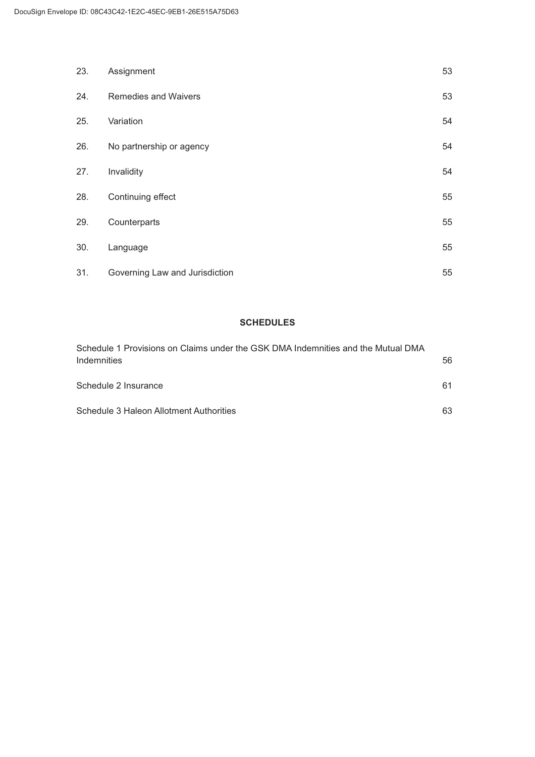| 23. | Assignment                     | 53 |
|-----|--------------------------------|----|
| 24. | Remedies and Waivers           | 53 |
| 25. | Variation                      | 54 |
| 26. | No partnership or agency       | 54 |
| 27. | Invalidity                     | 54 |
| 28. | Continuing effect              | 55 |
| 29. | Counterparts                   | 55 |
| 30. | Language                       | 55 |
| 31. | Governing Law and Jurisdiction | 55 |

# **SCHEDULES**

| Schedule 1 Provisions on Claims under the GSK DMA Indemnities and the Mutual DMA |    |
|----------------------------------------------------------------------------------|----|
| Indemnities                                                                      | 56 |
| Schedule 2 Insurance                                                             | 61 |
| Schedule 3 Haleon Allotment Authorities                                          | 63 |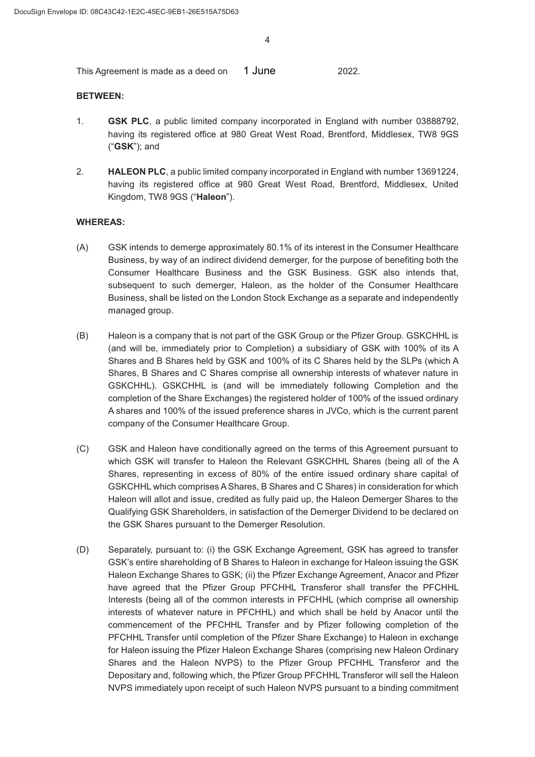This Agreement is made as a deed on **1 June** 2022. 1 June

#### **BETWEEN:**

- 1. **GSK PLC**, a public limited company incorporated in England with number 03888792, having its registered office at 980 Great West Road, Brentford, Middlesex, TW8 9GS ("**GSK**"); and
- 2. **HALEON PLC**, a public limited company incorporated in England with number 13691224, having its registered office at 980 Great West Road, Brentford, Middlesex, United Kingdom, TW8 9GS ("**Haleon**").

#### **WHEREAS:**

- (A) GSK intends to demerge approximately 80.1% of its interest in the Consumer Healthcare Business, by way of an indirect dividend demerger, for the purpose of benefiting both the Consumer Healthcare Business and the GSK Business. GSK also intends that, subsequent to such demerger, Haleon, as the holder of the Consumer Healthcare Business, shall be listed on the London Stock Exchange as a separate and independently managed group.
- % Haleon is a company that is not part of the GSK Group or the Pfizer Group. GSKCHHL is (and will be, immediately prior to Completion) a subsidiary of GSK with 100% of its A Shares and B Shares held by GSK and 100% of its C Shares held by the SLPs (which A Shares, B Shares and C Shares comprise all ownership interests of whatever nature in GSKCHHL). GSKCHHL is (and will be immediately following Completion and the completion of the Share Exchanges) the registered holder of 100% of the issued ordinary A shares and 100% of the issued preference shares in JVCo, which is the current parent company of the Consumer Healthcare Group.
- & GSK and Haleon have conditionally agreed on the terms of this Agreement pursuant to which GSK will transfer to Haleon the Relevant GSKCHHL Shares (being all of the A Shares, representing in excess of 80% of the entire issued ordinary share capital of GSKCHHL which comprises A Shares, B Shares and C Shares) in consideration for which Haleon will allot and issue, credited as fully paid up, the Haleon Demerger Shares to the Qualifying GSK Shareholders, in satisfaction of the Demerger Dividend to be declared on the GSK Shares pursuant to the Demerger Resolution.
- (D) Separately, pursuant to: (i) the GSK Exchange Agreement, GSK has agreed to transfer GSK's entire shareholding of B Shares to Haleon in exchange for Haleon issuing the GSK Haleon Exchange Shares to GSK; (ii) the Pfizer Exchange Agreement, Anacor and Pfizer have agreed that the Pfizer Group PFCHHL Transferor shall transfer the PFCHHL Interests (being all of the common interests in PFCHHL (which comprise all ownership interests of whatever nature in PFCHHL) and which shall be held by Anacor until the commencement of the PFCHHL Transfer and by Pfizer following completion of the PFCHHL Transfer until completion of the Pfizer Share Exchange) to Haleon in exchange for Haleon issuing the Pfizer Haleon Exchange Shares (comprising new Haleon Ordinary Shares and the Haleon NVPS) to the Pfizer Group PFCHHL Transferor and the Depositary and, following which, the Pfizer Group PFCHHL Transferor will sell the Haleon NVPS immediately upon receipt of such Haleon NVPS pursuant to a binding commitment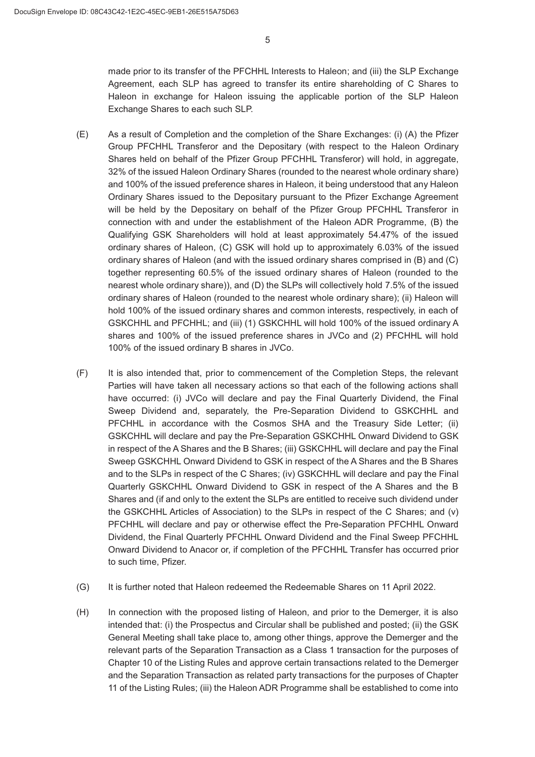made prior to its transfer of the PFCHHL Interests to Haleon; and (iii) the SLP Exchange Agreement, each SLP has agreed to transfer its entire shareholding of C Shares to Haleon in exchange for Haleon issuing the applicable portion of the SLP Haleon Exchange Shares to each such SLP.

- (E) As a result of Completion and the completion of the Share Exchanges: (i) (A) the Pfizer Group PFCHHL Transferor and the Depositary (with respect to the Haleon Ordinary Shares held on behalf of the Pfizer Group PFCHHL Transferor) will hold, in aggregate, 32% of the issued Haleon Ordinary Shares (rounded to the nearest whole ordinary share) and 100% of the issued preference shares in Haleon, it being understood that any Haleon Ordinary Shares issued to the Depositary pursuant to the Pfizer Exchange Agreement will be held by the Depositary on behalf of the Pfizer Group PFCHHL Transferor in connection with and under the establishment of the Haleon ADR Programme, (B) the Qualifying GSK Shareholders will hold at least approximately 54.47% of the issued ordinary shares of Haleon, (C) GSK will hold up to approximately 6.03% of the issued ordinary shares of Haleon (and with the issued ordinary shares comprised in (B) and (C) together representing 60.5% of the issued ordinary shares of Haleon (rounded to the nearest whole ordinary share)), and (D) the SLPs will collectively hold 7.5% of the issued ordinary shares of Haleon (rounded to the nearest whole ordinary share); (ii) Haleon will hold 100% of the issued ordinary shares and common interests, respectively, in each of GSKCHHL and PFCHHL; and (iii) (1) GSKCHHL will hold 100% of the issued ordinary A shares and 100% of the issued preference shares in JVCo and (2) PFCHHL will hold 100% of the issued ordinary B shares in JVCo.
- ) It is also intended that, prior to commencement of the Completion Steps, the relevant Parties will have taken all necessary actions so that each of the following actions shall have occurred: (i) JVCo will declare and pay the Final Quarterly Dividend, the Final Sweep Dividend and, separately, the Pre-Separation Dividend to GSKCHHL and PFCHHL in accordance with the Cosmos SHA and the Treasury Side Letter; (ii) GSKCHHL will declare and pay the Pre-Separation GSKCHHL Onward Dividend to GSK in respect of the A Shares and the B Shares; (iii) GSKCHHL will declare and pay the Final Sweep GSKCHHL Onward Dividend to GSK in respect of the A Shares and the B Shares and to the SLPs in respect of the C Shares; (iv) GSKCHHL will declare and pay the Final Quarterly GSKCHHL Onward Dividend to GSK in respect of the A Shares and the B Shares and (if and only to the extent the SLPs are entitled to receive such dividend under the GSKCHHL Articles of Association) to the SLPs in respect of the C Shares; and (v) PFCHHL will declare and pay or otherwise effect the Pre-Separation PFCHHL Onward Dividend, the Final Quarterly PFCHHL Onward Dividend and the Final Sweep PFCHHL Onward Dividend to Anacor or, if completion of the PFCHHL Transfer has occurred prior to such time, Pfizer.
- (G) It is further noted that Haleon redeemed the Redeemable Shares on 11 April 2022.
- (H) In connection with the proposed listing of Haleon, and prior to the Demerger, it is also intended that: (i) the Prospectus and Circular shall be published and posted; (ii) the GSK General Meeting shall take place to, among other things, approve the Demerger and the relevant parts of the Separation Transaction as a Class 1 transaction for the purposes of Chapter 10 of the Listing Rules and approve certain transactions related to the Demerger and the Separation Transaction as related party transactions for the purposes of Chapter 11 of the Listing Rules; (iii) the Haleon ADR Programme shall be established to come into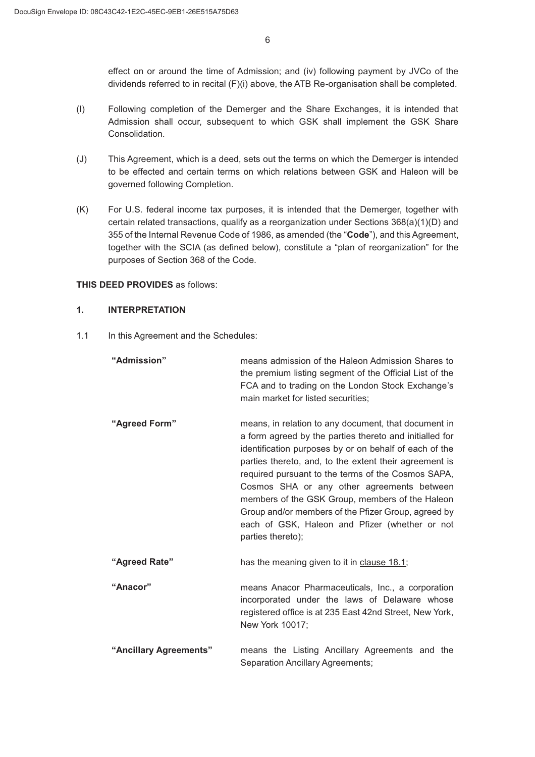effect on or around the time of Admission; and (iv) following payment by JVCo of the dividends referred to in recital (F)(i) above, the ATB Re-organisation shall be completed.

- , Following completion of the Demerger and the Share Exchanges, it is intended that Admission shall occur, subsequent to which GSK shall implement the GSK Share Consolidation.
- (J) This Agreement, which is a deed, sets out the terms on which the Demerger is intended to be effected and certain terms on which relations between GSK and Haleon will be governed following Completion.
- . For U.S. federal income tax purposes, it is intended that the Demerger, together with certain related transactions, qualify as a reorganization under Sections 368(a)(1)(D) and 355 of the Internal Revenue Code of 1986, as amended (the "**Code**"), and this Agreement, together with the SCIA (as defined below), constitute a "plan of reorganization" for the purposes of Section 368 of the Code.

#### **THIS DEED PROVIDES** as follows:

#### **INTERPRETATION**

1.1 In this Agreement and the Schedules:

| "Admission"            | means admission of the Haleon Admission Shares to<br>the premium listing segment of the Official List of the<br>FCA and to trading on the London Stock Exchange's<br>main market for listed securities;                                                                                                                                                                                                                                                                                                                  |
|------------------------|--------------------------------------------------------------------------------------------------------------------------------------------------------------------------------------------------------------------------------------------------------------------------------------------------------------------------------------------------------------------------------------------------------------------------------------------------------------------------------------------------------------------------|
| "Agreed Form"          | means, in relation to any document, that document in<br>a form agreed by the parties thereto and initialled for<br>identification purposes by or on behalf of each of the<br>parties thereto, and, to the extent their agreement is<br>required pursuant to the terms of the Cosmos SAPA,<br>Cosmos SHA or any other agreements between<br>members of the GSK Group, members of the Haleon<br>Group and/or members of the Pfizer Group, agreed by<br>each of GSK, Haleon and Pfizer (whether or not<br>parties thereto); |
| "Agreed Rate"          | has the meaning given to it in clause 18.1;                                                                                                                                                                                                                                                                                                                                                                                                                                                                              |
| "Anacor"               | means Anacor Pharmaceuticals, Inc., a corporation<br>incorporated under the laws of Delaware whose<br>registered office is at 235 East 42nd Street, New York,<br>New York 10017;                                                                                                                                                                                                                                                                                                                                         |
| "Ancillary Agreements" | means the Listing Ancillary Agreements and the<br>Separation Ancillary Agreements;                                                                                                                                                                                                                                                                                                                                                                                                                                       |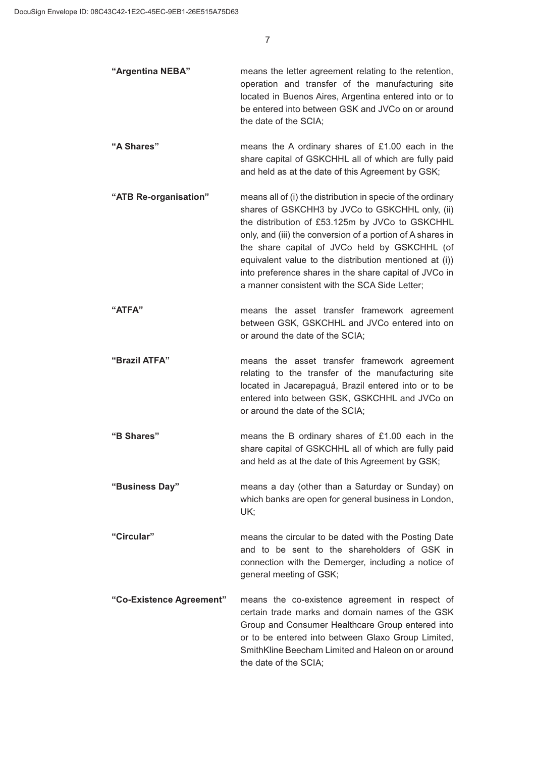| "Argentina NEBA" | means the letter agreement relating to the retention, |
|------------------|-------------------------------------------------------|
|                  | operation and transfer of the manufacturing site      |
|                  | located in Buenos Aires, Argentina entered into or to |
|                  | be entered into between GSK and JVCo on or around     |
|                  | the date of the SCIA;                                 |

**"A Shares"** means the A ordinary shares of £1.00 each in the share capital of GSKCHHL all of which are fully paid and held as at the date of this Agreement by GSK;

- **"ATB Re-organisation"** means all of (i) the distribution in specie of the ordinary shares of GSKCHH3 by JVCo to GSKCHHL only, (ii) the distribution of £53.125m by JVCo to GSKCHHL only, and (iii) the conversion of a portion of A shares in the share capital of JVCo held by GSKCHHL (of equivalent value to the distribution mentioned at (i)) into preference shares in the share capital of JVCo in a manner consistent with the SCA Side Letter;
- **"ATFA"** means the asset transfer framework agreement between GSK, GSKCHHL and JVCo entered into on or around the date of the SCIA;
- **"Brazil ATFA"** means the asset transfer framework agreement relating to the transfer of the manufacturing site located in Jacarepaguá, Brazil entered into or to be entered into between GSK, GSKCHHL and JVCo on or around the date of the SCIA;
- **"B Shares"** means the B ordinary shares of £1.00 each in the share capital of GSKCHHL all of which are fully paid and held as at the date of this Agreement by GSK;
- **"Business Day"** means a day (other than a Saturday or Sunday) on which banks are open for general business in London, UK;
- **"Circular"** means the circular to be dated with the Posting Date and to be sent to the shareholders of GSK in connection with the Demerger, including a notice of general meeting of GSK;
- **"Co-Existence Agreement"** means the co-existence agreement in respect of certain trade marks and domain names of the GSK Group and Consumer Healthcare Group entered into or to be entered into between Glaxo Group Limited, SmithKline Beecham Limited and Haleon on or around the date of the SCIA;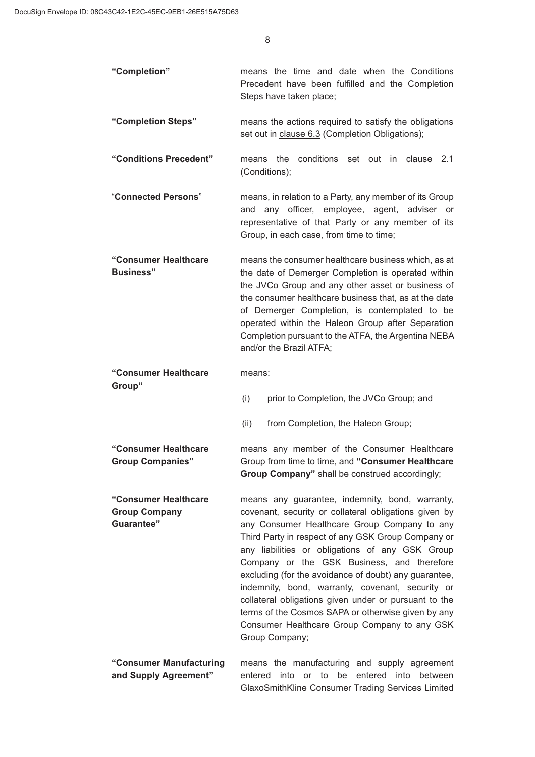| "Completion"                                                       | means the time and date when the Conditions<br>Precedent have been fulfilled and the Completion<br>Steps have taken place;                                                                                                                                                                                                                                                                                                                                                                                                                                                                                    |
|--------------------------------------------------------------------|---------------------------------------------------------------------------------------------------------------------------------------------------------------------------------------------------------------------------------------------------------------------------------------------------------------------------------------------------------------------------------------------------------------------------------------------------------------------------------------------------------------------------------------------------------------------------------------------------------------|
| "Completion Steps"                                                 | means the actions required to satisfy the obligations<br>set out in clause 6.3 (Completion Obligations);                                                                                                                                                                                                                                                                                                                                                                                                                                                                                                      |
| "Conditions Precedent"                                             | conditions set out in clause 2.1<br>the<br>means<br>(Conditions);                                                                                                                                                                                                                                                                                                                                                                                                                                                                                                                                             |
| "Connected Persons"                                                | means, in relation to a Party, any member of its Group<br>any officer, employee, agent, adviser or<br>and<br>representative of that Party or any member of its<br>Group, in each case, from time to time;                                                                                                                                                                                                                                                                                                                                                                                                     |
| "Consumer Healthcare<br><b>Business"</b>                           | means the consumer healthcare business which, as at<br>the date of Demerger Completion is operated within<br>the JVCo Group and any other asset or business of<br>the consumer healthcare business that, as at the date<br>of Demerger Completion, is contemplated to be<br>operated within the Haleon Group after Separation<br>Completion pursuant to the ATFA, the Argentina NEBA<br>and/or the Brazil ATFA;                                                                                                                                                                                               |
| "Consumer Healthcare<br>Group"                                     | means:                                                                                                                                                                                                                                                                                                                                                                                                                                                                                                                                                                                                        |
|                                                                    | (i)<br>prior to Completion, the JVCo Group; and                                                                                                                                                                                                                                                                                                                                                                                                                                                                                                                                                               |
|                                                                    | (ii)<br>from Completion, the Haleon Group;                                                                                                                                                                                                                                                                                                                                                                                                                                                                                                                                                                    |
| "Consumer Healthcare<br><b>Group Companies"</b>                    | means any member of the Consumer Healthcare<br>Group from time to time, and "Consumer Healthcare<br>Group Company" shall be construed accordingly;                                                                                                                                                                                                                                                                                                                                                                                                                                                            |
| "Consumer Healthcare<br><b>Group Company</b><br><b>Guarantee</b> " | means any guarantee, indemnity, bond, warranty,<br>covenant, security or collateral obligations given by<br>any Consumer Healthcare Group Company to any<br>Third Party in respect of any GSK Group Company or<br>any liabilities or obligations of any GSK Group<br>Company or the GSK Business, and therefore<br>excluding (for the avoidance of doubt) any guarantee,<br>indemnity, bond, warranty, covenant, security or<br>collateral obligations given under or pursuant to the<br>terms of the Cosmos SAPA or otherwise given by any<br>Consumer Healthcare Group Company to any GSK<br>Group Company; |
| "Consumer Manufacturing<br>and Supply Agreement"                   | means the manufacturing and supply agreement<br>entered into or to be<br>entered into between<br>GlaxoSmithKline Consumer Trading Services Limited                                                                                                                                                                                                                                                                                                                                                                                                                                                            |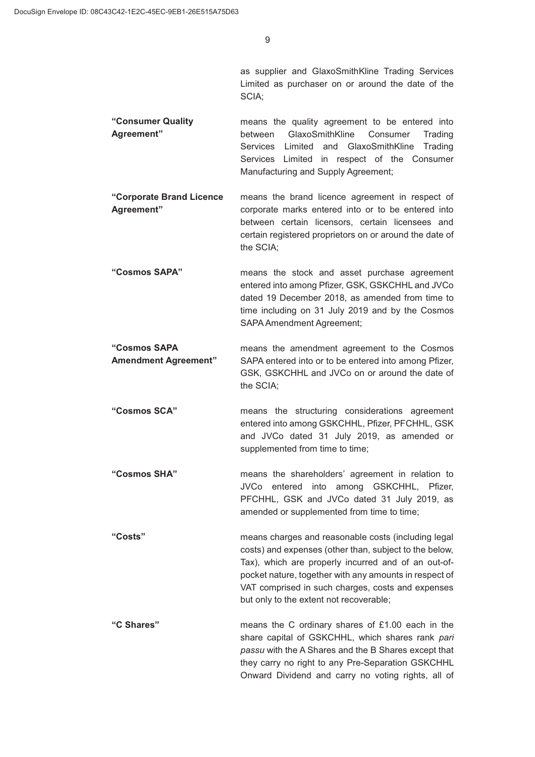as supplier and GlaxoSmithKline Trading Services Limited as purchaser on or around the date of the SCIA;

- **"Consumer Quality Agreement"** means the quality agreement to be entered into between GlaxoSmithKline Consumer Trading Services Limited and GlaxoSmithKline Trading Services Limited in respect of the Consumer Manufacturing and Supply Agreement;
- **"Corporate Brand Licence Agreement"** means the brand licence agreement in respect of corporate marks entered into or to be entered into between certain licensors, certain licensees and certain registered proprietors on or around the date of the SCIA;
- **"Cosmos SAPA"** means the stock and asset purchase agreement entered into among Pfizer, GSK, GSKCHHL and JVCo dated 19 December 2018, as amended from time to time including on 31 July 2019 and by the Cosmos SAPA Amendment Agreement;
- **"Cosmos SAPA Amendment Agreement"** means the amendment agreement to the Cosmos SAPA entered into or to be entered into among Pfizer, GSK, GSKCHHL and JVCo on or around the date of the SCIA;
- **"Cosmos SCA"** means the structuring considerations agreement entered into among GSKCHHL, Pfizer, PFCHHL, GSK and JVCo dated 31 July 2019, as amended or supplemented from time to time:
- **"Cosmos SHA"** means the shareholders' agreement in relation to JVCo entered into among GSKCHHL, Pfizer, PFCHHL, GSK and JVCo dated 31 July 2019, as amended or supplemented from time to time;
- **"Costs"** means charges and reasonable costs (including legal costs) and expenses (other than, subject to the below, Tax), which are properly incurred and of an out-ofpocket nature, together with any amounts in respect of VAT comprised in such charges, costs and expenses but only to the extent not recoverable;
- **"C Shares"** means the C ordinary shares of £1.00 each in the share capital of GSKCHHL, which shares rank *pari passu* with the A Shares and the B Shares except that they carry no right to any Pre-Separation GSKCHHL Onward Dividend and carry no voting rights, all of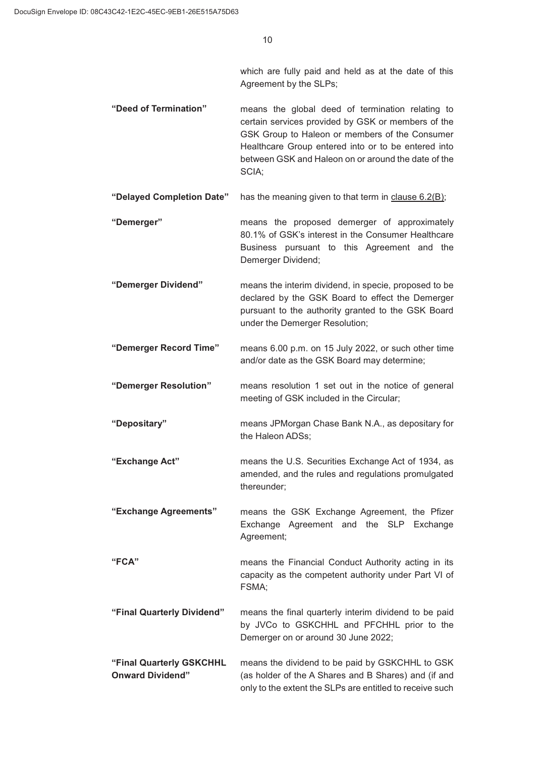which are fully paid and held as at the date of this Agreement by the SLPs;

- **"Deed of Termination"** means the global deed of termination relating to certain services provided by GSK or members of the GSK Group to Haleon or members of the Consumer Healthcare Group entered into or to be entered into between GSK and Haleon on or around the date of the SCIA;
- **"Delayed Completion Date"** has the meaning given to that term in clause 6.2(B);
- **"Demerger"** means the proposed demerger of approximately 80.1% of GSK's interest in the Consumer Healthcare Business pursuant to this Agreement and the Demerger Dividend;
- **"Demerger Dividend"** means the interim dividend, in specie, proposed to be declared by the GSK Board to effect the Demerger pursuant to the authority granted to the GSK Board under the Demerger Resolution;
- **"Demerger Record Time"** means 6.00 p.m. on 15 July 2022, or such other time and/or date as the GSK Board may determine;
- **"Demerger Resolution"** means resolution 1 set out in the notice of general meeting of GSK included in the Circular;
- **"Depositary"** means JPMorgan Chase Bank N.A., as depositary for the Haleon ADSs;
- **"Exchange Act"** means the U.S. Securities Exchange Act of 1934, as amended, and the rules and regulations promulgated thereunder;
- **"Exchange Agreements"** means the GSK Exchange Agreement, the Pfizer Exchange Agreement and the SLP Exchange Agreement;
- **"FCA"** means the Financial Conduct Authority acting in its capacity as the competent authority under Part VI of FSMA;
- **"Final Quarterly Dividend"** means the final quarterly interim dividend to be paid by JVCo to GSKCHHL and PFCHHL prior to the Demerger on or around 30 June 2022;
- **"Final Quarterly GSKCHHL Onward Dividend"** means the dividend to be paid by GSKCHHL to GSK (as holder of the A Shares and B Shares) and (if and only to the extent the SLPs are entitled to receive such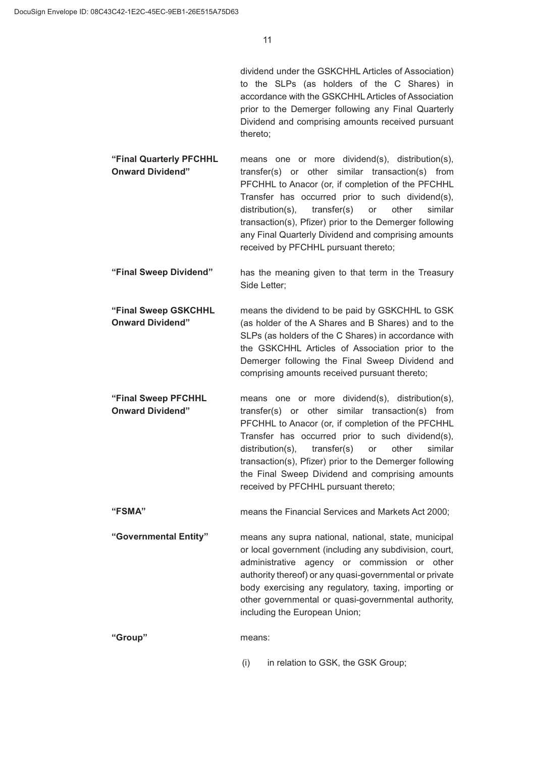dividend under the GSKCHHL Articles of Association) to the SLPs (as holders of the C Shares) in accordance with the GSKCHHL Articles of Association prior to the Demerger following any Final Quarterly Dividend and comprising amounts received pursuant thereto;

- **"Final Quarterly PFCHHL Onward Dividend"** means one or more dividend(s), distribution(s), transfer(s) or other similar transaction(s) from PFCHHL to Anacor (or, if completion of the PFCHHL Transfer has occurred prior to such dividend(s), distribution(s), transfer(s) or other similar transaction(s), Pfizer) prior to the Demerger following any Final Quarterly Dividend and comprising amounts received by PFCHHL pursuant thereto;
- **"Final Sweep Dividend"** has the meaning given to that term in the Treasury Side Letter;
- **"Final Sweep GSKCHHL Onward Dividend"** means the dividend to be paid by GSKCHHL to GSK (as holder of the A Shares and B Shares) and to the SLPs (as holders of the C Shares) in accordance with the GSKCHHL Articles of Association prior to the Demerger following the Final Sweep Dividend and comprising amounts received pursuant thereto;
- **"Final Sweep PFCHHL Onward Dividend"** means one or more dividend(s), distribution(s), transfer(s) or other similar transaction(s) from PFCHHL to Anacor (or, if completion of the PFCHHL Transfer has occurred prior to such dividend(s), distribution(s), transfer(s) or other similar transaction(s), Pfizer) prior to the Demerger following the Final Sweep Dividend and comprising amounts received by PFCHHL pursuant thereto;
- **"FSMA"** means the Financial Services and Markets Act 2000;
- **"Governmental Entity"** means any supra national, national, state, municipal or local government (including any subdivision, court, administrative agency or commission or other authority thereof) or any quasi-governmental or private body exercising any regulatory, taxing, importing or other governmental or quasi-governmental authority, including the European Union;
- **"Group"** means:
	- (i) in relation to GSK, the GSK Group;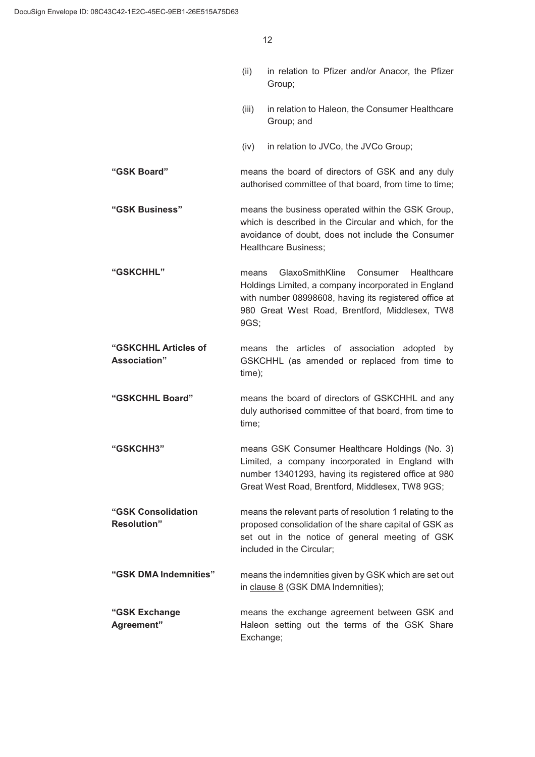| (ii) | in relation to Pfizer and/or Anacor, the Pfizer |  |  |  |
|------|-------------------------------------------------|--|--|--|
|      | Group;                                          |  |  |  |

- (iii) in relation to Haleon, the Consumer Healthcare Group; and
- (iv) in relation to JVCo, the JVCo Group;
- **"GSK Board"** means the board of directors of GSK and any duly authorised committee of that board, from time to time;
- **"GSK Business"** means the business operated within the GSK Group, which is described in the Circular and which, for the avoidance of doubt, does not include the Consumer Healthcare Business;
- **"GSKCHHL"** means GlaxoSmithKline Consumer Healthcare Holdings Limited, a company incorporated in England with number 08998608, having its registered office at 980 Great West Road, Brentford, Middlesex, TW8 9GS;
- **"GSKCHHL Articles of Association"** means the articles of association adopted by GSKCHHL (as amended or replaced from time to time);
- **"GSKCHHL Board"** means the board of directors of GSKCHHL and any duly authorised committee of that board, from time to time;
- **"GSKCHH3"** means GSK Consumer Healthcare Holdings (No. 3) Limited, a company incorporated in England with number 13401293, having its registered office at 980 Great West Road, Brentford, Middlesex, TW8 9GS;
- **"GSK Consolidation Resolution"** means the relevant parts of resolution 1 relating to the proposed consolidation of the share capital of GSK as set out in the notice of general meeting of GSK included in the Circular;

**"GSK DMA Indemnities"** means the indemnities given by GSK which are set out in clause 8 (GSK DMA Indemnities);

**"GSK Exchange Agreement"** means the exchange agreement between GSK and Haleon setting out the terms of the GSK Share Exchange;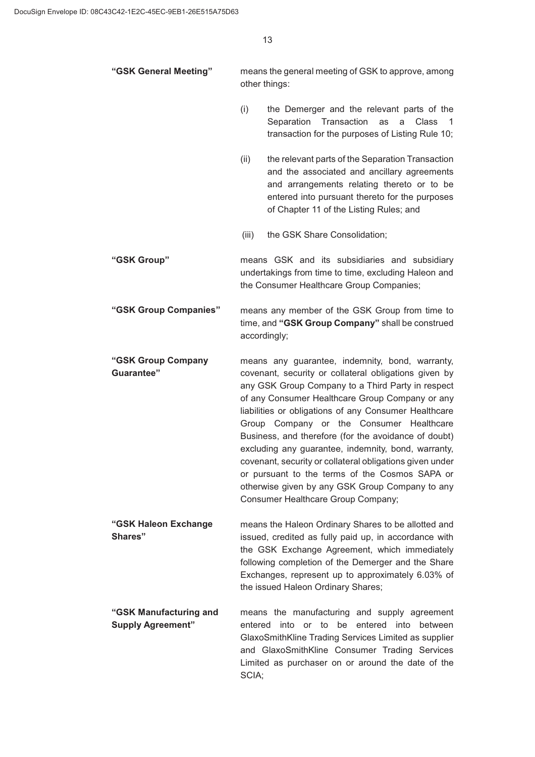| "GSK General Meeting" | means the general meeting of GSK to approve, among |  |
|-----------------------|----------------------------------------------------|--|
|                       | other things:                                      |  |

- $(i)$  the Demerger and the relevant parts of the Separation Transaction as a Class 1 transaction for the purposes of Listing Rule 10;
- $(ii)$  the relevant parts of the Separation Transaction and the associated and ancillary agreements and arrangements relating thereto or to be entered into pursuant thereto for the purposes of Chapter 11 of the Listing Rules; and
- (iii) the GSK Share Consolidation:
- **"GSK Group"** means GSK and its subsidiaries and subsidiary undertakings from time to time, excluding Haleon and the Consumer Healthcare Group Companies;

**"GSK Group Companies"** means any member of the GSK Group from time to time, and **"GSK Group Company"** shall be construed accordingly;

- **"GSK Group Company Guarantee"** means any guarantee, indemnity, bond, warranty, covenant, security or collateral obligations given by any GSK Group Company to a Third Party in respect of any Consumer Healthcare Group Company or any liabilities or obligations of any Consumer Healthcare Group Company or the Consumer Healthcare Business, and therefore (for the avoidance of doubt) excluding any guarantee, indemnity, bond, warranty, covenant, security or collateral obligations given under or pursuant to the terms of the Cosmos SAPA or otherwise given by any GSK Group Company to any Consumer Healthcare Group Company;
- **"GSK Haleon Exchange Shares"** means the Haleon Ordinary Shares to be allotted and issued, credited as fully paid up, in accordance with the GSK Exchange Agreement, which immediately following completion of the Demerger and the Share Exchanges, represent up to approximately 6.03% of the issued Haleon Ordinary Shares;

**"GSK Manufacturing and Supply Agreement"** means the manufacturing and supply agreement entered into or to be entered into between GlaxoSmithKline Trading Services Limited as supplier and GlaxoSmithKline Consumer Trading Services Limited as purchaser on or around the date of the SCIA;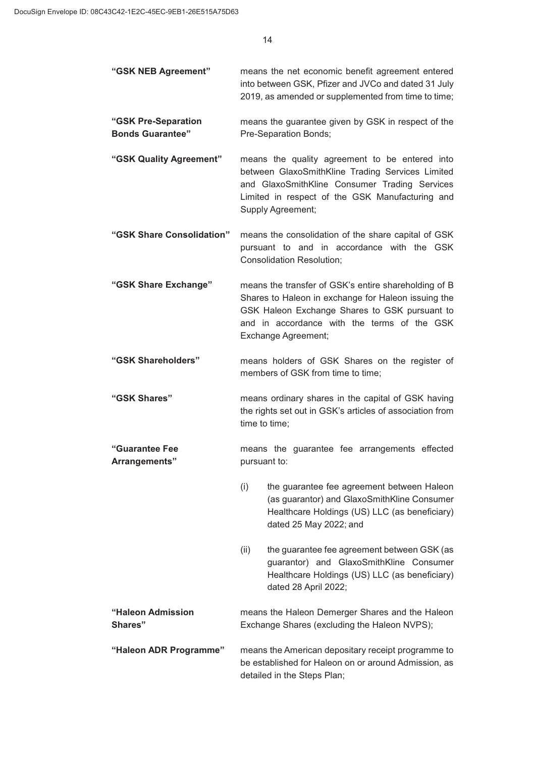| "GSK NEB Agreement"                            | means the net economic benefit agreement entered<br>into between GSK, Pfizer and JVCo and dated 31 July<br>2019, as amended or supplemented from time to time;                                                                     |  |
|------------------------------------------------|------------------------------------------------------------------------------------------------------------------------------------------------------------------------------------------------------------------------------------|--|
| "GSK Pre-Separation<br><b>Bonds Guarantee"</b> | means the guarantee given by GSK in respect of the<br>Pre-Separation Bonds;                                                                                                                                                        |  |
| "GSK Quality Agreement"                        | means the quality agreement to be entered into<br>between GlaxoSmithKline Trading Services Limited<br>and GlaxoSmithKline Consumer Trading Services<br>Limited in respect of the GSK Manufacturing and<br>Supply Agreement;        |  |
| "GSK Share Consolidation"                      | means the consolidation of the share capital of GSK<br>pursuant to and in accordance with the GSK<br><b>Consolidation Resolution;</b>                                                                                              |  |
| "GSK Share Exchange"                           | means the transfer of GSK's entire shareholding of B<br>Shares to Haleon in exchange for Haleon issuing the<br>GSK Haleon Exchange Shares to GSK pursuant to<br>and in accordance with the terms of the GSK<br>Exchange Agreement; |  |
| "GSK Shareholders"                             | means holders of GSK Shares on the register of<br>members of GSK from time to time;                                                                                                                                                |  |
| "GSK Shares"                                   | means ordinary shares in the capital of GSK having<br>the rights set out in GSK's articles of association from<br>time to time;                                                                                                    |  |
| "Guarantee Fee<br>Arrangements"                | means the guarantee fee arrangements effected<br>pursuant to:                                                                                                                                                                      |  |
|                                                | (i)<br>the guarantee fee agreement between Haleon<br>(as guarantor) and GlaxoSmithKline Consumer<br>Healthcare Holdings (US) LLC (as beneficiary)<br>dated 25 May 2022; and                                                        |  |
|                                                | the guarantee fee agreement between GSK (as<br>(ii)<br>guarantor) and GlaxoSmithKline Consumer<br>Healthcare Holdings (US) LLC (as beneficiary)<br>dated 28 April 2022;                                                            |  |
| "Haleon Admission<br>Shares"                   | means the Haleon Demerger Shares and the Haleon<br>Exchange Shares (excluding the Haleon NVPS);                                                                                                                                    |  |
| "Haleon ADR Programme"                         | means the American depositary receipt programme to<br>be established for Haleon on or around Admission, as<br>detailed in the Steps Plan;                                                                                          |  |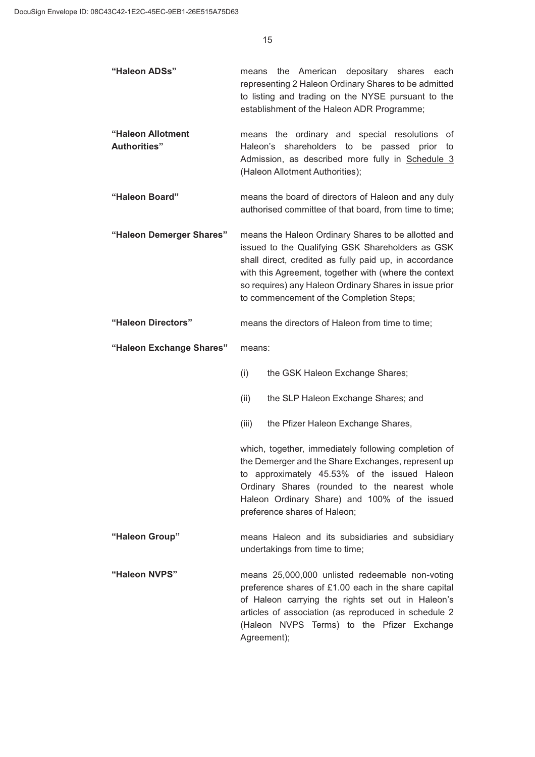| "Haleon ADSs"                            | the American<br>depositary shares<br>each<br>means<br>representing 2 Haleon Ordinary Shares to be admitted<br>to listing and trading on the NYSE pursuant to the<br>establishment of the Haleon ADR Programme;                                                                                                                   |
|------------------------------------------|----------------------------------------------------------------------------------------------------------------------------------------------------------------------------------------------------------------------------------------------------------------------------------------------------------------------------------|
| "Haleon Allotment<br><b>Authorities"</b> | means the ordinary and special resolutions<br>of<br>Haleon's shareholders to<br>be passed prior<br>to<br>Admission, as described more fully in Schedule 3<br>(Haleon Allotment Authorities);                                                                                                                                     |
| "Haleon Board"                           | means the board of directors of Haleon and any duly<br>authorised committee of that board, from time to time;                                                                                                                                                                                                                    |
| "Haleon Demerger Shares"                 | means the Haleon Ordinary Shares to be allotted and<br>issued to the Qualifying GSK Shareholders as GSK<br>shall direct, credited as fully paid up, in accordance<br>with this Agreement, together with (where the context<br>so requires) any Haleon Ordinary Shares in issue prior<br>to commencement of the Completion Steps; |
| "Haleon Directors"                       | means the directors of Haleon from time to time;                                                                                                                                                                                                                                                                                 |
| "Haleon Exchange Shares"                 | means:                                                                                                                                                                                                                                                                                                                           |
|                                          | (i)<br>the GSK Haleon Exchange Shares;                                                                                                                                                                                                                                                                                           |
|                                          | (ii)<br>the SLP Haleon Exchange Shares; and                                                                                                                                                                                                                                                                                      |
|                                          | (iii)<br>the Pfizer Haleon Exchange Shares,                                                                                                                                                                                                                                                                                      |
|                                          | which, together, immediately following completion of<br>the Demerger and the Share Exchanges, represent up<br>to approximately 45.53% of the issued Haleon<br>Ordinary Shares (rounded to the nearest whole<br>Haleon Ordinary Share) and 100% of the issued<br>preference shares of Haleon;                                     |
| "Haleon Group"                           | means Haleon and its subsidiaries and subsidiary<br>undertakings from time to time;                                                                                                                                                                                                                                              |
| "Haleon NVPS"                            | means 25,000,000 unlisted redeemable non-voting<br>preference shares of £1.00 each in the share capital<br>of Haleon carrying the rights set out in Haleon's<br>articles of association (as reproduced in schedule 2<br>(Haleon NVPS Terms) to the Pfizer Exchange                                                               |

Agreement);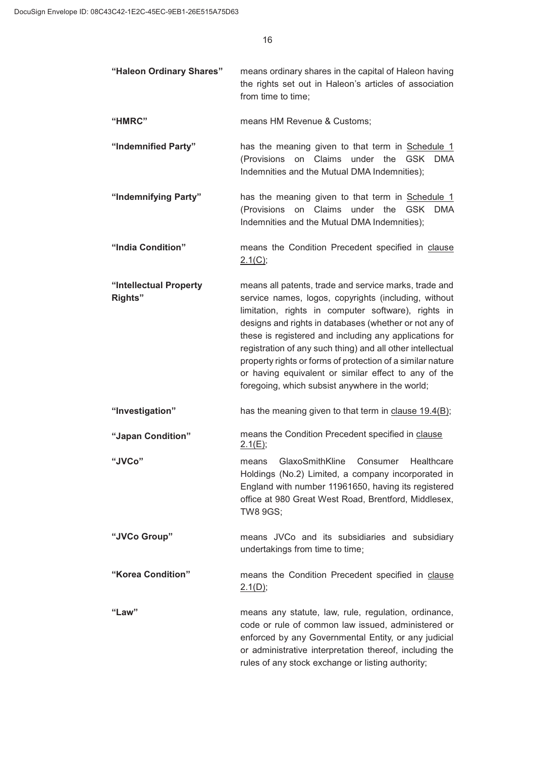| "Haleon Ordinary Shares" | means ordinary shares in the capital of Haleon having<br>the rights set out in Haleon's articles of association<br>from time to time;       |
|--------------------------|---------------------------------------------------------------------------------------------------------------------------------------------|
| "HMRC"                   | means HM Revenue & Customs;                                                                                                                 |
| "Indemnified Party"      | has the meaning given to that term in Schedule 1<br>(Provisions on Claims under the GSK DMA<br>Indemnities and the Mutual DMA Indemnities); |

**"Indemnifying Party"** has the meaning given to that term in Schedule 1 (Provisions on Claims under the GSK DMA Indemnities and the Mutual DMA Indemnities);

**"India Condition"** means the Condition Precedent specified in clause  $2.1(C);$ 

**"Intellectual Property Rights"** means all patents, trade and service marks, trade and service names, logos, copyrights (including, without limitation, rights in computer software), rights in designs and rights in databases (whether or not any of these is registered and including any applications for registration of any such thing) and all other intellectual property rights or forms of protection of a similar nature or having equivalent or similar effect to any of the foregoing, which subsist anywhere in the world;

**"Investigation"** has the meaning given to that term in clause 19.4(B);

**"Japan Condition"** means the Condition Precedent specified in clause 2.1(E);

**"JVCo"** means GlaxoSmithKline Consumer Healthcare Holdings (No.2) Limited, a company incorporated in England with number 11961650, having its registered office at 980 Great West Road, Brentford, Middlesex, TW8 9GS;

**"JVCo Group"** means JVCo and its subsidiaries and subsidiary undertakings from time to time;

**"Korea Condition"** means the Condition Precedent specified in clause 2.1(D);

**"Law"** means any statute, law, rule, regulation, ordinance, code or rule of common law issued, administered or enforced by any Governmental Entity, or any judicial or administrative interpretation thereof, including the rules of any stock exchange or listing authority;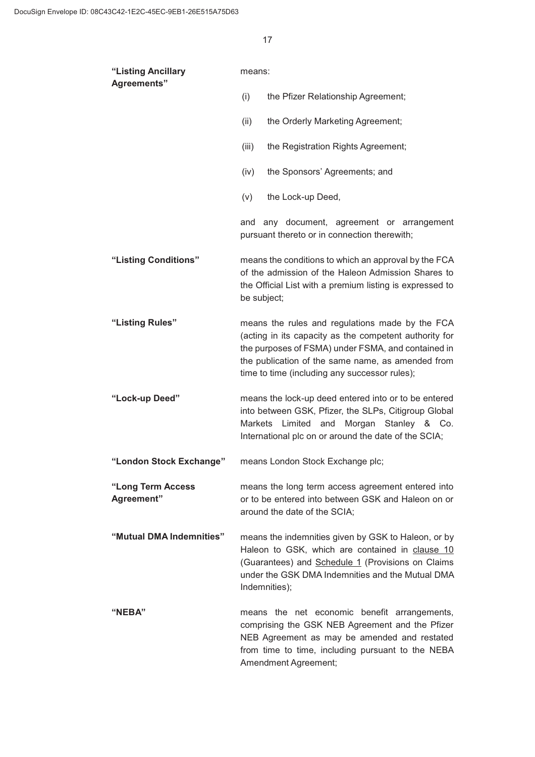| "Listing Ancillary<br>Agreements" | means:                                                                                                                                                                                                                                                                |  |  |
|-----------------------------------|-----------------------------------------------------------------------------------------------------------------------------------------------------------------------------------------------------------------------------------------------------------------------|--|--|
|                                   | (i)<br>the Pfizer Relationship Agreement;                                                                                                                                                                                                                             |  |  |
|                                   | (ii)<br>the Orderly Marketing Agreement;                                                                                                                                                                                                                              |  |  |
|                                   | (iii)<br>the Registration Rights Agreement;                                                                                                                                                                                                                           |  |  |
|                                   | (iv)<br>the Sponsors' Agreements; and                                                                                                                                                                                                                                 |  |  |
|                                   | (v)<br>the Lock-up Deed,                                                                                                                                                                                                                                              |  |  |
|                                   | and any document, agreement or arrangement<br>pursuant thereto or in connection therewith;                                                                                                                                                                            |  |  |
| "Listing Conditions"              | means the conditions to which an approval by the FCA<br>of the admission of the Haleon Admission Shares to<br>the Official List with a premium listing is expressed to<br>be subject;                                                                                 |  |  |
| "Listing Rules"                   | means the rules and regulations made by the FCA<br>(acting in its capacity as the competent authority for<br>the purposes of FSMA) under FSMA, and contained in<br>the publication of the same name, as amended from<br>time to time (including any successor rules); |  |  |
| "Lock-up Deed"                    | means the lock-up deed entered into or to be entered<br>into between GSK, Pfizer, the SLPs, Citigroup Global<br>Morgan Stanley & Co.<br>Limited<br>and<br>Markets<br>International plc on or around the date of the SCIA;                                             |  |  |
| "London Stock Exchange"           | means London Stock Exchange plc;                                                                                                                                                                                                                                      |  |  |
| "Long Term Access<br>Agreement"   | means the long term access agreement entered into<br>or to be entered into between GSK and Haleon on or<br>around the date of the SCIA;                                                                                                                               |  |  |
| "Mutual DMA Indemnities"          | means the indemnities given by GSK to Haleon, or by<br>Haleon to GSK, which are contained in clause 10<br>(Guarantees) and Schedule 1 (Provisions on Claims<br>under the GSK DMA Indemnities and the Mutual DMA<br>Indemnities);                                      |  |  |
| "NEBA"                            | means the net economic benefit arrangements,<br>comprising the GSK NEB Agreement and the Pfizer<br>NEB Agreement as may be amended and restated<br>from time to time, including pursuant to the NEBA<br>Amendment Agreement;                                          |  |  |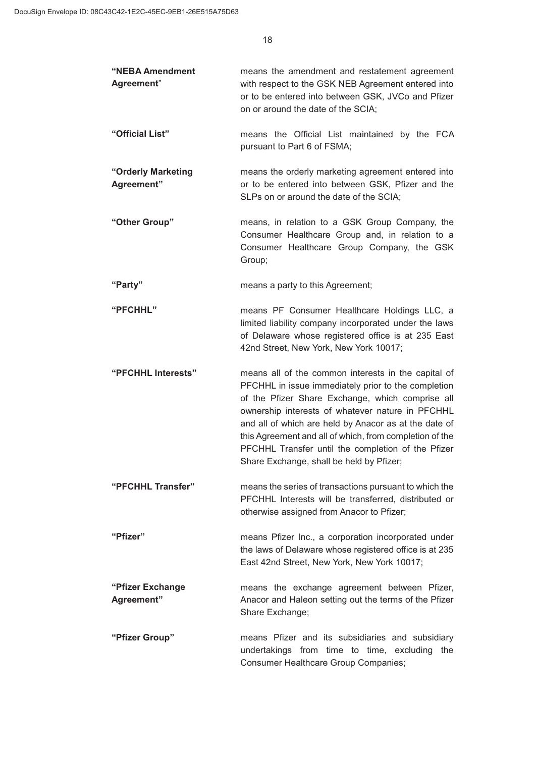| "NEBA Amendment<br>Agreement"    | means the amendment and restatement agreement<br>with respect to the GSK NEB Agreement entered into<br>or to be entered into between GSK, JVCo and Pfizer<br>on or around the date of the SCIA;                                                                                                                                                                                                                                          |
|----------------------------------|------------------------------------------------------------------------------------------------------------------------------------------------------------------------------------------------------------------------------------------------------------------------------------------------------------------------------------------------------------------------------------------------------------------------------------------|
| "Official List"                  | means the Official List maintained by the FCA<br>pursuant to Part 6 of FSMA;                                                                                                                                                                                                                                                                                                                                                             |
| "Orderly Marketing<br>Agreement" | means the orderly marketing agreement entered into<br>or to be entered into between GSK, Pfizer and the<br>SLPs on or around the date of the SCIA;                                                                                                                                                                                                                                                                                       |
| "Other Group"                    | means, in relation to a GSK Group Company, the<br>Consumer Healthcare Group and, in relation to a<br>Consumer Healthcare Group Company, the GSK<br>Group;                                                                                                                                                                                                                                                                                |
| "Party"                          | means a party to this Agreement;                                                                                                                                                                                                                                                                                                                                                                                                         |
| "PFCHHL"                         | means PF Consumer Healthcare Holdings LLC, a<br>limited liability company incorporated under the laws<br>of Delaware whose registered office is at 235 East<br>42nd Street, New York, New York 10017;                                                                                                                                                                                                                                    |
| "PFCHHL Interests"               | means all of the common interests in the capital of<br>PFCHHL in issue immediately prior to the completion<br>of the Pfizer Share Exchange, which comprise all<br>ownership interests of whatever nature in PFCHHL<br>and all of which are held by Anacor as at the date of<br>this Agreement and all of which, from completion of the<br>PFCHHL Transfer until the completion of the Pfizer<br>Share Exchange, shall be held by Pfizer; |
| "PFCHHL Transfer"                | means the series of transactions pursuant to which the<br>PFCHHL Interests will be transferred, distributed or<br>otherwise assigned from Anacor to Pfizer;                                                                                                                                                                                                                                                                              |
| "Pfizer"                         | means Pfizer Inc., a corporation incorporated under<br>the laws of Delaware whose registered office is at 235<br>East 42nd Street, New York, New York 10017;                                                                                                                                                                                                                                                                             |
| "Pfizer Exchange<br>Agreement"   | means the exchange agreement between Pfizer,<br>Anacor and Haleon setting out the terms of the Pfizer<br>Share Exchange;                                                                                                                                                                                                                                                                                                                 |
| "Pfizer Group"                   | means Pfizer and its subsidiaries and subsidiary<br>undertakings from time to time, excluding<br>the<br><b>Consumer Healthcare Group Companies;</b>                                                                                                                                                                                                                                                                                      |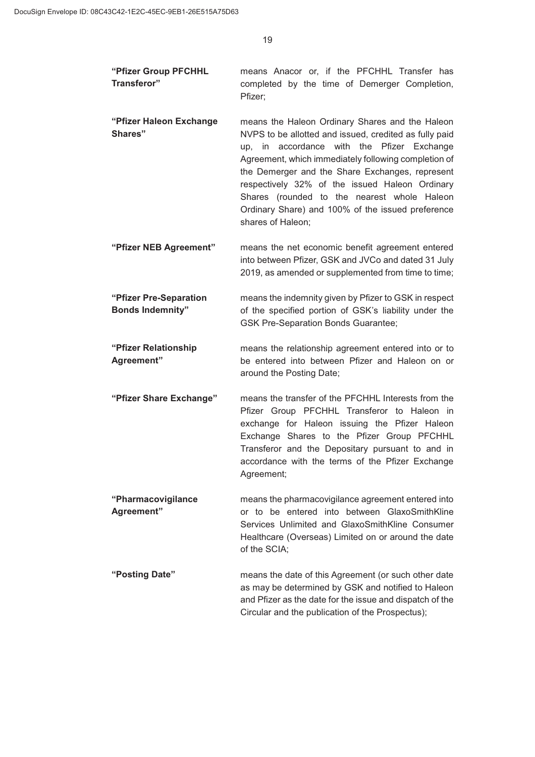**"Pfizer Group PFCHHL Transferor"** means Anacor or, if the PFCHHL Transfer has completed by the time of Demerger Completion, Pfizer; **"Pfizer Haleon Exchange Shares"** means the Haleon Ordinary Shares and the Haleon NVPS to be allotted and issued, credited as fully paid up, in accordance with the Pfizer Exchange Agreement, which immediately following completion of the Demerger and the Share Exchanges, represent respectively 32% of the issued Haleon Ordinary Shares (rounded to the nearest whole Haleon Ordinary Share) and 100% of the issued preference shares of Haleon; **"Pfizer NEB Agreement"** means the net economic benefit agreement entered into between Pfizer, GSK and JVCo and dated 31 July 2019, as amended or supplemented from time to time; **"Pfizer Pre-Separation Bonds Indemnity"** means the indemnity given by Pfizer to GSK in respect of the specified portion of GSK's liability under the GSK Pre-Separation Bonds Guarantee; **"Pfizer Relationship Agreement"** means the relationship agreement entered into or to be entered into between Pfizer and Haleon on or around the Posting Date; **"Pfizer Share Exchange"** means the transfer of the PFCHHL Interests from the Pfizer Group PFCHHL Transferor to Haleon in exchange for Haleon issuing the Pfizer Haleon Exchange Shares to the Pfizer Group PFCHHL Transferor and the Depositary pursuant to and in accordance with the terms of the Pfizer Exchange Agreement; **"Pharmacovigilance Agreement"** means the pharmacovigilance agreement entered into or to be entered into between GlaxoSmithKline Services Unlimited and GlaxoSmithKline Consumer Healthcare (Overseas) Limited on or around the date of the SCIA;

**"Posting Date"** means the date of this Agreement (or such other date as may be determined by GSK and notified to Haleon and Pfizer as the date for the issue and dispatch of the Circular and the publication of the Prospectus);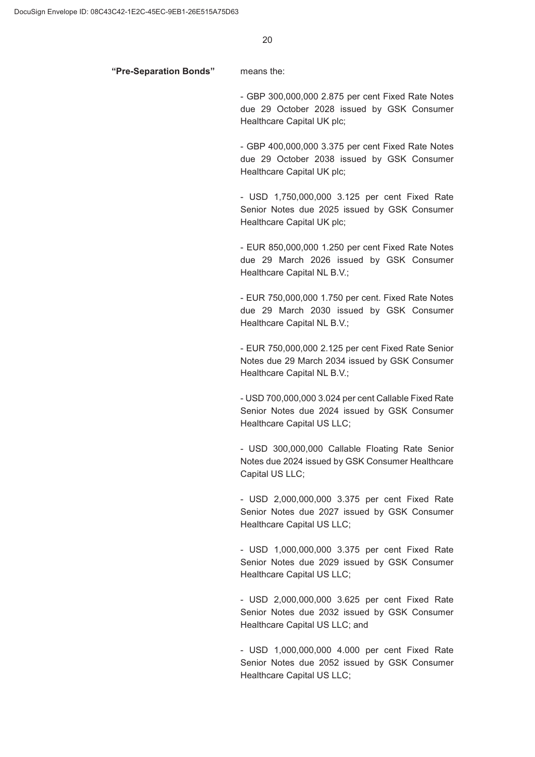#### **"Pre-Separation Bonds"** means the:

- GBP 300,000,000 2.875 per cent Fixed Rate Notes due 29 October 2028 issued by GSK Consumer Healthcare Capital UK plc;

- GBP 400,000,000 3.375 per cent Fixed Rate Notes due 29 October 2038 issued by GSK Consumer Healthcare Capital UK plc;

- USD 1,750,000,000 3.125 per cent Fixed Rate Senior Notes due 2025 issued by GSK Consumer Healthcare Capital UK plc;

- EUR 850,000,000 1.250 per cent Fixed Rate Notes due 29 March 2026 issued by GSK Consumer Healthcare Capital NL B.V.;

- EUR 750,000,000 1.750 per cent. Fixed Rate Notes due 29 March 2030 issued by GSK Consumer Healthcare Capital NL B.V.;

- EUR 750,000,000 2.125 per cent Fixed Rate Senior Notes due 29 March 2034 issued by GSK Consumer Healthcare Capital NL B.V.;

- USD 700,000,000 3.024 per cent Callable Fixed Rate Senior Notes due 2024 issued by GSK Consumer Healthcare Capital US LLC;

- USD 300,000,000 Callable Floating Rate Senior Notes due 2024 issued by GSK Consumer Healthcare Capital US LLC;

- USD 2,000,000,000 3.375 per cent Fixed Rate Senior Notes due 2027 issued by GSK Consumer Healthcare Capital US LLC;

- USD 1,000,000,000 3.375 per cent Fixed Rate Senior Notes due 2029 issued by GSK Consumer Healthcare Capital US LLC;

- USD 2,000,000,000 3.625 per cent Fixed Rate Senior Notes due 2032 issued by GSK Consumer Healthcare Capital US LLC; and

- USD 1,000,000,000 4.000 per cent Fixed Rate Senior Notes due 2052 issued by GSK Consumer Healthcare Capital US LLC;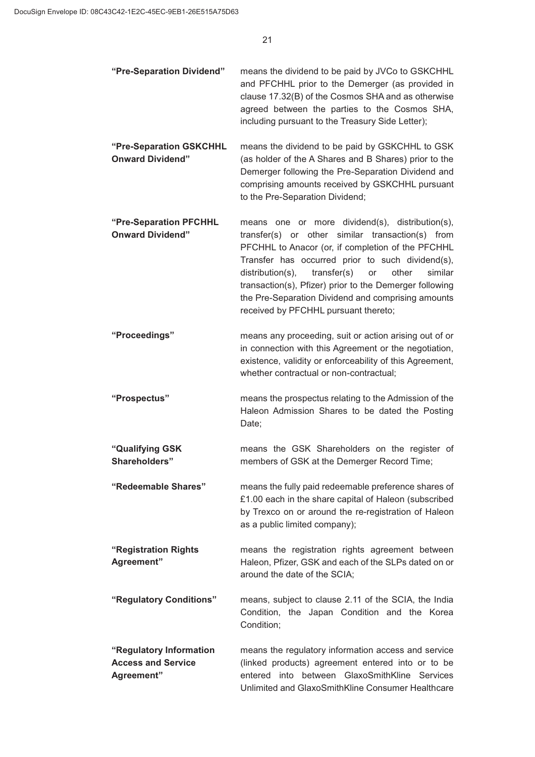| "Pre-Separation Dividend"                                          | means the dividend to be paid by JVCo to GSKCHHL<br>and PFCHHL prior to the Demerger (as provided in<br>clause 17.32(B) of the Cosmos SHA and as otherwise<br>agreed between the parties to the Cosmos SHA,<br>including pursuant to the Treasury Side Letter);                                                                                                                                                                    |
|--------------------------------------------------------------------|------------------------------------------------------------------------------------------------------------------------------------------------------------------------------------------------------------------------------------------------------------------------------------------------------------------------------------------------------------------------------------------------------------------------------------|
| "Pre-Separation GSKCHHL<br><b>Onward Dividend"</b>                 | means the dividend to be paid by GSKCHHL to GSK<br>(as holder of the A Shares and B Shares) prior to the<br>Demerger following the Pre-Separation Dividend and<br>comprising amounts received by GSKCHHL pursuant<br>to the Pre-Separation Dividend;                                                                                                                                                                               |
| "Pre-Separation PFCHHL<br><b>Onward Dividend"</b>                  | means one or more dividend(s), distribution(s),<br>transfer(s) or other similar transaction(s) from<br>PFCHHL to Anacor (or, if completion of the PFCHHL<br>Transfer has occurred prior to such dividend(s),<br>distribution(s),<br>transfer(s)<br>other<br>similar<br>or<br>transaction(s), Pfizer) prior to the Demerger following<br>the Pre-Separation Dividend and comprising amounts<br>received by PFCHHL pursuant thereto; |
| "Proceedings"                                                      | means any proceeding, suit or action arising out of or<br>in connection with this Agreement or the negotiation,<br>existence, validity or enforceability of this Agreement,<br>whether contractual or non-contractual;                                                                                                                                                                                                             |
| "Prospectus"                                                       | means the prospectus relating to the Admission of the<br>Haleon Admission Shares to be dated the Posting<br>Date;                                                                                                                                                                                                                                                                                                                  |
| "Qualifying GSK<br>Shareholders"                                   | means the GSK Shareholders on the register of<br>members of GSK at the Demerger Record Time;                                                                                                                                                                                                                                                                                                                                       |
| "Redeemable Shares"                                                | means the fully paid redeemable preference shares of<br>£1.00 each in the share capital of Haleon (subscribed<br>by Trexco on or around the re-registration of Haleon<br>as a public limited company);                                                                                                                                                                                                                             |
| "Registration Rights<br>Agreement"                                 | means the registration rights agreement between<br>Haleon, Pfizer, GSK and each of the SLPs dated on or<br>around the date of the SCIA;                                                                                                                                                                                                                                                                                            |
| "Regulatory Conditions"                                            | means, subject to clause 2.11 of the SCIA, the India<br>Condition, the Japan Condition and the Korea<br>Condition;                                                                                                                                                                                                                                                                                                                 |
| "Regulatory Information<br><b>Access and Service</b><br>Agreement" | means the regulatory information access and service<br>(linked products) agreement entered into or to be<br>entered into<br>between GlaxoSmithKline<br>Services<br>Unlimited and GlaxoSmithKline Consumer Healthcare                                                                                                                                                                                                               |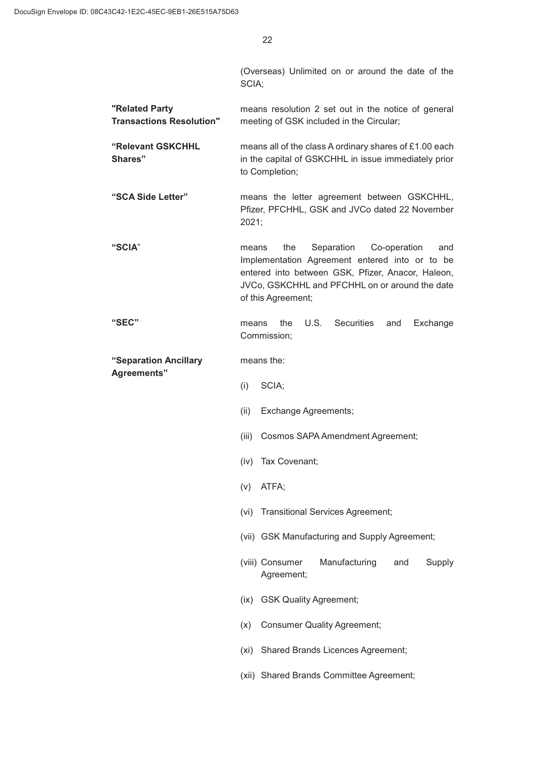(Overseas) Unlimited on or around the date of the SCIA;

**"Related Party Transactions Resolution"** means resolution 2 set out in the notice of general meeting of GSK included in the Circular;

**"Relevant GSKCHHL Shares"** means all of the class A ordinary shares of £1.00 each in the capital of GSKCHHL in issue immediately prior to Completion;

**"SCA Side Letter"** means the letter agreement between GSKCHHL, Pfizer, PFCHHL, GSK and JVCo dated 22 November 2021;

**"SCIA**" means the Separation Co-operation and Implementation Agreement entered into or to be entered into between GSK, Pfizer, Anacor, Haleon, JVCo, GSKCHHL and PFCHHL on or around the date of this Agreement;

**"SEC"** means the U.S. Securities and Exchange Commission;

**"Separation Ancillary**  means the:

**Agreements"**

- $(i)$  SCIA;
- (ii) Exchange Agreements:
- (iii) Cosmos SAPA Amendment Agreement;
- (iv) Tax Covenant;
- $(v)$  ATFA;
- (vi) Transitional Services Agreement;
- (vii) GSK Manufacturing and Supply Agreement;
- (viii) Consumer Manufacturing and Supply Agreement;
- (ix) GSK Quality Agreement;
- (x) Consumer Quality Agreement;
- (xi) Shared Brands Licences Agreement;
- (xii) Shared Brands Committee Agreement;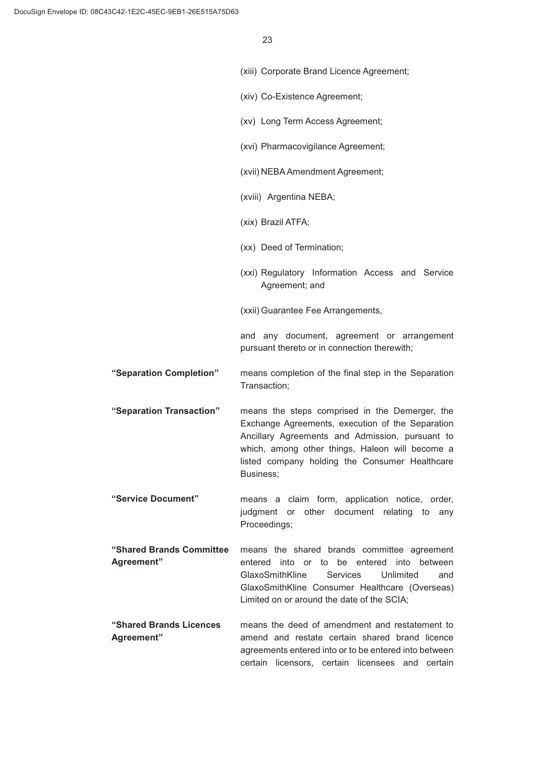|                                        | (xiii) Corporate Brand Licence Agreement;                                                                                                                                                                                                                               |
|----------------------------------------|-------------------------------------------------------------------------------------------------------------------------------------------------------------------------------------------------------------------------------------------------------------------------|
|                                        | (xiv) Co-Existence Agreement;                                                                                                                                                                                                                                           |
|                                        | (xv) Long Term Access Agreement;                                                                                                                                                                                                                                        |
|                                        | (xvi) Pharmacovigilance Agreement;                                                                                                                                                                                                                                      |
|                                        | (xvii) NEBA Amendment Agreement;                                                                                                                                                                                                                                        |
|                                        | (xviii) Argentina NEBA;                                                                                                                                                                                                                                                 |
|                                        | (xix) Brazil ATFA;                                                                                                                                                                                                                                                      |
|                                        | (xx) Deed of Termination;                                                                                                                                                                                                                                               |
|                                        | (xxi) Regulatory Information Access and Service<br>Agreement; and                                                                                                                                                                                                       |
|                                        | (xxii) Guarantee Fee Arrangements,                                                                                                                                                                                                                                      |
|                                        | and any document, agreement or arrangement<br>pursuant thereto or in connection therewith;                                                                                                                                                                              |
| "Separation Completion"                | means completion of the final step in the Separation<br>Transaction;                                                                                                                                                                                                    |
| "Separation Transaction"               | means the steps comprised in the Demerger, the<br>Exchange Agreements, execution of the Separation<br>Ancillary Agreements and Admission, pursuant to<br>which, among other things, Haleon will become a<br>listed company holding the Consumer Healthcare<br>Business; |
| "Service Document"                     | means a claim form, application notice, order,<br>judgment or other document relating to<br>any<br>Proceedings;                                                                                                                                                         |
| "Shared Brands Committee<br>Agreement" | means the shared brands committee agreement<br>into or to be entered into between<br>entered<br>GlaxoSmithKline<br>Services<br>Unlimited<br>and<br>GlaxoSmithKline Consumer Healthcare (Overseas)<br>Limited on or around the date of the SCIA;                         |
| "Shared Brands Licences<br>Agreement"  | means the deed of amendment and restatement to<br>amend and restate certain shared brand licence<br>agreements entered into or to be entered into between<br>certain licensors, certain licensees and certain                                                           |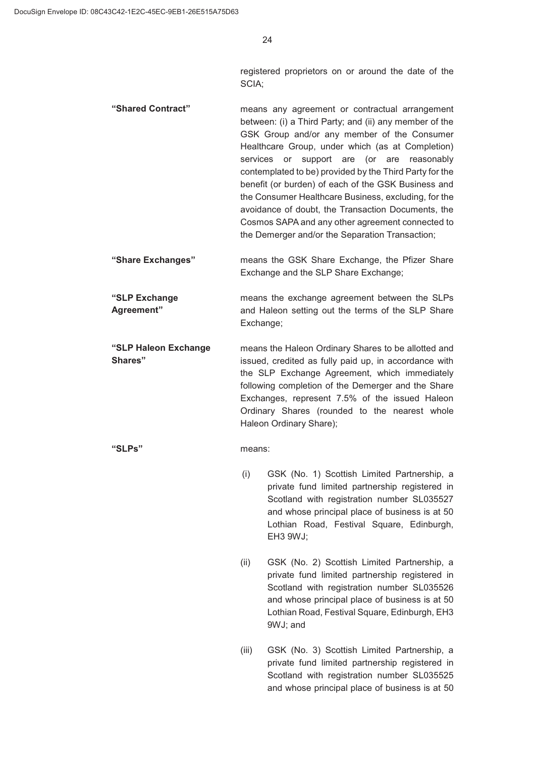registered proprietors on or around the date of the SCIA;

- **"Shared Contract"** means any agreement or contractual arrangement between: (i) a Third Party; and (ii) any member of the GSK Group and/or any member of the Consumer Healthcare Group, under which (as at Completion) services or support are (or are reasonably contemplated to be) provided by the Third Party for the benefit (or burden) of each of the GSK Business and the Consumer Healthcare Business, excluding, for the avoidance of doubt, the Transaction Documents, the Cosmos SAPA and any other agreement connected to the Demerger and/or the Separation Transaction;
- **"Share Exchanges"** means the GSK Share Exchange, the Pfizer Share Exchange and the SLP Share Exchange;
- **"SLP Exchange Agreement"** means the exchange agreement between the SLPs and Haleon setting out the terms of the SLP Share Exchange;
- **"SLP Haleon Exchange Shares"** means the Haleon Ordinary Shares to be allotted and issued, credited as fully paid up, in accordance with the SLP Exchange Agreement, which immediately following completion of the Demerger and the Share Exchanges, represent 7.5% of the issued Haleon Ordinary Shares (rounded to the nearest whole Haleon Ordinary Share);

### **"SLPs"** means:

- (i) GSK (No. 1) Scottish Limited Partnership, a private fund limited partnership registered in Scotland with registration number SL035527 and whose principal place of business is at 50 Lothian Road, Festival Square, Edinburgh, EH3 9WJ;
- $(ii)$  GSK (No. 2) Scottish Limited Partnership, a private fund limited partnership registered in Scotland with registration number SL035526 and whose principal place of business is at 50 Lothian Road, Festival Square, Edinburgh, EH3 9WJ; and
- (iii) GSK (No. 3) Scottish Limited Partnership, a private fund limited partnership registered in Scotland with registration number SL035525 and whose principal place of business is at 50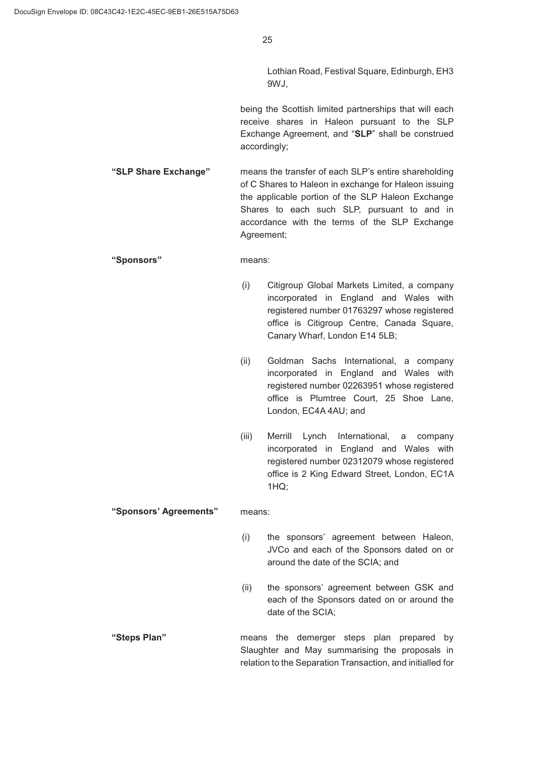Lothian Road, Festival Square, Edinburgh, EH3 9WJ,

being the Scottish limited partnerships that will each receive shares in Haleon pursuant to the SLP Exchange Agreement, and "**SLP**" shall be construed accordingly;

**"SLP Share Exchange"** means the transfer of each SLP's entire shareholding of C Shares to Haleon in exchange for Haleon issuing the applicable portion of the SLP Haleon Exchange Shares to each such SLP, pursuant to and in accordance with the terms of the SLP Exchange Agreement;

#### **"Sponsors"** means:

- (i) Citigroup Global Markets Limited, a company incorporated in England and Wales with registered number 01763297 whose registered office is Citigroup Centre, Canada Square, Canary Wharf, London E14 5LB;
- (ii) Goldman Sachs International, a company incorporated in England and Wales with registered number 02263951 whose registered office is Plumtree Court, 25 Shoe Lane, London, EC4A 4AU; and
- (iii) Merrill Lynch International, a company incorporated in England and Wales with registered number 02312079 whose registered office is 2 King Edward Street, London, EC1A 1HQ;

#### **"Sponsors' Agreements"** means:

- (i) the sponsors' agreement between Haleon, JVCo and each of the Sponsors dated on or around the date of the SCIA; and
- (ii) the sponsors' agreement between GSK and each of the Sponsors dated on or around the date of the SCIA;
- **"Steps Plan"** means the demerger steps plan prepared by Slaughter and May summarising the proposals in relation to the Separation Transaction, and initialled for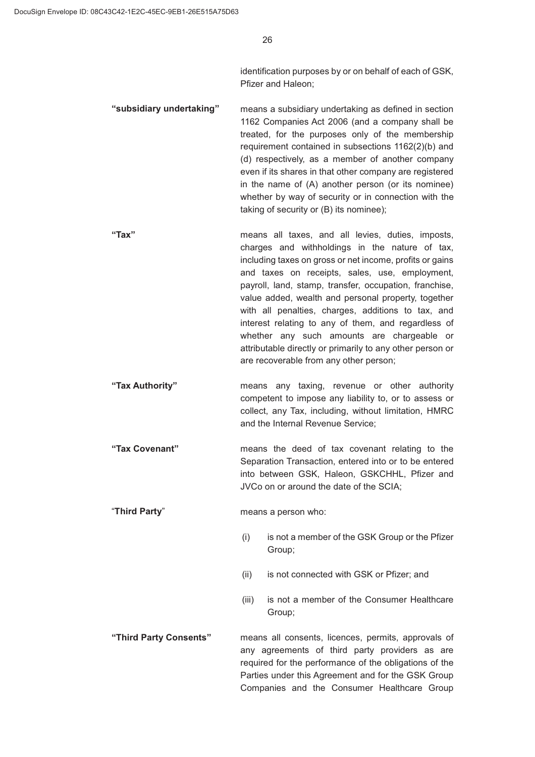identification purposes by or on behalf of each of GSK, Pfizer and Haleon;

**"subsidiary undertaking"** means a subsidiary undertaking as defined in section 1162 Companies Act 2006 (and a company shall be treated, for the purposes only of the membership requirement contained in subsections 1162(2)(b) and (d) respectively, as a member of another company even if its shares in that other company are registered in the name of (A) another person (or its nominee) whether by way of security or in connection with the taking of security or (B) its nominee);

- **"Tax"** means all taxes, and all levies, duties, imposts, charges and withholdings in the nature of tax, including taxes on gross or net income, profits or gains and taxes on receipts, sales, use, employment, payroll, land, stamp, transfer, occupation, franchise, value added, wealth and personal property, together with all penalties, charges, additions to tax, and interest relating to any of them, and regardless of whether any such amounts are chargeable or attributable directly or primarily to any other person or are recoverable from any other person;
- **"Tax Authority"** means any taxing, revenue or other authority competent to impose any liability to, or to assess or collect, any Tax, including, without limitation, HMRC and the Internal Revenue Service;
- **"Tax Covenant"** means the deed of tax covenant relating to the Separation Transaction, entered into or to be entered into between GSK, Haleon, GSKCHHL, Pfizer and JVCo on or around the date of the SCIA;

"**Third Party**" means a person who:

- $(i)$  is not a member of the GSK Group or the Pfizer Group;
- $(ii)$  is not connected with GSK or Pfizer; and
- (iii) is not a member of the Consumer Healthcare Group;
- **"Third Party Consents"** means all consents, licences, permits, approvals of any agreements of third party providers as are required for the performance of the obligations of the Parties under this Agreement and for the GSK Group Companies and the Consumer Healthcare Group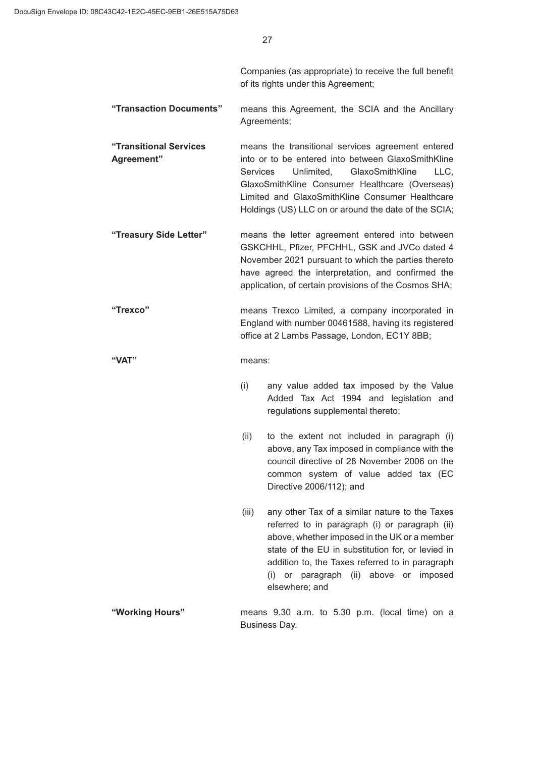Companies (as appropriate) to receive the full benefit of its rights under this Agreement;

**"Transaction Documents"** means this Agreement, the SCIA and the Ancillary Agreements;

**"Transitional Services Agreement"** means the transitional services agreement entered into or to be entered into between GlaxoSmithKline Services Unlimited, GlaxoSmithKline LLC, GlaxoSmithKline Consumer Healthcare (Overseas) Limited and GlaxoSmithKline Consumer Healthcare Holdings (US) LLC on or around the date of the SCIA;

- **"Treasury Side Letter"** means the letter agreement entered into between GSKCHHL, Pfizer, PFCHHL, GSK and JVCo dated 4 November 2021 pursuant to which the parties thereto have agreed the interpretation, and confirmed the application, of certain provisions of the Cosmos SHA;
- **"Trexco"** means Trexco Limited, a company incorporated in England with number 00461588, having its registered office at 2 Lambs Passage, London, EC1Y 8BB;

### **"VAT"** means:

- $(i)$  any value added tax imposed by the Value Added Tax Act 1994 and legislation and regulations supplemental thereto;
- $(ii)$  to the extent not included in paragraph  $(i)$ above, any Tax imposed in compliance with the council directive of 28 November 2006 on the common system of value added tax (EC Directive 2006/112); and
- $(iii)$  any other Tax of a similar nature to the Taxes referred to in paragraph (i) or paragraph (ii) above, whether imposed in the UK or a member state of the EU in substitution for, or levied in addition to, the Taxes referred to in paragraph (i) or paragraph (ii) above or imposed elsewhere; and
- **"Working Hours"** means 9.30 a.m. to 5.30 p.m. (local time) on a Business Day.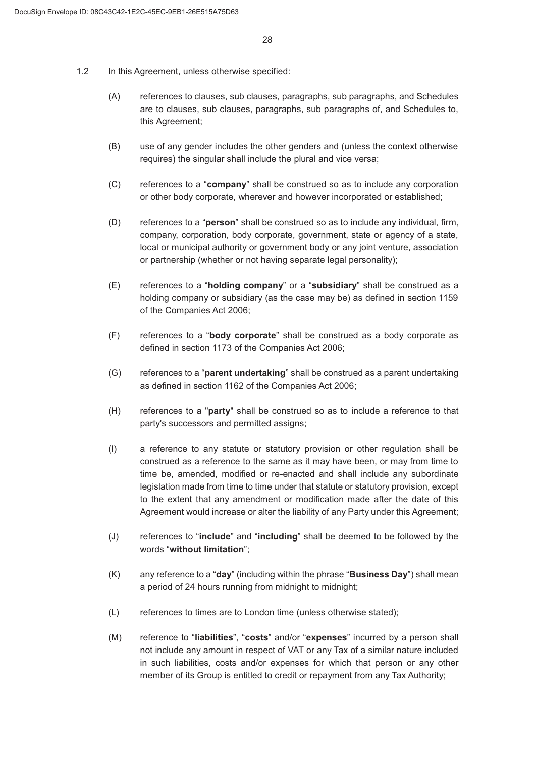- 1.2 In this Agreement, unless otherwise specified:
	- (A) references to clauses, sub clauses, paragraphs, sub paragraphs, and Schedules are to clauses, sub clauses, paragraphs, sub paragraphs of, and Schedules to, this Agreement;
	- % use of any gender includes the other genders and (unless the context otherwise requires) the singular shall include the plural and vice versa;
	- & references to a "**company**" shall be construed so as to include any corporation or other body corporate, wherever and however incorporated or established;
	- ' references to a "**person**" shall be construed so as to include any individual, firm, company, corporation, body corporate, government, state or agency of a state, local or municipal authority or government body or any joint venture, association or partnership (whether or not having separate legal personality);
	- ( references to a "**holding company**" or a "**subsidiary**" shall be construed as a holding company or subsidiary (as the case may be) as defined in section 1159 of the Companies Act 2006;
	- ) references to a "**body corporate**" shall be construed as a body corporate as defined in section 1173 of the Companies Act 2006;
	- (G) references to a "**parent undertaking**" shall be construed as a parent undertaking as defined in section 1162 of the Companies Act 2006;
	- + references to a "**party**" shall be construed so as to include a reference to that party's successors and permitted assigns;
	- (I) a reference to any statute or statutory provision or other regulation shall be construed as a reference to the same as it may have been, or may from time to time be, amended, modified or re-enacted and shall include any subordinate legislation made from time to time under that statute or statutory provision, except to the extent that any amendment or modification made after the date of this Agreement would increase or alter the liability of any Party under this Agreement;
	- - references to "**include**" and "**including**" shall be deemed to be followed by the words "**without limitation**";
	- . any reference to a "**day**" (including within the phrase "**Business Day**") shall mean a period of 24 hours running from midnight to midnight;
	- (L) references to times are to London time (unless otherwise stated);
	- 0 reference to "**liabilities**", "**costs**" and/or "**expenses**" incurred by a person shall not include any amount in respect of VAT or any Tax of a similar nature included in such liabilities, costs and/or expenses for which that person or any other member of its Group is entitled to credit or repayment from any Tax Authority;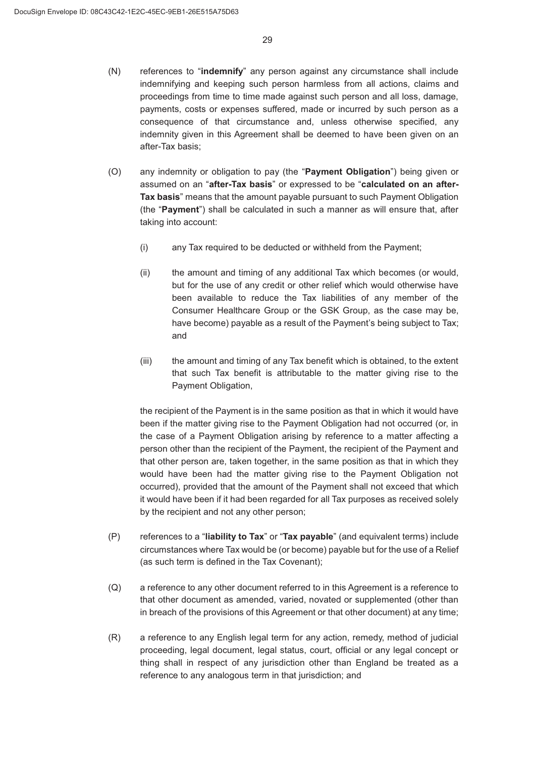- 1 references to "**indemnify**" any person against any circumstance shall include indemnifying and keeping such person harmless from all actions, claims and proceedings from time to time made against such person and all loss, damage, payments, costs or expenses suffered, made or incurred by such person as a consequence of that circumstance and, unless otherwise specified, any indemnity given in this Agreement shall be deemed to have been given on an after-Tax basis;
- 2 any indemnity or obligation to pay (the "**Payment Obligation**") being given or assumed on an "**after-Tax basis**" or expressed to be "**calculated on an after-Tax basis**" means that the amount payable pursuant to such Payment Obligation (the "**Payment**") shall be calculated in such a manner as will ensure that, after taking into account:
	- $(i)$  any Tax required to be deducted or withheld from the Payment;
	- $(i)$  the amount and timing of any additional Tax which becomes (or would, but for the use of any credit or other relief which would otherwise have been available to reduce the Tax liabilities of any member of the Consumer Healthcare Group or the GSK Group, as the case may be, have become) payable as a result of the Payment's being subject to Tax; and
	- $(iii)$  the amount and timing of any Tax benefit which is obtained, to the extent that such Tax benefit is attributable to the matter giving rise to the Payment Obligation,

the recipient of the Payment is in the same position as that in which it would have been if the matter giving rise to the Payment Obligation had not occurred (or, in the case of a Payment Obligation arising by reference to a matter affecting a person other than the recipient of the Payment, the recipient of the Payment and that other person are, taken together, in the same position as that in which they would have been had the matter giving rise to the Payment Obligation not occurred), provided that the amount of the Payment shall not exceed that which it would have been if it had been regarded for all Tax purposes as received solely by the recipient and not any other person;

- 3 references to a "**liability to Tax**" or "**Tax payable**" (and equivalent terms) include circumstances where Tax would be (or become) payable but for the use of a Relief (as such term is defined in the Tax Covenant);
- $(Q)$  a reference to any other document referred to in this Agreement is a reference to that other document as amended, varied, novated or supplemented (other than in breach of the provisions of this Agreement or that other document) at any time;
- (R) a reference to any English legal term for any action, remedy, method of judicial proceeding, legal document, legal status, court, official or any legal concept or thing shall in respect of any jurisdiction other than England be treated as a reference to any analogous term in that jurisdiction; and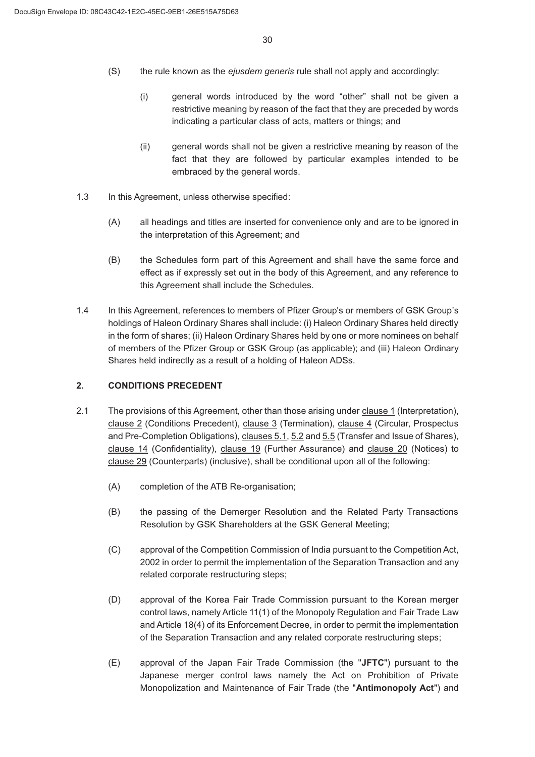- 6 the rule known as the *ejusdem generis* rule shall not apply and accordingly:
	- (i) general words introduced by the word "other" shall not be given a restrictive meaning by reason of the fact that they are preceded by words indicating a particular class of acts, matters or things; and
	- $(i)$  general words shall not be given a restrictive meaning by reason of the fact that they are followed by particular examples intended to be embraced by the general words.
- 1.3 In this Agreement, unless otherwise specified:
	- (A) all headings and titles are inserted for convenience only and are to be ignored in the interpretation of this Agreement; and
	- (B) the Schedules form part of this Agreement and shall have the same force and effect as if expressly set out in the body of this Agreement, and any reference to this Agreement shall include the Schedules.
- In this Agreement, references to members of Pfizer Group's or members of GSK Group's holdings of Haleon Ordinary Shares shall include: (i) Haleon Ordinary Shares held directly in the form of shares; (ii) Haleon Ordinary Shares held by one or more nominees on behalf of members of the Pfizer Group or GSK Group (as applicable); and (iii) Haleon Ordinary Shares held indirectly as a result of a holding of Haleon ADSs.

### **CONDITIONS PRECEDENT**

- 2.1 The provisions of this Agreement, other than those arising under clause 1 (Interpretation), clause 2 (Conditions Precedent), clause 3 (Termination), clause 4 (Circular, Prospectus and Pre-Completion Obligations), clauses 5.1, 5.2 and 5.5 (Transfer and Issue of Shares), clause 14 (Confidentiality), clause 19 (Further Assurance) and clause 20 (Notices) to clause 29 (Counterparts) (inclusive), shall be conditional upon all of the following:
	- (A) completion of the ATB Re-organisation;
	- % the passing of the Demerger Resolution and the Related Party Transactions Resolution by GSK Shareholders at the GSK General Meeting;
	- & approval of the Competition Commission of India pursuant to the Competition Act, 2002 in order to permit the implementation of the Separation Transaction and any related corporate restructuring steps;
	- (D) approval of the Korea Fair Trade Commission pursuant to the Korean merger control laws, namely Article 11(1) of the Monopoly Regulation and Fair Trade Law and Article 18(4) of its Enforcement Decree, in order to permit the implementation of the Separation Transaction and any related corporate restructuring steps;
	- ( approval of the Japan Fair Trade Commission (the "**JFTC**") pursuant to the Japanese merger control laws namely the Act on Prohibition of Private Monopolization and Maintenance of Fair Trade (the "**Antimonopoly Act**") and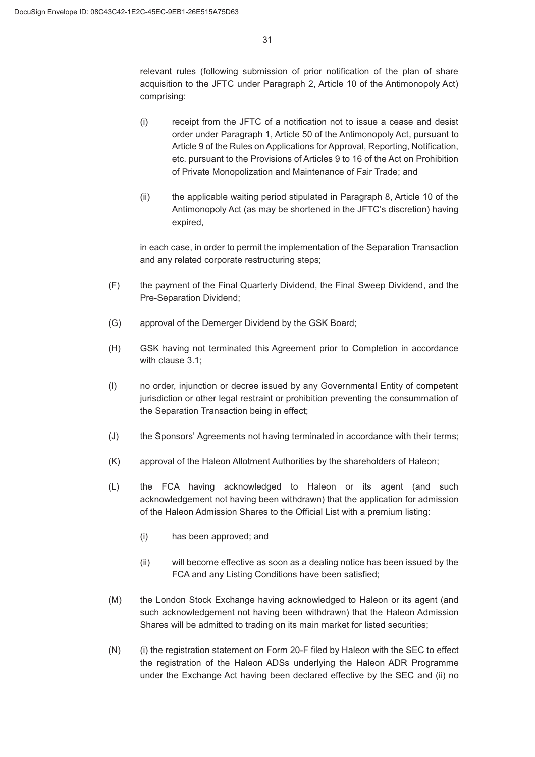relevant rules (following submission of prior notification of the plan of share acquisition to the JFTC under Paragraph 2, Article 10 of the Antimonopoly Act) comprising:

- (i) receipt from the JFTC of a notification not to issue a cease and desist order under Paragraph 1, Article 50 of the Antimonopoly Act, pursuant to Article 9 of the Rules on Applications for Approval, Reporting, Notification, etc. pursuant to the Provisions of Articles 9 to 16 of the Act on Prohibition of Private Monopolization and Maintenance of Fair Trade; and
- $\mu$  the applicable waiting period stipulated in Paragraph 8, Article 10 of the Antimonopoly Act (as may be shortened in the JFTC's discretion) having expired,

in each case, in order to permit the implementation of the Separation Transaction and any related corporate restructuring steps;

- ) the payment of the Final Quarterly Dividend, the Final Sweep Dividend, and the Pre-Separation Dividend;
- (G) approval of the Demerger Dividend by the GSK Board;
- (H) GSK having not terminated this Agreement prior to Completion in accordance with clause 3.1;
- , no order, injunction or decree issued by any Governmental Entity of competent jurisdiction or other legal restraint or prohibition preventing the consummation of the Separation Transaction being in effect;
- (J) the Sponsors' Agreements not having terminated in accordance with their terms;
- . approval of the Haleon Allotment Authorities by the shareholders of Haleon;
- (L) the FCA having acknowledged to Haleon or its agent (and such acknowledgement not having been withdrawn) that the application for admission of the Haleon Admission Shares to the Official List with a premium listing:
	- (i) has been approved; and
	- $(i)$  will become effective as soon as a dealing notice has been issued by the FCA and any Listing Conditions have been satisfied;
- (M) the London Stock Exchange having acknowledged to Haleon or its agent (and such acknowledgement not having been withdrawn) that the Haleon Admission Shares will be admitted to trading on its main market for listed securities;
- $(N)$  (i) the registration statement on Form 20-F filed by Haleon with the SEC to effect the registration of the Haleon ADSs underlying the Haleon ADR Programme under the Exchange Act having been declared effective by the SEC and (ii) no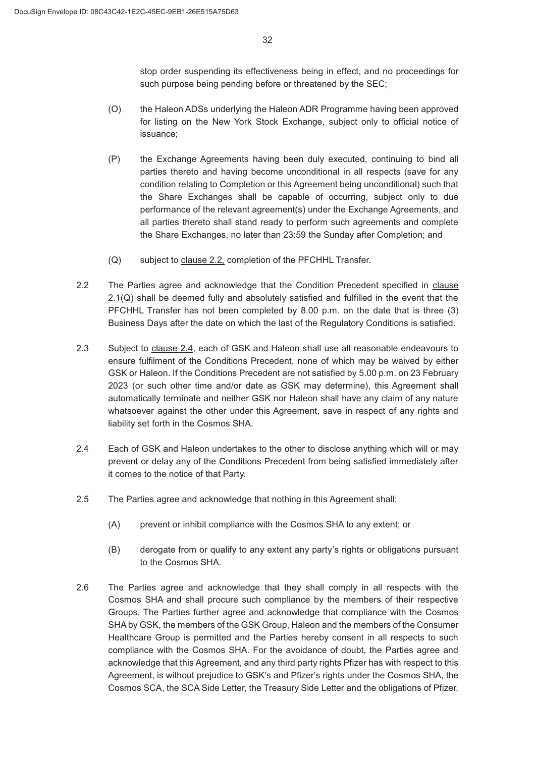stop order suspending its effectiveness being in effect, and no proceedings for such purpose being pending before or threatened by the SEC;

- 2 the Haleon ADSs underlying the Haleon ADR Programme having been approved for listing on the New York Stock Exchange, subject only to official notice of issuance;
- (P) the Exchange Agreements having been duly executed, continuing to bind all parties thereto and having become unconditional in all respects (save for any condition relating to Completion or this Agreement being unconditional) such that the Share Exchanges shall be capable of occurring, subject only to due performance of the relevant agreement(s) under the Exchange Agreements, and all parties thereto shall stand ready to perform such agreements and complete the Share Exchanges, no later than 23:59 the Sunday after Completion; and
- (Q) subject to clause 2.2, completion of the PFCHHL Transfer.
- 2.2 The Parties agree and acknowledge that the Condition Precedent specified in clause 2.1(Q) shall be deemed fully and absolutely satisfied and fulfilled in the event that the PFCHHL Transfer has not been completed by 8.00 p.m. on the date that is three (3) Business Days after the date on which the last of the Regulatory Conditions is satisfied.
- Subject to clause 2.4, each of GSK and Haleon shall use all reasonable endeavours to ensure fulfilment of the Conditions Precedent, none of which may be waived by either GSK or Haleon. If the Conditions Precedent are not satisfied by 5.00 p.m. on 23 February 2023 (or such other time and/or date as GSK may determine), this Agreement shall automatically terminate and neither GSK nor Haleon shall have any claim of any nature whatsoever against the other under this Agreement, save in respect of any rights and liability set forth in the Cosmos SHA.
- Each of GSK and Haleon undertakes to the other to disclose anything which will or may prevent or delay any of the Conditions Precedent from being satisfied immediately after it comes to the notice of that Party.
- The Parties agree and acknowledge that nothing in this Agreement shall:
	- (A) prevent or inhibit compliance with the Cosmos SHA to any extent; or
	- (B) derogate from or qualify to any extent any party's rights or obligations pursuant to the Cosmos SHA.
- 2.6 The Parties agree and acknowledge that they shall comply in all respects with the Cosmos SHA and shall procure such compliance by the members of their respective Groups. The Parties further agree and acknowledge that compliance with the Cosmos SHA by GSK, the members of the GSK Group, Haleon and the members of the Consumer Healthcare Group is permitted and the Parties hereby consent in all respects to such compliance with the Cosmos SHA. For the avoidance of doubt, the Parties agree and acknowledge that this Agreement, and any third party rights Pfizer has with respect to this Agreement, is without prejudice to GSK's and Pfizer's rights under the Cosmos SHA, the Cosmos SCA, the SCA Side Letter, the Treasury Side Letter and the obligations of Pfizer,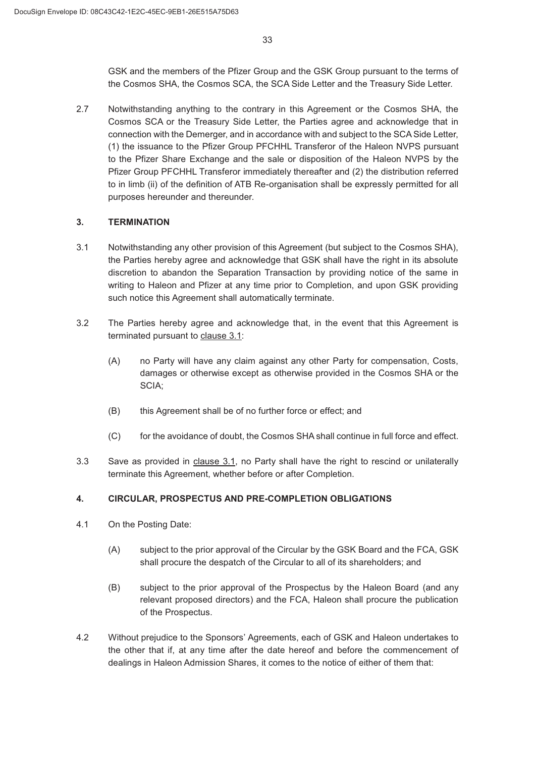GSK and the members of the Pfizer Group and the GSK Group pursuant to the terms of the Cosmos SHA, the Cosmos SCA, the SCA Side Letter and the Treasury Side Letter.

2.7 Notwithstanding anything to the contrary in this Agreement or the Cosmos SHA, the Cosmos SCA or the Treasury Side Letter, the Parties agree and acknowledge that in connection with the Demerger, and in accordance with and subject to the SCA Side Letter, (1) the issuance to the Pfizer Group PFCHHL Transferor of the Haleon NVPS pursuant to the Pfizer Share Exchange and the sale or disposition of the Haleon NVPS by the Pfizer Group PFCHHL Transferor immediately thereafter and (2) the distribution referred to in limb (ii) of the definition of ATB Re-organisation shall be expressly permitted for all purposes hereunder and thereunder.

### **3. TERMINATION**

- 3.1 Notwithstanding any other provision of this Agreement (but subject to the Cosmos SHA), the Parties hereby agree and acknowledge that GSK shall have the right in its absolute discretion to abandon the Separation Transaction by providing notice of the same in writing to Haleon and Pfizer at any time prior to Completion, and upon GSK providing such notice this Agreement shall automatically terminate.
- The Parties hereby agree and acknowledge that, in the event that this Agreement is terminated pursuant to clause 3.1:
	- (A) no Party will have any claim against any other Party for compensation, Costs, damages or otherwise except as otherwise provided in the Cosmos SHA or the SCIA;
	- (B) this Agreement shall be of no further force or effect; and
	- & for the avoidance of doubt, the Cosmos SHA shall continue in full force and effect.
- Save as provided in clause 3.1, no Party shall have the right to rescind or unilaterally terminate this Agreement, whether before or after Completion.

## **CIRCULAR, PROSPECTUS AND PRE-COMPLETION OBLIGATIONS**

- On the Posting Date:
	- (A) subject to the prior approval of the Circular by the GSK Board and the FCA, GSK shall procure the despatch of the Circular to all of its shareholders; and
	- (B) subject to the prior approval of the Prospectus by the Haleon Board (and any relevant proposed directors) and the FCA, Haleon shall procure the publication of the Prospectus.
- Without prejudice to the Sponsors' Agreements, each of GSK and Haleon undertakes to the other that if, at any time after the date hereof and before the commencement of dealings in Haleon Admission Shares, it comes to the notice of either of them that: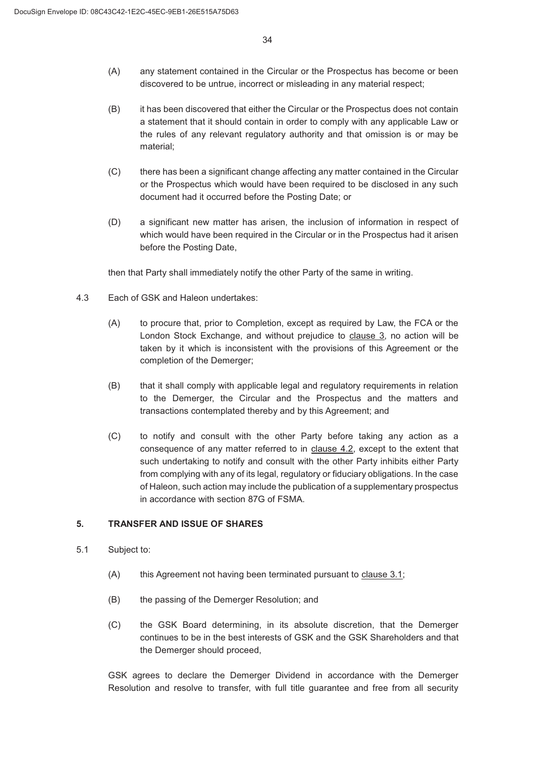- (A) any statement contained in the Circular or the Prospectus has become or been discovered to be untrue, incorrect or misleading in any material respect;
- (B) it has been discovered that either the Circular or the Prospectus does not contain a statement that it should contain in order to comply with any applicable Law or the rules of any relevant regulatory authority and that omission is or may be material;
- (C) there has been a significant change affecting any matter contained in the Circular or the Prospectus which would have been required to be disclosed in any such document had it occurred before the Posting Date; or
- (D) a significant new matter has arisen, the inclusion of information in respect of which would have been required in the Circular or in the Prospectus had it arisen before the Posting Date,

then that Party shall immediately notify the other Party of the same in writing.

- Each of GSK and Haleon undertakes:
	- (A) to procure that, prior to Completion, except as required by Law, the FCA or the London Stock Exchange, and without prejudice to clause 3, no action will be taken by it which is inconsistent with the provisions of this Agreement or the completion of the Demerger;
	- (B) that it shall comply with applicable legal and regulatory requirements in relation to the Demerger, the Circular and the Prospectus and the matters and transactions contemplated thereby and by this Agreement; and
	- & to notify and consult with the other Party before taking any action as a consequence of any matter referred to in clause 4.2, except to the extent that such undertaking to notify and consult with the other Party inhibits either Party from complying with any of its legal, regulatory or fiduciary obligations. In the case of Haleon, such action may include the publication of a supplementary prospectus in accordance with section 87G of FSMA.

### **TRANSFER AND ISSUE OF SHARES**

- 5.1 Subject to:
	- $(A)$  this Agreement not having been terminated pursuant to clause  $3.1$ ;
	- (B) the passing of the Demerger Resolution; and
	- & the GSK Board determining, in its absolute discretion, that the Demerger continues to be in the best interests of GSK and the GSK Shareholders and that the Demerger should proceed,

GSK agrees to declare the Demerger Dividend in accordance with the Demerger Resolution and resolve to transfer, with full title guarantee and free from all security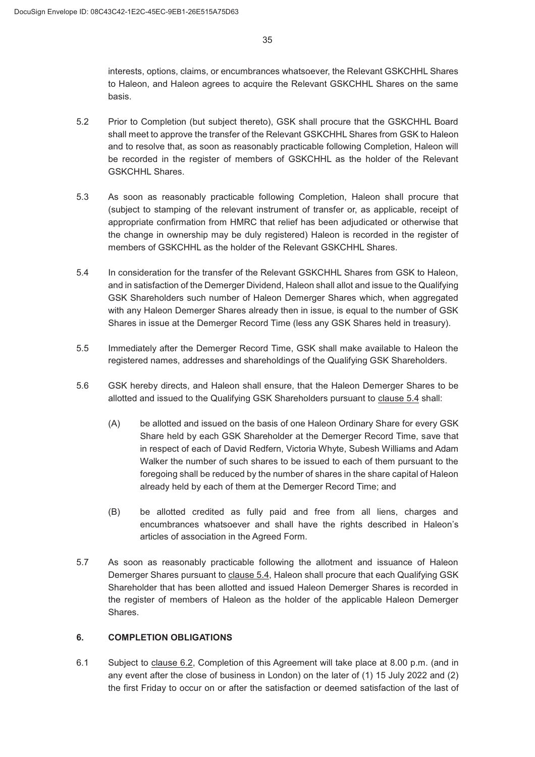interests, options, claims, or encumbrances whatsoever, the Relevant GSKCHHL Shares to Haleon, and Haleon agrees to acquire the Relevant GSKCHHL Shares on the same basis.

- Prior to Completion (but subject thereto), GSK shall procure that the GSKCHHL Board shall meet to approve the transfer of the Relevant GSKCHHL Shares from GSK to Haleon and to resolve that, as soon as reasonably practicable following Completion, Haleon will be recorded in the register of members of GSKCHHL as the holder of the Relevant GSKCHHL Shares.
- As soon as reasonably practicable following Completion, Haleon shall procure that (subject to stamping of the relevant instrument of transfer or, as applicable, receipt of appropriate confirmation from HMRC that relief has been adjudicated or otherwise that the change in ownership may be duly registered) Haleon is recorded in the register of members of GSKCHHL as the holder of the Relevant GSKCHHL Shares.
- In consideration for the transfer of the Relevant GSKCHHL Shares from GSK to Haleon, and in satisfaction of the Demerger Dividend, Haleon shall allot and issue to the Qualifying GSK Shareholders such number of Haleon Demerger Shares which, when aggregated with any Haleon Demerger Shares already then in issue, is equal to the number of GSK Shares in issue at the Demerger Record Time (less any GSK Shares held in treasury).
- Immediately after the Demerger Record Time, GSK shall make available to Haleon the registered names, addresses and shareholdings of the Qualifying GSK Shareholders.
- GSK hereby directs, and Haleon shall ensure, that the Haleon Demerger Shares to be allotted and issued to the Qualifying GSK Shareholders pursuant to clause 5.4 shall:
	- (A) be allotted and issued on the basis of one Haleon Ordinary Share for every GSK Share held by each GSK Shareholder at the Demerger Record Time, save that in respect of each of David Redfern, Victoria Whyte, Subesh Williams and Adam Walker the number of such shares to be issued to each of them pursuant to the foregoing shall be reduced by the number of shares in the share capital of Haleon already held by each of them at the Demerger Record Time; and
	- % be allotted credited as fully paid and free from all liens, charges and encumbrances whatsoever and shall have the rights described in Haleon's articles of association in the Agreed Form.
- As soon as reasonably practicable following the allotment and issuance of Haleon Demerger Shares pursuant to clause 5.4, Haleon shall procure that each Qualifying GSK Shareholder that has been allotted and issued Haleon Demerger Shares is recorded in the register of members of Haleon as the holder of the applicable Haleon Demerger Shares.

### **COMPLETION OBLIGATIONS**

 Subject to clause 6.2, Completion of this Agreement will take place at 8.00 p.m. (and in any event after the close of business in London) on the later of (1) 15 July 2022 and (2) the first Friday to occur on or after the satisfaction or deemed satisfaction of the last of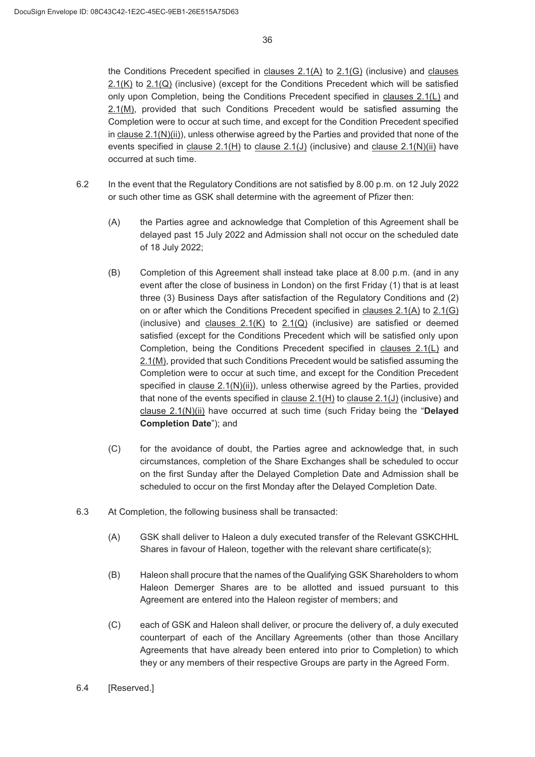the Conditions Precedent specified in clauses 2.1(A) to 2.1(G) (inclusive) and clauses  $2.1(K)$  to  $2.1(Q)$  (inclusive) (except for the Conditions Precedent which will be satisfied only upon Completion, being the Conditions Precedent specified in clauses 2.1(L) and 2.1(M), provided that such Conditions Precedent would be satisfied assuming the Completion were to occur at such time, and except for the Condition Precedent specified in clause  $2.1(N)(ii)$ , unless otherwise agreed by the Parties and provided that none of the events specified in clause  $2.1(H)$  to clause  $2.1(J)$  (inclusive) and clause  $2.1(N)(ii)$  have occurred at such time.

- In the event that the Regulatory Conditions are not satisfied by 8.00 p.m. on 12 July 2022 or such other time as GSK shall determine with the agreement of Pfizer then:
	- (A) the Parties agree and acknowledge that Completion of this Agreement shall be delayed past 15 July 2022 and Admission shall not occur on the scheduled date of 18 July 2022;
	- (B) Completion of this Agreement shall instead take place at 8.00 p.m. (and in any event after the close of business in London) on the first Friday (1) that is at least three (3) Business Days after satisfaction of the Regulatory Conditions and (2) on or after which the Conditions Precedent specified in clauses 2.1(A) to 2.1(G) (inclusive) and clauses  $2.1(K)$  to  $2.1(Q)$  (inclusive) are satisfied or deemed satisfied (except for the Conditions Precedent which will be satisfied only upon Completion, being the Conditions Precedent specified in clauses 2.1(L) and 2.1(M), provided that such Conditions Precedent would be satisfied assuming the Completion were to occur at such time, and except for the Condition Precedent specified in clause 2.1(N)(ii)), unless otherwise agreed by the Parties, provided that none of the events specified in clause 2.1(H) to clause 2.1(J) (inclusive) and clause 2.1(N)(ii) have occurred at such time (such Friday being the "**Delayed Completion Date**"); and
	- & for the avoidance of doubt, the Parties agree and acknowledge that, in such circumstances, completion of the Share Exchanges shall be scheduled to occur on the first Sunday after the Delayed Completion Date and Admission shall be scheduled to occur on the first Monday after the Delayed Completion Date.
- 6.3 At Completion, the following business shall be transacted:
	- (A) GSK shall deliver to Haleon a duly executed transfer of the Relevant GSKCHHL Shares in favour of Haleon, together with the relevant share certificate(s);
	- (B) Haleon shall procure that the names of the Qualifying GSK Shareholders to whom Haleon Demerger Shares are to be allotted and issued pursuant to this Agreement are entered into the Haleon register of members; and
	- & each of GSK and Haleon shall deliver, or procure the delivery of, a duly executed counterpart of each of the Ancillary Agreements (other than those Ancillary Agreements that have already been entered into prior to Completion) to which they or any members of their respective Groups are party in the Agreed Form.
- 6.4 [Reserved.]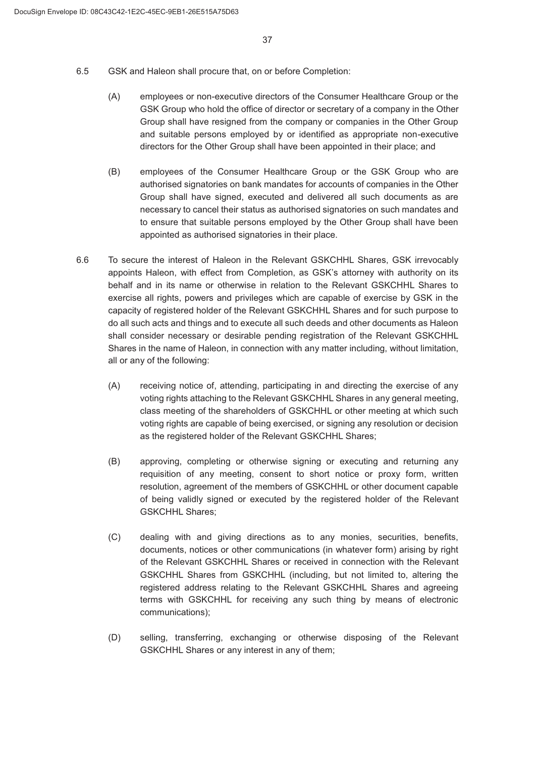- GSK and Haleon shall procure that, on or before Completion:
	- (A) employees or non-executive directors of the Consumer Healthcare Group or the GSK Group who hold the office of director or secretary of a company in the Other Group shall have resigned from the company or companies in the Other Group and suitable persons employed by or identified as appropriate non-executive directors for the Other Group shall have been appointed in their place; and
	- (B) employees of the Consumer Healthcare Group or the GSK Group who are authorised signatories on bank mandates for accounts of companies in the Other Group shall have signed, executed and delivered all such documents as are necessary to cancel their status as authorised signatories on such mandates and to ensure that suitable persons employed by the Other Group shall have been appointed as authorised signatories in their place.
- To secure the interest of Haleon in the Relevant GSKCHHL Shares, GSK irrevocably appoints Haleon, with effect from Completion, as GSK's attorney with authority on its behalf and in its name or otherwise in relation to the Relevant GSKCHHL Shares to exercise all rights, powers and privileges which are capable of exercise by GSK in the capacity of registered holder of the Relevant GSKCHHL Shares and for such purpose to do all such acts and things and to execute all such deeds and other documents as Haleon shall consider necessary or desirable pending registration of the Relevant GSKCHHL Shares in the name of Haleon, in connection with any matter including, without limitation, all or any of the following:
	- (A) receiving notice of, attending, participating in and directing the exercise of any voting rights attaching to the Relevant GSKCHHL Shares in any general meeting, class meeting of the shareholders of GSKCHHL or other meeting at which such voting rights are capable of being exercised, or signing any resolution or decision as the registered holder of the Relevant GSKCHHL Shares;
	- % approving, completing or otherwise signing or executing and returning any requisition of any meeting, consent to short notice or proxy form, written resolution, agreement of the members of GSKCHHL or other document capable of being validly signed or executed by the registered holder of the Relevant GSKCHHL Shares;
	- & dealing with and giving directions as to any monies, securities, benefits, documents, notices or other communications (in whatever form) arising by right of the Relevant GSKCHHL Shares or received in connection with the Relevant GSKCHHL Shares from GSKCHHL (including, but not limited to, altering the registered address relating to the Relevant GSKCHHL Shares and agreeing terms with GSKCHHL for receiving any such thing by means of electronic communications);
	- (D) selling, transferring, exchanging or otherwise disposing of the Relevant GSKCHHL Shares or any interest in any of them;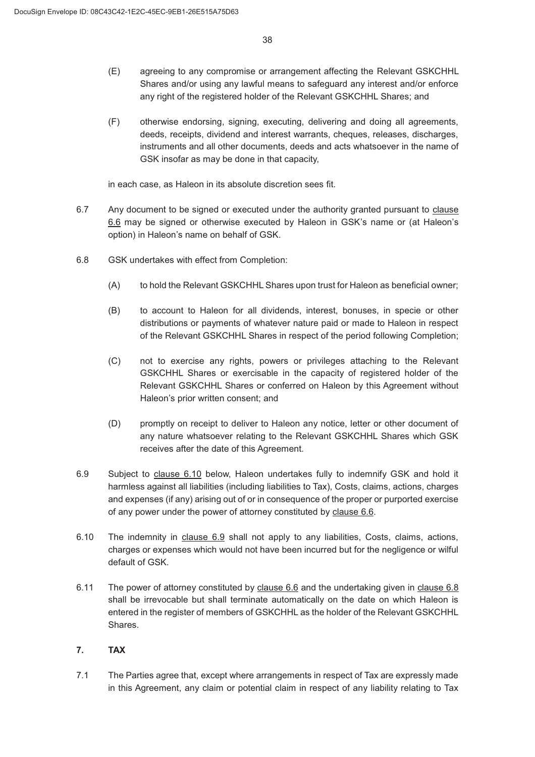- (E) agreeing to any compromise or arrangement affecting the Relevant GSKCHHL Shares and/or using any lawful means to safeguard any interest and/or enforce any right of the registered holder of the Relevant GSKCHHL Shares; and
- ) otherwise endorsing, signing, executing, delivering and doing all agreements, deeds, receipts, dividend and interest warrants, cheques, releases, discharges, instruments and all other documents, deeds and acts whatsoever in the name of GSK insofar as may be done in that capacity,

in each case, as Haleon in its absolute discretion sees fit.

- 6.7 Any document to be signed or executed under the authority granted pursuant to clause 6.6 may be signed or otherwise executed by Haleon in GSK's name or (at Haleon's option) in Haleon's name on behalf of GSK.
- GSK undertakes with effect from Completion:
	- (A) to hold the Relevant GSKCHHL Shares upon trust for Haleon as beneficial owner;
	- (B) to account to Haleon for all dividends, interest, bonuses, in specie or other distributions or payments of whatever nature paid or made to Haleon in respect of the Relevant GSKCHHL Shares in respect of the period following Completion;
	- & not to exercise any rights, powers or privileges attaching to the Relevant GSKCHHL Shares or exercisable in the capacity of registered holder of the Relevant GSKCHHL Shares or conferred on Haleon by this Agreement without Haleon's prior written consent; and
	- (D) promptly on receipt to deliver to Haleon any notice, letter or other document of any nature whatsoever relating to the Relevant GSKCHHL Shares which GSK receives after the date of this Agreement.
- Subject to clause 6.10 below, Haleon undertakes fully to indemnify GSK and hold it harmless against all liabilities (including liabilities to Tax), Costs, claims, actions, charges and expenses (if any) arising out of or in consequence of the proper or purported exercise of any power under the power of attorney constituted by clause 6.6.
- The indemnity in clause 6.9 shall not apply to any liabilities, Costs, claims, actions, charges or expenses which would not have been incurred but for the negligence or wilful default of GSK.
- 6.11 The power of attorney constituted by clause 6.6 and the undertaking given in clause 6.8 shall be irrevocable but shall terminate automatically on the date on which Haleon is entered in the register of members of GSKCHHL as the holder of the Relevant GSKCHHL Shares.

## **TAX**

 The Parties agree that, except where arrangements in respect of Tax are expressly made in this Agreement, any claim or potential claim in respect of any liability relating to Tax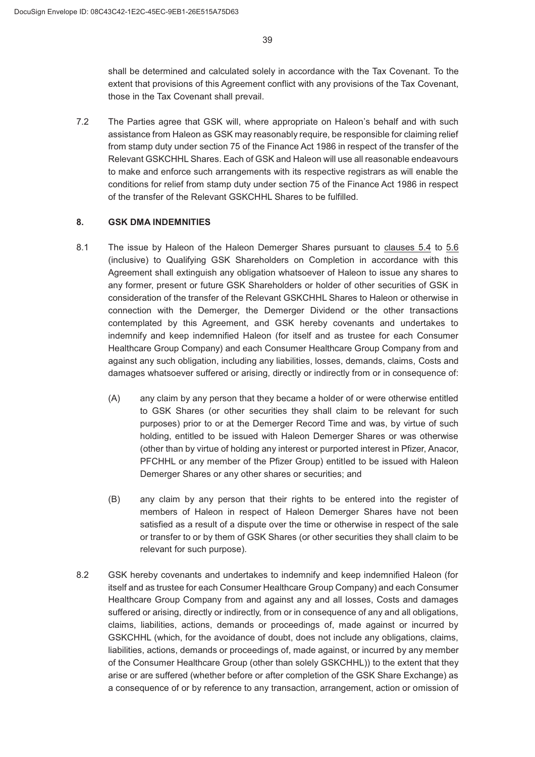shall be determined and calculated solely in accordance with the Tax Covenant. To the extent that provisions of this Agreement conflict with any provisions of the Tax Covenant, those in the Tax Covenant shall prevail.

 The Parties agree that GSK will, where appropriate on Haleon's behalf and with such assistance from Haleon as GSK may reasonably require, be responsible for claiming relief from stamp duty under section 75 of the Finance Act 1986 in respect of the transfer of the Relevant GSKCHHL Shares. Each of GSK and Haleon will use all reasonable endeavours to make and enforce such arrangements with its respective registrars as will enable the conditions for relief from stamp duty under section 75 of the Finance Act 1986 in respect of the transfer of the Relevant GSKCHHL Shares to be fulfilled.

### **GSK DMA INDEMNITIES**

- The issue by Haleon of the Haleon Demerger Shares pursuant to clauses 5.4 to 5.6 (inclusive) to Qualifying GSK Shareholders on Completion in accordance with this Agreement shall extinguish any obligation whatsoever of Haleon to issue any shares to any former, present or future GSK Shareholders or holder of other securities of GSK in consideration of the transfer of the Relevant GSKCHHL Shares to Haleon or otherwise in connection with the Demerger, the Demerger Dividend or the other transactions contemplated by this Agreement, and GSK hereby covenants and undertakes to indemnify and keep indemnified Haleon (for itself and as trustee for each Consumer Healthcare Group Company) and each Consumer Healthcare Group Company from and against any such obligation, including any liabilities, losses, demands, claims, Costs and damages whatsoever suffered or arising, directly or indirectly from or in consequence of:
	- (A) any claim by any person that they became a holder of or were otherwise entitled to GSK Shares (or other securities they shall claim to be relevant for such purposes) prior to or at the Demerger Record Time and was, by virtue of such holding, entitled to be issued with Haleon Demerger Shares or was otherwise (other than by virtue of holding any interest or purported interest in Pfizer, Anacor, PFCHHL or any member of the Pfizer Group) entitled to be issued with Haleon Demerger Shares or any other shares or securities; and
	- (B) any claim by any person that their rights to be entered into the register of members of Haleon in respect of Haleon Demerger Shares have not been satisfied as a result of a dispute over the time or otherwise in respect of the sale or transfer to or by them of GSK Shares (or other securities they shall claim to be relevant for such purpose).
- GSK hereby covenants and undertakes to indemnify and keep indemnified Haleon (for itself and as trustee for each Consumer Healthcare Group Company) and each Consumer Healthcare Group Company from and against any and all losses, Costs and damages suffered or arising, directly or indirectly, from or in consequence of any and all obligations, claims, liabilities, actions, demands or proceedings of, made against or incurred by GSKCHHL (which, for the avoidance of doubt, does not include any obligations, claims, liabilities, actions, demands or proceedings of, made against, or incurred by any member of the Consumer Healthcare Group (other than solely GSKCHHL)) to the extent that they arise or are suffered (whether before or after completion of the GSK Share Exchange) as a consequence of or by reference to any transaction, arrangement, action or omission of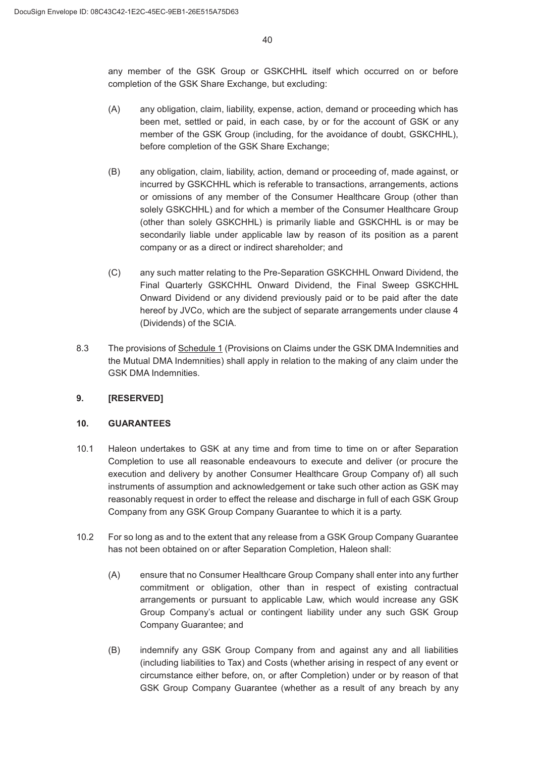any member of the GSK Group or GSKCHHL itself which occurred on or before completion of the GSK Share Exchange, but excluding:

- (A) any obligation, claim, liability, expense, action, demand or proceeding which has been met, settled or paid, in each case, by or for the account of GSK or any member of the GSK Group (including, for the avoidance of doubt, GSKCHHL), before completion of the GSK Share Exchange;
- (B) any obligation, claim, liability, action, demand or proceeding of, made against, or incurred by GSKCHHL which is referable to transactions, arrangements, actions or omissions of any member of the Consumer Healthcare Group (other than solely GSKCHHL) and for which a member of the Consumer Healthcare Group (other than solely GSKCHHL) is primarily liable and GSKCHHL is or may be secondarily liable under applicable law by reason of its position as a parent company or as a direct or indirect shareholder; and
- (C) any such matter relating to the Pre-Separation GSKCHHL Onward Dividend, the Final Quarterly GSKCHHL Onward Dividend, the Final Sweep GSKCHHL Onward Dividend or any dividend previously paid or to be paid after the date hereof by JVCo, which are the subject of separate arrangements under clause 4 (Dividends) of the SCIA.
- The provisions of Schedule 1 (Provisions on Claims under the GSK DMA Indemnities and the Mutual DMA Indemnities) shall apply in relation to the making of any claim under the GSK DMA Indemnities.

### **[RESERVED]**

### **GUARANTEES**

- 10.1 Haleon undertakes to GSK at any time and from time to time on or after Separation Completion to use all reasonable endeavours to execute and deliver (or procure the execution and delivery by another Consumer Healthcare Group Company of) all such instruments of assumption and acknowledgement or take such other action as GSK may reasonably request in order to effect the release and discharge in full of each GSK Group Company from any GSK Group Company Guarantee to which it is a party.
- For so long as and to the extent that any release from a GSK Group Company Guarantee has not been obtained on or after Separation Completion, Haleon shall:
	- (A) ensure that no Consumer Healthcare Group Company shall enter into any further commitment or obligation, other than in respect of existing contractual arrangements or pursuant to applicable Law, which would increase any GSK Group Company's actual or contingent liability under any such GSK Group Company Guarantee; and
	- (B) indemnify any GSK Group Company from and against any and all liabilities (including liabilities to Tax) and Costs (whether arising in respect of any event or circumstance either before, on, or after Completion) under or by reason of that GSK Group Company Guarantee (whether as a result of any breach by any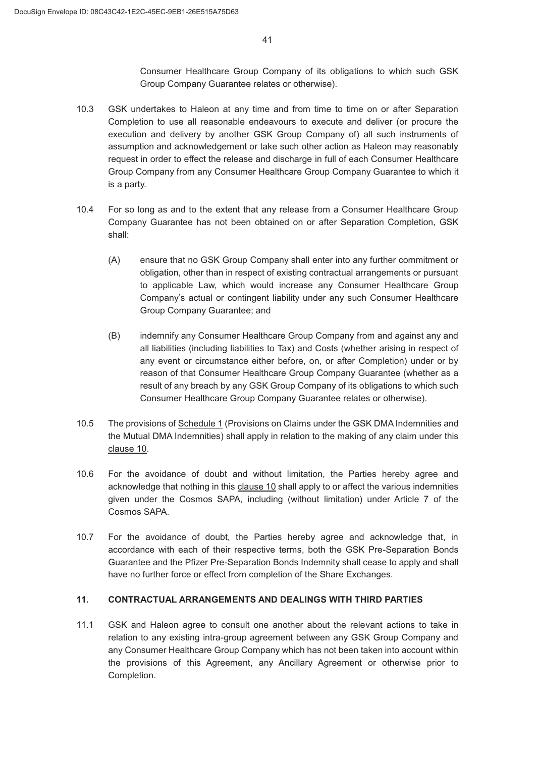Consumer Healthcare Group Company of its obligations to which such GSK Group Company Guarantee relates or otherwise).

- 10.3 GSK undertakes to Haleon at any time and from time to time on or after Separation Completion to use all reasonable endeavours to execute and deliver (or procure the execution and delivery by another GSK Group Company of) all such instruments of assumption and acknowledgement or take such other action as Haleon may reasonably request in order to effect the release and discharge in full of each Consumer Healthcare Group Company from any Consumer Healthcare Group Company Guarantee to which it is a party.
- 10.4 For so long as and to the extent that any release from a Consumer Healthcare Group Company Guarantee has not been obtained on or after Separation Completion, GSK shall:
	- (A) ensure that no GSK Group Company shall enter into any further commitment or obligation, other than in respect of existing contractual arrangements or pursuant to applicable Law, which would increase any Consumer Healthcare Group Company's actual or contingent liability under any such Consumer Healthcare Group Company Guarantee; and
	- % indemnify any Consumer Healthcare Group Company from and against any and all liabilities (including liabilities to Tax) and Costs (whether arising in respect of any event or circumstance either before, on, or after Completion) under or by reason of that Consumer Healthcare Group Company Guarantee (whether as a result of any breach by any GSK Group Company of its obligations to which such Consumer Healthcare Group Company Guarantee relates or otherwise).
- 10.5 The provisions of Schedule 1 (Provisions on Claims under the GSK DMA Indemnities and the Mutual DMA Indemnities) shall apply in relation to the making of any claim under this clause 10.
- 10.6 For the avoidance of doubt and without limitation, the Parties hereby agree and acknowledge that nothing in this clause 10 shall apply to or affect the various indemnities given under the Cosmos SAPA, including (without limitation) under Article 7 of the Cosmos SAPA.
- 10.7 For the avoidance of doubt, the Parties hereby agree and acknowledge that, in accordance with each of their respective terms, both the GSK Pre-Separation Bonds Guarantee and the Pfizer Pre-Separation Bonds Indemnity shall cease to apply and shall have no further force or effect from completion of the Share Exchanges.

## **CONTRACTUAL ARRANGEMENTS AND DEALINGS WITH THIRD PARTIES**

11.1 GSK and Haleon agree to consult one another about the relevant actions to take in relation to any existing intra-group agreement between any GSK Group Company and any Consumer Healthcare Group Company which has not been taken into account within the provisions of this Agreement, any Ancillary Agreement or otherwise prior to Completion.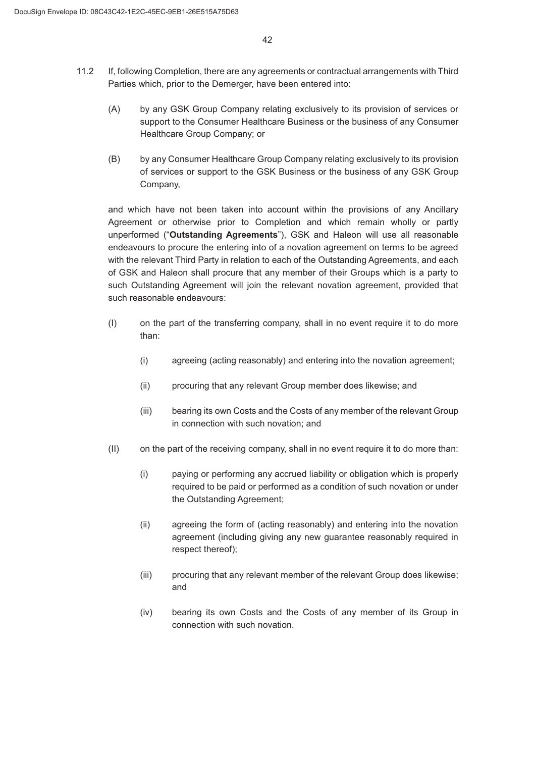- If, following Completion, there are any agreements or contractual arrangements with Third Parties which, prior to the Demerger, have been entered into:
	- (A) by any GSK Group Company relating exclusively to its provision of services or support to the Consumer Healthcare Business or the business of any Consumer Healthcare Group Company; or
	- (B) by any Consumer Healthcare Group Company relating exclusively to its provision of services or support to the GSK Business or the business of any GSK Group Company,

and which have not been taken into account within the provisions of any Ancillary Agreement or otherwise prior to Completion and which remain wholly or partly unperformed ("**Outstanding Agreements**"), GSK and Haleon will use all reasonable endeavours to procure the entering into of a novation agreement on terms to be agreed with the relevant Third Party in relation to each of the Outstanding Agreements, and each of GSK and Haleon shall procure that any member of their Groups which is a party to such Outstanding Agreement will join the relevant novation agreement, provided that such reasonable endeavours:

- , on the part of the transferring company, shall in no event require it to do more than:
	- (i) agreeing (acting reasonably) and entering into the novation agreement;
	- (ii) procuring that any relevant Group member does likewise; and
	- (iii) bearing its own Costs and the Costs of any member of the relevant Group in connection with such novation; and
- $\langle \mathsf{II} \rangle$  on the part of the receiving company, shall in no event require it to do more than:
	- (i) paying or performing any accrued liability or obligation which is properly required to be paid or performed as a condition of such novation or under the Outstanding Agreement;
	- (ii) agreeing the form of (acting reasonably) and entering into the novation agreement (including giving any new guarantee reasonably required in respect thereof);
	- (iii) procuring that any relevant member of the relevant Group does likewise; and
	- (iv) bearing its own Costs and the Costs of any member of its Group in connection with such novation.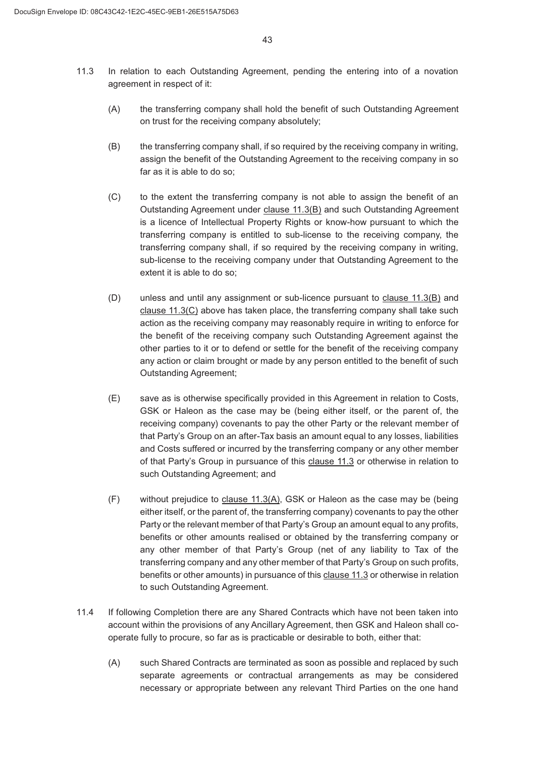- 11.3 In relation to each Outstanding Agreement, pending the entering into of a novation agreement in respect of it:
	- (A) the transferring company shall hold the benefit of such Outstanding Agreement on trust for the receiving company absolutely;
	- (B) the transferring company shall, if so required by the receiving company in writing. assign the benefit of the Outstanding Agreement to the receiving company in so far as it is able to do so;
	- (C) to the extent the transferring company is not able to assign the benefit of an Outstanding Agreement under clause 11.3(B) and such Outstanding Agreement is a licence of Intellectual Property Rights or know-how pursuant to which the transferring company is entitled to sub-license to the receiving company, the transferring company shall, if so required by the receiving company in writing, sub-license to the receiving company under that Outstanding Agreement to the extent it is able to do so;
	- (D) unless and until any assignment or sub-licence pursuant to clause 11.3(B) and clause 11.3(C) above has taken place, the transferring company shall take such action as the receiving company may reasonably require in writing to enforce for the benefit of the receiving company such Outstanding Agreement against the other parties to it or to defend or settle for the benefit of the receiving company any action or claim brought or made by any person entitled to the benefit of such Outstanding Agreement;
	- (E) save as is otherwise specifically provided in this Agreement in relation to Costs, GSK or Haleon as the case may be (being either itself, or the parent of, the receiving company) covenants to pay the other Party or the relevant member of that Party's Group on an after-Tax basis an amount equal to any losses, liabilities and Costs suffered or incurred by the transferring company or any other member of that Party's Group in pursuance of this clause 11.3 or otherwise in relation to such Outstanding Agreement; and
	- ) without prejudice to clause 11.3(A), GSK or Haleon as the case may be (being either itself, or the parent of, the transferring company) covenants to pay the other Party or the relevant member of that Party's Group an amount equal to any profits, benefits or other amounts realised or obtained by the transferring company or any other member of that Party's Group (net of any liability to Tax of the transferring company and any other member of that Party's Group on such profits, benefits or other amounts) in pursuance of this clause 11.3 or otherwise in relation to such Outstanding Agreement.
- 11.4 If following Completion there are any Shared Contracts which have not been taken into account within the provisions of any Ancillary Agreement, then GSK and Haleon shall cooperate fully to procure, so far as is practicable or desirable to both, either that:
	- (A) such Shared Contracts are terminated as soon as possible and replaced by such separate agreements or contractual arrangements as may be considered necessary or appropriate between any relevant Third Parties on the one hand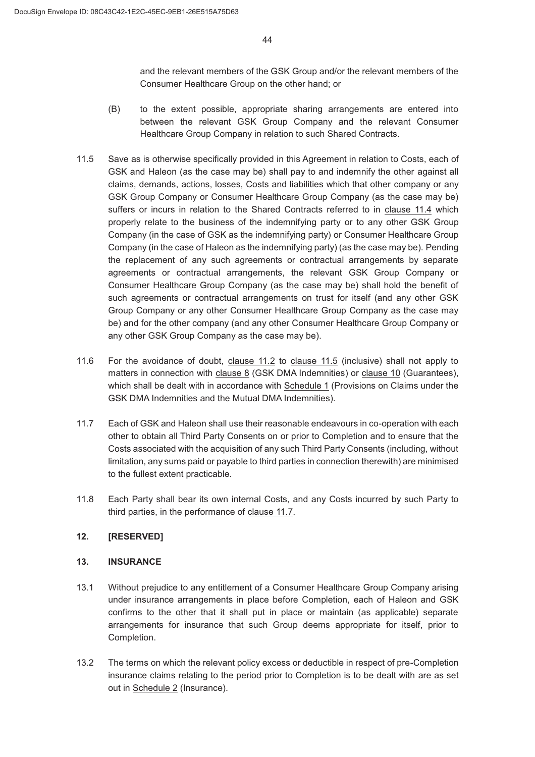and the relevant members of the GSK Group and/or the relevant members of the Consumer Healthcare Group on the other hand; or

- (B) to the extent possible, appropriate sharing arrangements are entered into between the relevant GSK Group Company and the relevant Consumer Healthcare Group Company in relation to such Shared Contracts.
- 11.5 Save as is otherwise specifically provided in this Agreement in relation to Costs, each of GSK and Haleon (as the case may be) shall pay to and indemnify the other against all claims, demands, actions, losses, Costs and liabilities which that other company or any GSK Group Company or Consumer Healthcare Group Company (as the case may be) suffers or incurs in relation to the Shared Contracts referred to in clause 11.4 which properly relate to the business of the indemnifying party or to any other GSK Group Company (in the case of GSK as the indemnifying party) or Consumer Healthcare Group Company (in the case of Haleon as the indemnifying party) (as the case may be). Pending the replacement of any such agreements or contractual arrangements by separate agreements or contractual arrangements, the relevant GSK Group Company or Consumer Healthcare Group Company (as the case may be) shall hold the benefit of such agreements or contractual arrangements on trust for itself (and any other GSK Group Company or any other Consumer Healthcare Group Company as the case may be) and for the other company (and any other Consumer Healthcare Group Company or any other GSK Group Company as the case may be).
- For the avoidance of doubt, clause 11.2 to clause 11.5 (inclusive) shall not apply to matters in connection with clause 8 (GSK DMA Indemnities) or clause 10 (Guarantees), which shall be dealt with in accordance with Schedule 1 (Provisions on Claims under the GSK DMA Indemnities and the Mutual DMA Indemnities).
- Each of GSK and Haleon shall use their reasonable endeavours in co-operation with each other to obtain all Third Party Consents on or prior to Completion and to ensure that the Costs associated with the acquisition of any such Third Party Consents (including, without limitation, any sums paid or payable to third parties in connection therewith) are minimised to the fullest extent practicable.
- Each Party shall bear its own internal Costs, and any Costs incurred by such Party to third parties, in the performance of clause 11.7.

### **[RESERVED]**

### **INSURANCE**

- Without prejudice to any entitlement of a Consumer Healthcare Group Company arising under insurance arrangements in place before Completion, each of Haleon and GSK confirms to the other that it shall put in place or maintain (as applicable) separate arrangements for insurance that such Group deems appropriate for itself, prior to Completion.
- 13.2 The terms on which the relevant policy excess or deductible in respect of pre-Completion insurance claims relating to the period prior to Completion is to be dealt with are as set out in Schedule 2 (Insurance).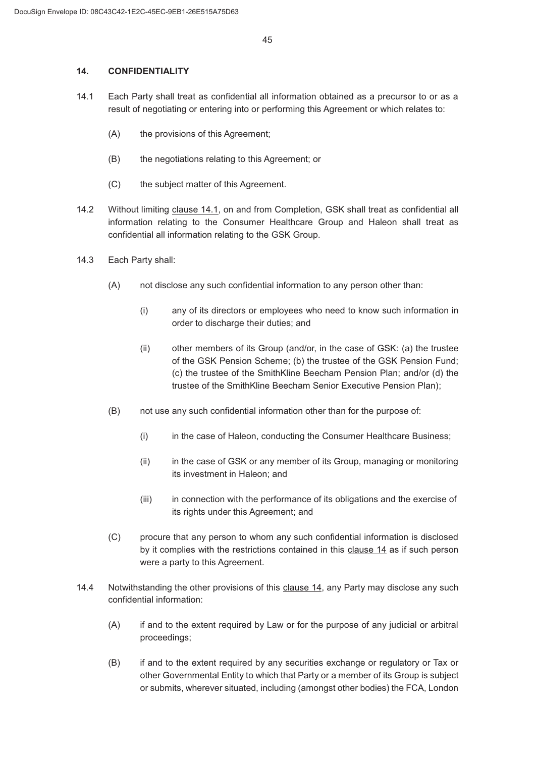### **CONFIDENTIALITY**

- Each Party shall treat as confidential all information obtained as a precursor to or as a result of negotiating or entering into or performing this Agreement or which relates to:
	- (A) the provisions of this Agreement;
	- (B) the negotiations relating to this Agreement; or
	- (C) the subject matter of this Agreement.
- 14.2 Without limiting clause 14.1, on and from Completion, GSK shall treat as confidential all information relating to the Consumer Healthcare Group and Haleon shall treat as confidential all information relating to the GSK Group.
- 14.3 Each Party shall:
	- (A) not disclose any such confidential information to any person other than:
		- (i) any of its directors or employees who need to know such information in order to discharge their duties; and
		- $(i)$  other members of its Group (and/or, in the case of GSK: (a) the trustee of the GSK Pension Scheme; (b) the trustee of the GSK Pension Fund; (c) the trustee of the SmithKline Beecham Pension Plan; and/or (d) the trustee of the SmithKline Beecham Senior Executive Pension Plan);
	- % not use any such confidential information other than for the purpose of:
		- (i) in the case of Haleon, conducting the Consumer Healthcare Business;
		- $(i)$  in the case of GSK or any member of its Group, managing or monitoring its investment in Haleon; and
		- $(iii)$  in connection with the performance of its obligations and the exercise of its rights under this Agreement; and
	- & procure that any person to whom any such confidential information is disclosed by it complies with the restrictions contained in this clause 14 as if such person were a party to this Agreement.
- 14.4 Notwithstanding the other provisions of this clause 14, any Party may disclose any such confidential information:
	- $(A)$  if and to the extent required by Law or for the purpose of any judicial or arbitral proceedings;
	- (B) if and to the extent required by any securities exchange or regulatory or Tax or other Governmental Entity to which that Party or a member of its Group is subject or submits, wherever situated, including (amongst other bodies) the FCA, London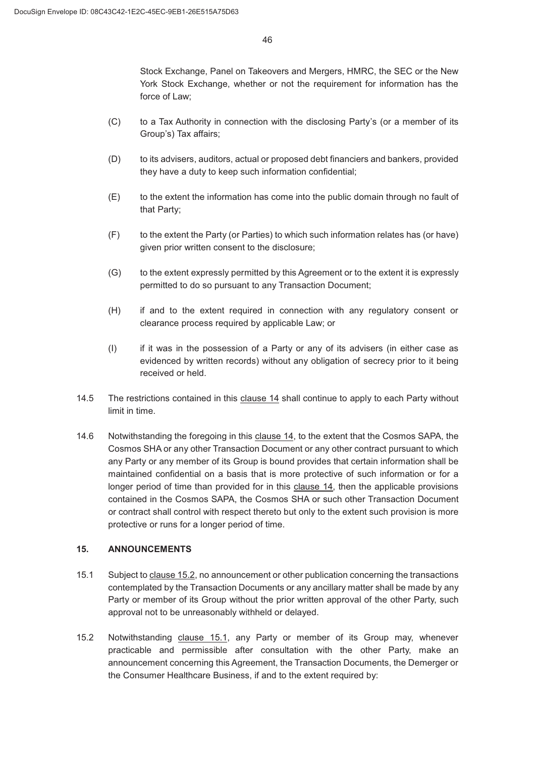Stock Exchange, Panel on Takeovers and Mergers, HMRC, the SEC or the New York Stock Exchange, whether or not the requirement for information has the force of Law;

- (C) to a Tax Authority in connection with the disclosing Party's (or a member of its Group's) Tax affairs;
- (D) to its advisers, auditors, actual or proposed debt financiers and bankers, provided they have a duty to keep such information confidential;
- (E) to the extent the information has come into the public domain through no fault of that Party;
- ) to the extent the Party (or Parties) to which such information relates has (or have) given prior written consent to the disclosure;
- (G) to the extent expressly permitted by this Agreement or to the extent it is expressly permitted to do so pursuant to any Transaction Document;
- (H) if and to the extent required in connection with any regulatory consent or clearance process required by applicable Law; or
- , if it was in the possession of a Party or any of its advisers (in either case as evidenced by written records) without any obligation of secrecy prior to it being received or held.
- 14.5 The restrictions contained in this clause 14 shall continue to apply to each Party without limit in time.
- 14.6 Notwithstanding the foregoing in this clause 14, to the extent that the Cosmos SAPA, the Cosmos SHA or any other Transaction Document or any other contract pursuant to which any Party or any member of its Group is bound provides that certain information shall be maintained confidential on a basis that is more protective of such information or for a longer period of time than provided for in this clause 14, then the applicable provisions contained in the Cosmos SAPA, the Cosmos SHA or such other Transaction Document or contract shall control with respect thereto but only to the extent such provision is more protective or runs for a longer period of time.

### **ANNOUNCEMENTS**

- 15.1 Subject to clause 15.2, no announcement or other publication concerning the transactions contemplated by the Transaction Documents or any ancillary matter shall be made by any Party or member of its Group without the prior written approval of the other Party, such approval not to be unreasonably withheld or delayed.
- 15.2 Notwithstanding clause 15.1, any Party or member of its Group may, whenever practicable and permissible after consultation with the other Party, make an announcement concerning this Agreement, the Transaction Documents, the Demerger or the Consumer Healthcare Business, if and to the extent required by: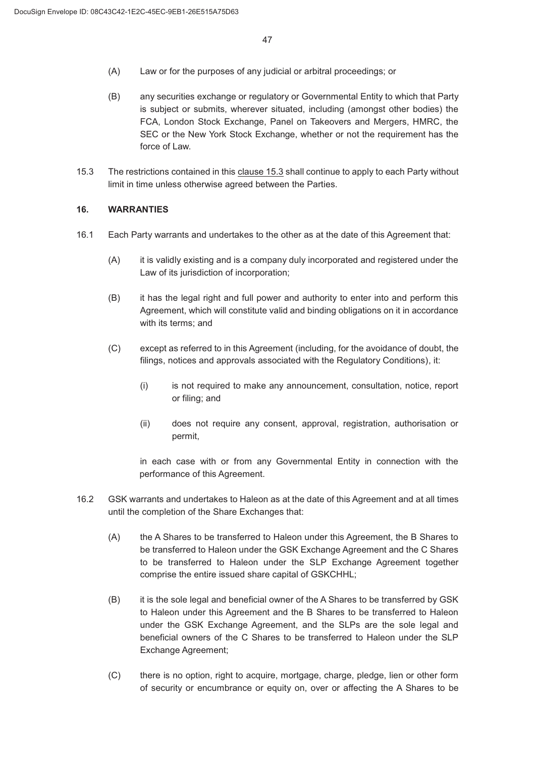- (A) Law or for the purposes of any judicial or arbitral proceedings; or
- (B) any securities exchange or regulatory or Governmental Entity to which that Party is subject or submits, wherever situated, including (amongst other bodies) the FCA, London Stock Exchange, Panel on Takeovers and Mergers, HMRC, the SEC or the New York Stock Exchange, whether or not the requirement has the force of Law.
- 15.3 The restrictions contained in this clause 15.3 shall continue to apply to each Party without limit in time unless otherwise agreed between the Parties.

#### **WARRANTIES**

- Each Party warrants and undertakes to the other as at the date of this Agreement that:
	- (A) it is validly existing and is a company duly incorporated and registered under the Law of its jurisdiction of incorporation;
	- % it has the legal right and full power and authority to enter into and perform this Agreement, which will constitute valid and binding obligations on it in accordance with its terms; and
	- & except as referred to in this Agreement (including, for the avoidance of doubt, the filings, notices and approvals associated with the Regulatory Conditions), it:
		- (i) is not required to make any announcement, consultation, notice, report or filing; and
		- (ii) does not require any consent, approval, registration, authorisation or permit,

in each case with or from any Governmental Entity in connection with the performance of this Agreement.

- GSK warrants and undertakes to Haleon as at the date of this Agreement and at all times until the completion of the Share Exchanges that:
	- (A) the A Shares to be transferred to Haleon under this Agreement, the B Shares to be transferred to Haleon under the GSK Exchange Agreement and the C Shares to be transferred to Haleon under the SLP Exchange Agreement together comprise the entire issued share capital of GSKCHHL;
	- (B) it is the sole legal and beneficial owner of the A Shares to be transferred by GSK to Haleon under this Agreement and the B Shares to be transferred to Haleon under the GSK Exchange Agreement, and the SLPs are the sole legal and beneficial owners of the C Shares to be transferred to Haleon under the SLP Exchange Agreement;
	- & there is no option, right to acquire, mortgage, charge, pledge, lien or other form of security or encumbrance or equity on, over or affecting the A Shares to be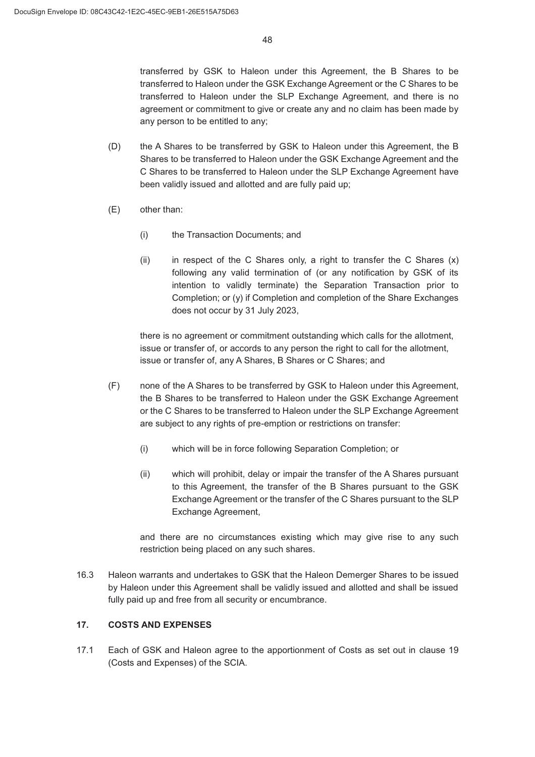transferred by GSK to Haleon under this Agreement, the B Shares to be transferred to Haleon under the GSK Exchange Agreement or the C Shares to be transferred to Haleon under the SLP Exchange Agreement, and there is no agreement or commitment to give or create any and no claim has been made by any person to be entitled to any;

- (D) the A Shares to be transferred by GSK to Haleon under this Agreement, the B Shares to be transferred to Haleon under the GSK Exchange Agreement and the C Shares to be transferred to Haleon under the SLP Exchange Agreement have been validly issued and allotted and are fully paid up;
- (E) other than:
	- (i) the Transaction Documents; and
	- (ii) in respect of the C Shares only, a right to transfer the C Shares  $(x)$ following any valid termination of (or any notification by GSK of its intention to validly terminate) the Separation Transaction prior to Completion; or (y) if Completion and completion of the Share Exchanges does not occur by 31 July 2023,

there is no agreement or commitment outstanding which calls for the allotment, issue or transfer of, or accords to any person the right to call for the allotment, issue or transfer of, any A Shares, B Shares or C Shares; and

- ) none of the A Shares to be transferred by GSK to Haleon under this Agreement, the B Shares to be transferred to Haleon under the GSK Exchange Agreement or the C Shares to be transferred to Haleon under the SLP Exchange Agreement are subject to any rights of pre-emption or restrictions on transfer:
	- (i) which will be in force following Separation Completion; or
	- $(i)$  which will prohibit, delay or impair the transfer of the A Shares pursuant to this Agreement, the transfer of the B Shares pursuant to the GSK Exchange Agreement or the transfer of the C Shares pursuant to the SLP Exchange Agreement,

and there are no circumstances existing which may give rise to any such restriction being placed on any such shares.

16.3 Haleon warrants and undertakes to GSK that the Haleon Demerger Shares to be issued by Haleon under this Agreement shall be validly issued and allotted and shall be issued fully paid up and free from all security or encumbrance.

### **COSTS AND EXPENSES**

17.1 Each of GSK and Haleon agree to the apportionment of Costs as set out in clause 19 (Costs and Expenses) of the SCIA.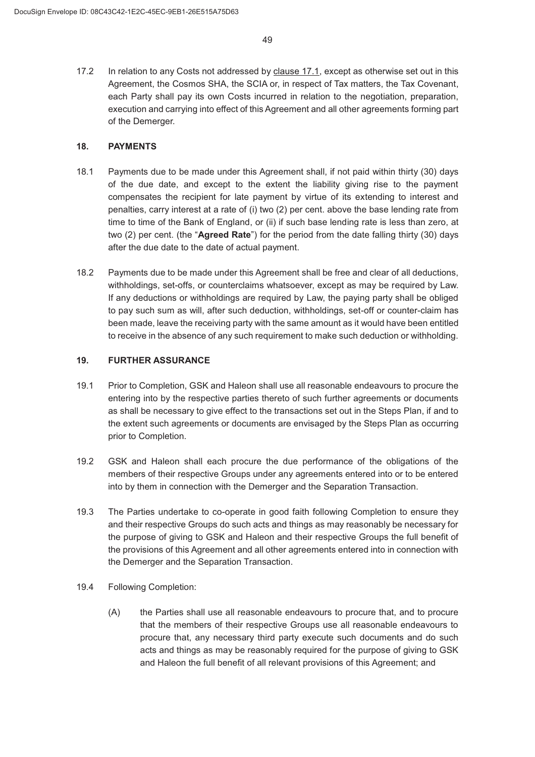17.2 In relation to any Costs not addressed by clause 17.1, except as otherwise set out in this Agreement, the Cosmos SHA, the SCIA or, in respect of Tax matters, the Tax Covenant, each Party shall pay its own Costs incurred in relation to the negotiation, preparation, execution and carrying into effect of this Agreement and all other agreements forming part of the Demerger.

### **PAYMENTS**

- Payments due to be made under this Agreement shall, if not paid within thirty (30) days of the due date, and except to the extent the liability giving rise to the payment compensates the recipient for late payment by virtue of its extending to interest and penalties, carry interest at a rate of (i) two (2) per cent. above the base lending rate from time to time of the Bank of England, or (ii) if such base lending rate is less than zero, at two (2) per cent. (the "**Agreed Rate**") for the period from the date falling thirty (30) days after the due date to the date of actual payment.
- 18.2 Payments due to be made under this Agreement shall be free and clear of all deductions, withholdings, set-offs, or counterclaims whatsoever, except as may be required by Law. If any deductions or withholdings are required by Law, the paying party shall be obliged to pay such sum as will, after such deduction, withholdings, set-off or counter-claim has been made, leave the receiving party with the same amount as it would have been entitled to receive in the absence of any such requirement to make such deduction or withholding.

#### **FURTHER ASSURANCE**

- 19.1 Prior to Completion, GSK and Haleon shall use all reasonable endeavours to procure the entering into by the respective parties thereto of such further agreements or documents as shall be necessary to give effect to the transactions set out in the Steps Plan, if and to the extent such agreements or documents are envisaged by the Steps Plan as occurring prior to Completion.
- GSK and Haleon shall each procure the due performance of the obligations of the members of their respective Groups under any agreements entered into or to be entered into by them in connection with the Demerger and the Separation Transaction.
- 19.3 The Parties undertake to co-operate in good faith following Completion to ensure they and their respective Groups do such acts and things as may reasonably be necessary for the purpose of giving to GSK and Haleon and their respective Groups the full benefit of the provisions of this Agreement and all other agreements entered into in connection with the Demerger and the Separation Transaction.
- 19.4 Following Completion:
	- (A) the Parties shall use all reasonable endeavours to procure that, and to procure that the members of their respective Groups use all reasonable endeavours to procure that, any necessary third party execute such documents and do such acts and things as may be reasonably required for the purpose of giving to GSK and Haleon the full benefit of all relevant provisions of this Agreement; and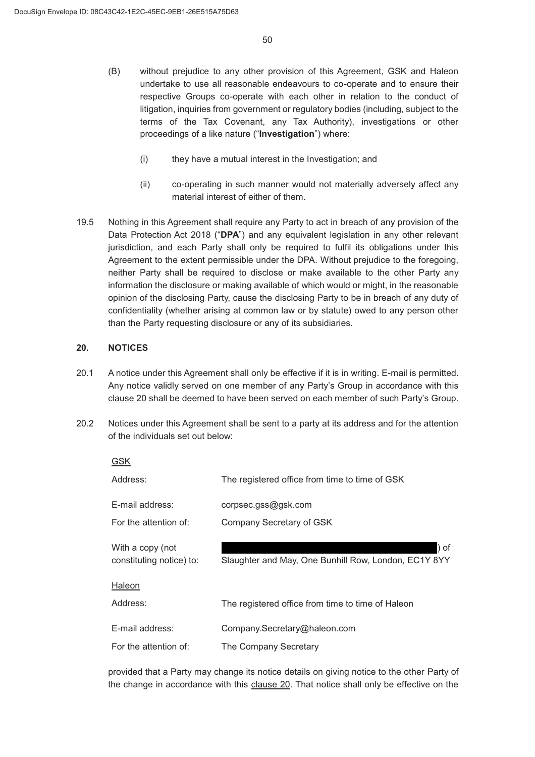- (B) without prejudice to any other provision of this Agreement, GSK and Haleon undertake to use all reasonable endeavours to co-operate and to ensure their respective Groups co-operate with each other in relation to the conduct of litigation, inquiries from government or regulatory bodies (including, subject to the terms of the Tax Covenant, any Tax Authority), investigations or other proceedings of a like nature ("**Investigation**") where:
	- (i) they have a mutual interest in the Investigation; and
	- $(i)$  co-operating in such manner would not materially adversely affect any material interest of either of them.
- 19.5 Nothing in this Agreement shall require any Party to act in breach of any provision of the Data Protection Act 2018 ("**DPA**") and any equivalent legislation in any other relevant jurisdiction, and each Party shall only be required to fulfil its obligations under this Agreement to the extent permissible under the DPA. Without prejudice to the foregoing, neither Party shall be required to disclose or make available to the other Party any information the disclosure or making available of which would or might, in the reasonable opinion of the disclosing Party, cause the disclosing Party to be in breach of any duty of confidentiality (whether arising at common law or by statute) owed to any person other than the Party requesting disclosure or any of its subsidiaries.

#### **NOTICES**

- A notice under this Agreement shall only be effective if it is in writing. E-mail is permitted. Any notice validly served on one member of any Party's Group in accordance with this clause 20 shall be deemed to have been served on each member of such Party's Group.
- 20.2 Notices under this Agreement shall be sent to a party at its address and for the attention of the individuals set out below:

| GSK                                          |                                                              |
|----------------------------------------------|--------------------------------------------------------------|
| Address:                                     | The registered office from time to time of GSK               |
| E-mail address:                              | corpsec.gss@gsk.com                                          |
| For the attention of:                        | Company Secretary of GSK                                     |
| With a copy (not<br>constituting notice) to: | ) of<br>Slaughter and May, One Bunhill Row, London, EC1Y 8YY |
| Haleon                                       |                                                              |
| Address:                                     | The registered office from time to time of Haleon            |
| E-mail address:                              | Company.Secretary@haleon.com                                 |
| For the attention of:                        | The Company Secretary                                        |

provided that a Party may change its notice details on giving notice to the other Party of the change in accordance with this clause 20. That notice shall only be effective on the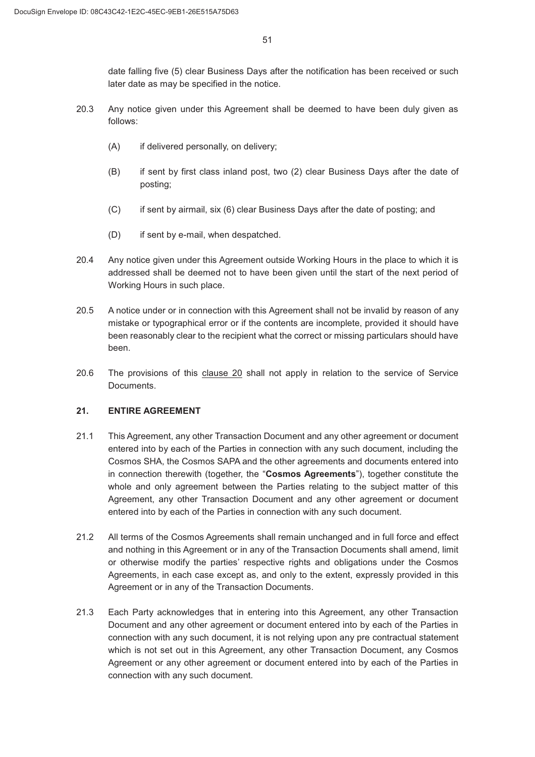date falling five (5) clear Business Days after the notification has been received or such later date as may be specified in the notice.

- Any notice given under this Agreement shall be deemed to have been duly given as follows:
	- (A) if delivered personally, on delivery;
	- (B) if sent by first class inland post, two (2) clear Business Days after the date of posting;
	- & if sent by airmail, six (6) clear Business Days after the date of posting; and
	- (D) if sent by e-mail, when despatched.
- 20.4 Any notice given under this Agreement outside Working Hours in the place to which it is addressed shall be deemed not to have been given until the start of the next period of Working Hours in such place.
- A notice under or in connection with this Agreement shall not be invalid by reason of any mistake or typographical error or if the contents are incomplete, provided it should have been reasonably clear to the recipient what the correct or missing particulars should have been.
- 20.6 The provisions of this clause 20 shall not apply in relation to the service of Service Documents.

### **ENTIRE AGREEMENT**

- 21.1 This Agreement, any other Transaction Document and any other agreement or document entered into by each of the Parties in connection with any such document, including the Cosmos SHA, the Cosmos SAPA and the other agreements and documents entered into in connection therewith (together, the "**Cosmos Agreements**"), together constitute the whole and only agreement between the Parties relating to the subject matter of this Agreement, any other Transaction Document and any other agreement or document entered into by each of the Parties in connection with any such document.
- All terms of the Cosmos Agreements shall remain unchanged and in full force and effect and nothing in this Agreement or in any of the Transaction Documents shall amend, limit or otherwise modify the parties' respective rights and obligations under the Cosmos Agreements, in each case except as, and only to the extent, expressly provided in this Agreement or in any of the Transaction Documents.
- Each Party acknowledges that in entering into this Agreement, any other Transaction Document and any other agreement or document entered into by each of the Parties in connection with any such document, it is not relying upon any pre contractual statement which is not set out in this Agreement, any other Transaction Document, any Cosmos Agreement or any other agreement or document entered into by each of the Parties in connection with any such document.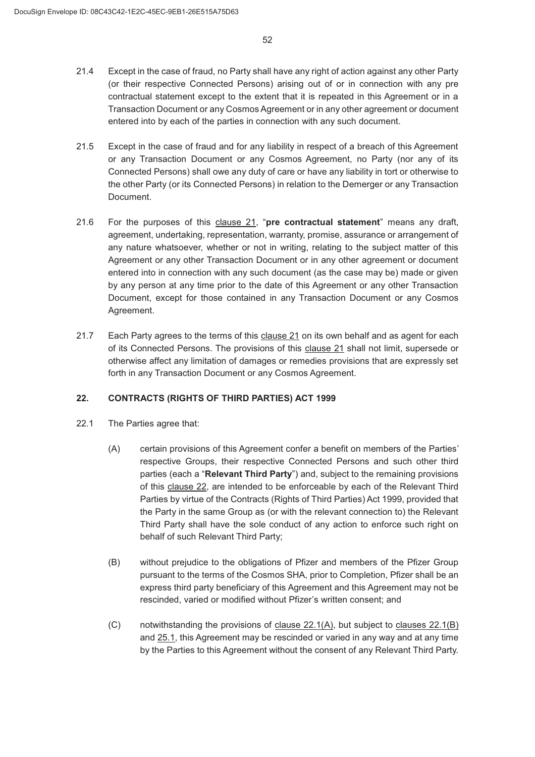- Except in the case of fraud, no Party shall have any right of action against any other Party (or their respective Connected Persons) arising out of or in connection with any pre contractual statement except to the extent that it is repeated in this Agreement or in a Transaction Document or any Cosmos Agreement or in any other agreement or document entered into by each of the parties in connection with any such document.
- Except in the case of fraud and for any liability in respect of a breach of this Agreement or any Transaction Document or any Cosmos Agreement, no Party (nor any of its Connected Persons) shall owe any duty of care or have any liability in tort or otherwise to the other Party (or its Connected Persons) in relation to the Demerger or any Transaction Document.
- For the purposes of this clause 21, "**pre contractual statement**" means any draft, agreement, undertaking, representation, warranty, promise, assurance or arrangement of any nature whatsoever, whether or not in writing, relating to the subject matter of this Agreement or any other Transaction Document or in any other agreement or document entered into in connection with any such document (as the case may be) made or given by any person at any time prior to the date of this Agreement or any other Transaction Document, except for those contained in any Transaction Document or any Cosmos Agreement.
- Each Party agrees to the terms of this clause 21 on its own behalf and as agent for each of its Connected Persons. The provisions of this clause 21 shall not limit, supersede or otherwise affect any limitation of damages or remedies provisions that are expressly set forth in any Transaction Document or any Cosmos Agreement.

### **CONTRACTS (RIGHTS OF THIRD PARTIES) ACT 1999**

- 22.1 The Parties agree that:
	- (A) certain provisions of this Agreement confer a benefit on members of the Parties' respective Groups, their respective Connected Persons and such other third parties (each a "**Relevant Third Party**") and, subject to the remaining provisions of this clause 22, are intended to be enforceable by each of the Relevant Third Parties by virtue of the Contracts (Rights of Third Parties) Act 1999, provided that the Party in the same Group as (or with the relevant connection to) the Relevant Third Party shall have the sole conduct of any action to enforce such right on behalf of such Relevant Third Party;
	- (B) without prejudice to the obligations of Pfizer and members of the Pfizer Group pursuant to the terms of the Cosmos SHA, prior to Completion, Pfizer shall be an express third party beneficiary of this Agreement and this Agreement may not be rescinded, varied or modified without Pfizer's written consent; and
	- $(C)$  notwithstanding the provisions of clause 22.1(A), but subject to clauses 22.1(B) and 25.1, this Agreement may be rescinded or varied in any way and at any time by the Parties to this Agreement without the consent of any Relevant Third Party.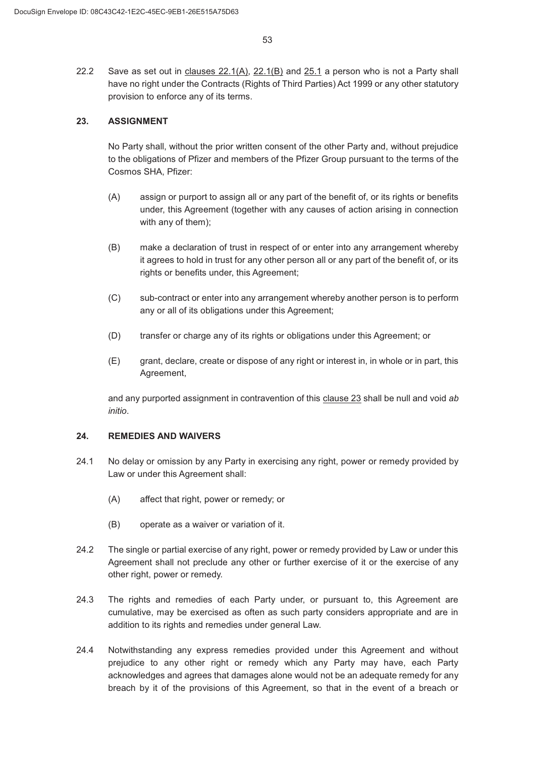22.2 Save as set out in clauses  $22.1(A)$ ,  $22.1(B)$  and  $25.1$  a person who is not a Party shall have no right under the Contracts (Rights of Third Parties) Act 1999 or any other statutory provision to enforce any of its terms.

### **ASSIGNMENT**

No Party shall, without the prior written consent of the other Party and, without prejudice to the obligations of Pfizer and members of the Pfizer Group pursuant to the terms of the Cosmos SHA, Pfizer:

- (A) assign or purport to assign all or any part of the benefit of, or its rights or benefits under, this Agreement (together with any causes of action arising in connection with any of them);
- (B) make a declaration of trust in respect of or enter into any arrangement whereby it agrees to hold in trust for any other person all or any part of the benefit of, or its rights or benefits under, this Agreement;
- (C) sub-contract or enter into any arrangement whereby another person is to perform any or all of its obligations under this Agreement;
- (D) transfer or charge any of its rights or obligations under this Agreement; or
- $(E)$  grant, declare, create or dispose of any right or interest in, in whole or in part, this Agreement,

and any purported assignment in contravention of this clause 23 shall be null and void *ab initio*.

### **REMEDIES AND WAIVERS**

- 24.1 No delay or omission by any Party in exercising any right, power or remedy provided by Law or under this Agreement shall:
	- $(A)$  affect that right, power or remedy; or
	- (B) operate as a waiver or variation of it.
- The single or partial exercise of any right, power or remedy provided by Law or under this Agreement shall not preclude any other or further exercise of it or the exercise of any other right, power or remedy.
- 24.3 The rights and remedies of each Party under, or pursuant to, this Agreement are cumulative, may be exercised as often as such party considers appropriate and are in addition to its rights and remedies under general Law.
- 24.4 Notwithstanding any express remedies provided under this Agreement and without prejudice to any other right or remedy which any Party may have, each Party acknowledges and agrees that damages alone would not be an adequate remedy for any breach by it of the provisions of this Agreement, so that in the event of a breach or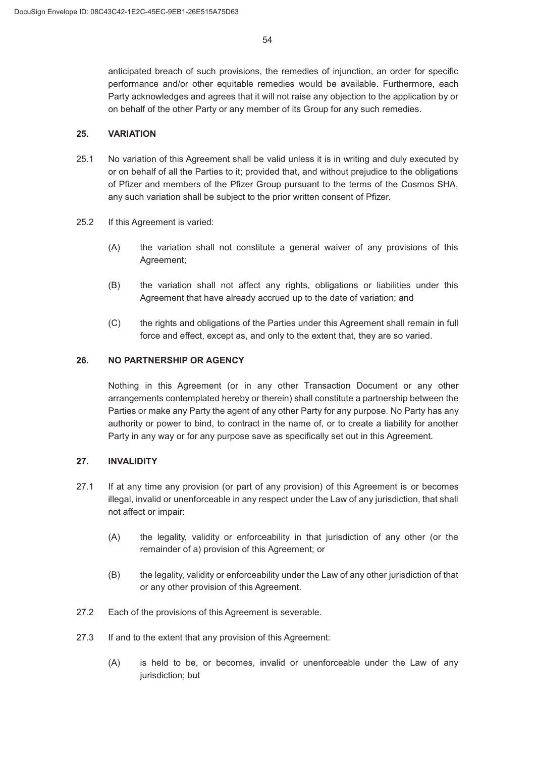anticipated breach of such provisions, the remedies of injunction, an order for specific performance and/or other equitable remedies would be available. Furthermore, each Party acknowledges and agrees that it will not raise any objection to the application by or on behalf of the other Party or any member of its Group for any such remedies.

### **VARIATION**

- 25.1 No variation of this Agreement shall be valid unless it is in writing and duly executed by or on behalf of all the Parties to it; provided that, and without prejudice to the obligations of Pfizer and members of the Pfizer Group pursuant to the terms of the Cosmos SHA, any such variation shall be subject to the prior written consent of Pfizer.
- 25.2 If this Agreement is varied:
	- (A) the variation shall not constitute a general waiver of any provisions of this Agreement;
	- % the variation shall not affect any rights, obligations or liabilities under this Agreement that have already accrued up to the date of variation; and
	- & the rights and obligations of the Parties under this Agreement shall remain in full force and effect, except as, and only to the extent that, they are so varied.

#### **NO PARTNERSHIP OR AGENCY**

Nothing in this Agreement (or in any other Transaction Document or any other arrangements contemplated hereby or therein) shall constitute a partnership between the Parties or make any Party the agent of any other Party for any purpose. No Party has any authority or power to bind, to contract in the name of, or to create a liability for another Party in any way or for any purpose save as specifically set out in this Agreement.

#### 27. **INVALIDITY**

- 27.1 If at any time any provision (or part of any provision) of this Agreement is or becomes illegal, invalid or unenforceable in any respect under the Law of any jurisdiction, that shall not affect or impair:
	- (A) the legality, validity or enforceability in that jurisdiction of any other (or the remainder of a) provision of this Agreement; or
	- (B) the legality, validity or enforceability under the Law of any other jurisdiction of that or any other provision of this Agreement.
- 27.2 Each of the provisions of this Agreement is severable.
- 27.3 If and to the extent that any provision of this Agreement:
	- (A) is held to be, or becomes, invalid or unenforceable under the Law of any jurisdiction; but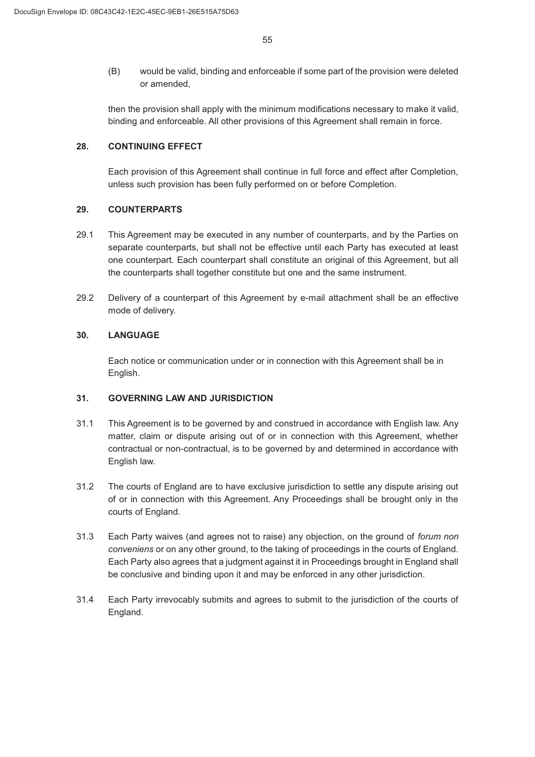(B) would be valid, binding and enforceable if some part of the provision were deleted or amended,

then the provision shall apply with the minimum modifications necessary to make it valid, binding and enforceable. All other provisions of this Agreement shall remain in force.

#### **CONTINUING EFFECT**

Each provision of this Agreement shall continue in full force and effect after Completion, unless such provision has been fully performed on or before Completion.

#### **COUNTERPARTS**

- 29.1 This Agreement may be executed in any number of counterparts, and by the Parties on separate counterparts, but shall not be effective until each Party has executed at least one counterpart. Each counterpart shall constitute an original of this Agreement, but all the counterparts shall together constitute but one and the same instrument.
- 29.2 Delivery of a counterpart of this Agreement by e-mail attachment shall be an effective mode of delivery.

#### **LANGUAGE**

Each notice or communication under or in connection with this Agreement shall be in English.

#### **GOVERNING LAW AND JURISDICTION**

- 31.1 This Agreement is to be governed by and construed in accordance with English law. Any matter, claim or dispute arising out of or in connection with this Agreement, whether contractual or non-contractual, is to be governed by and determined in accordance with English law.
- The courts of England are to have exclusive jurisdiction to settle any dispute arising out of or in connection with this Agreement. Any Proceedings shall be brought only in the courts of England.
- Each Party waives (and agrees not to raise) any objection, on the ground of *forum non conveniens* or on any other ground, to the taking of proceedings in the courts of England. Each Party also agrees that a judgment against it in Proceedings brought in England shall be conclusive and binding upon it and may be enforced in any other jurisdiction.
- Each Party irrevocably submits and agrees to submit to the jurisdiction of the courts of England.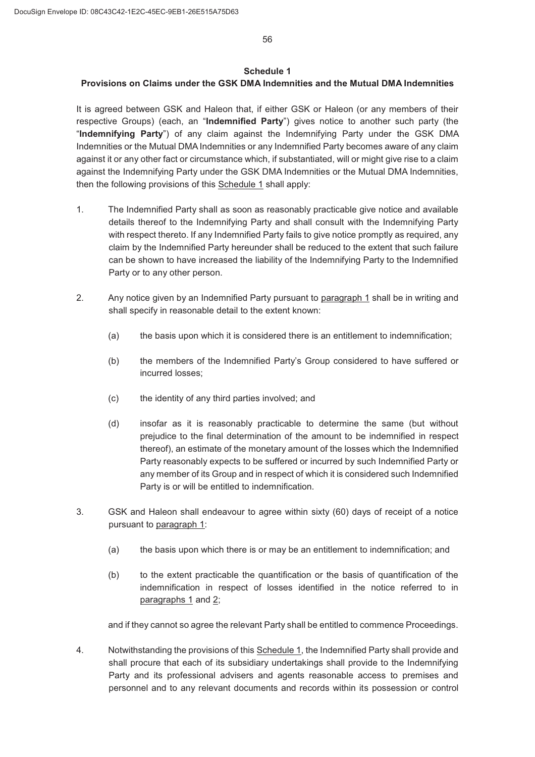#### **Schedule 1**

## **Provisions on Claims under the GSK DMA Indemnities and the Mutual DMA Indemnities**

It is agreed between GSK and Haleon that, if either GSK or Haleon (or any members of their respective Groups) (each, an "**Indemnified Party**") gives notice to another such party (the "**Indemnifying Party**") of any claim against the Indemnifying Party under the GSK DMA Indemnities or the Mutual DMA Indemnities or any Indemnified Party becomes aware of any claim against it or any other fact or circumstance which, if substantiated, will or might give rise to a claim against the Indemnifying Party under the GSK DMA Indemnities or the Mutual DMA Indemnities, then the following provisions of this Schedule 1 shall apply:

- The Indemnified Party shall as soon as reasonably practicable give notice and available details thereof to the Indemnifying Party and shall consult with the Indemnifying Party with respect thereto. If any Indemnified Party fails to give notice promptly as required, any claim by the Indemnified Party hereunder shall be reduced to the extent that such failure can be shown to have increased the liability of the Indemnifying Party to the Indemnified Party or to any other person.
- Any notice given by an Indemnified Party pursuant to paragraph 1 shall be in writing and shall specify in reasonable detail to the extent known:
	- $\alpha$  the basis upon which it is considered there is an entitlement to indemnification;
	- (b) the members of the Indemnified Party's Group considered to have suffered or incurred losses;
	- (c) the identity of any third parties involved; and
	- (d) insofar as it is reasonably practicable to determine the same (but without prejudice to the final determination of the amount to be indemnified in respect thereof), an estimate of the monetary amount of the losses which the Indemnified Party reasonably expects to be suffered or incurred by such Indemnified Party or any member of its Group and in respect of which it is considered such Indemnified Party is or will be entitled to indemnification.
- GSK and Haleon shall endeavour to agree within sixty (60) days of receipt of a notice pursuant to paragraph 1:
	- $\alpha$  the basis upon which there is or may be an entitlement to indemnification; and
	- (b) to the extent practicable the quantification or the basis of quantification of the indemnification in respect of losses identified in the notice referred to in paragraphs 1 and 2;

and if they cannot so agree the relevant Party shall be entitled to commence Proceedings.

 Notwithstanding the provisions of this Schedule 1, the Indemnified Party shall provide and shall procure that each of its subsidiary undertakings shall provide to the Indemnifying Party and its professional advisers and agents reasonable access to premises and personnel and to any relevant documents and records within its possession or control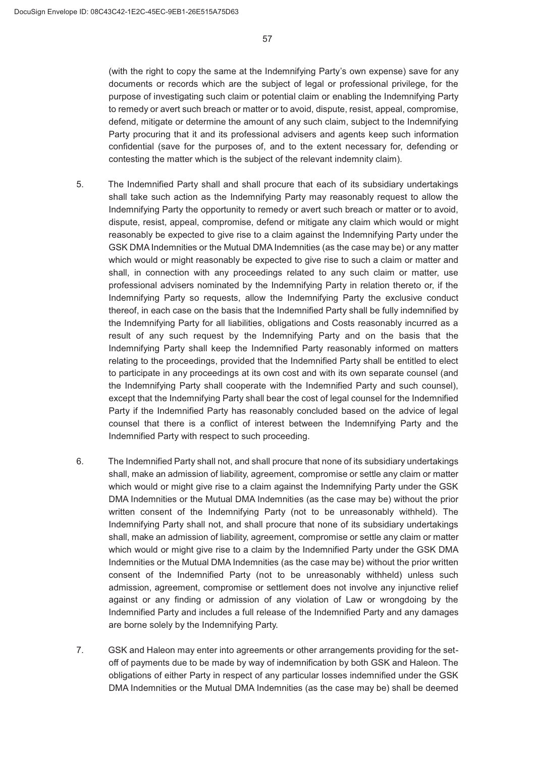(with the right to copy the same at the Indemnifying Party's own expense) save for any documents or records which are the subject of legal or professional privilege, for the purpose of investigating such claim or potential claim or enabling the Indemnifying Party to remedy or avert such breach or matter or to avoid, dispute, resist, appeal, compromise, defend, mitigate or determine the amount of any such claim, subject to the Indemnifying Party procuring that it and its professional advisers and agents keep such information confidential (save for the purposes of, and to the extent necessary for, defending or contesting the matter which is the subject of the relevant indemnity claim).

- The Indemnified Party shall and shall procure that each of its subsidiary undertakings shall take such action as the Indemnifying Party may reasonably request to allow the Indemnifying Party the opportunity to remedy or avert such breach or matter or to avoid, dispute, resist, appeal, compromise, defend or mitigate any claim which would or might reasonably be expected to give rise to a claim against the Indemnifying Party under the GSK DMA Indemnities or the Mutual DMA Indemnities (as the case may be) or any matter which would or might reasonably be expected to give rise to such a claim or matter and shall, in connection with any proceedings related to any such claim or matter, use professional advisers nominated by the Indemnifying Party in relation thereto or, if the Indemnifying Party so requests, allow the Indemnifying Party the exclusive conduct thereof, in each case on the basis that the Indemnified Party shall be fully indemnified by the Indemnifying Party for all liabilities, obligations and Costs reasonably incurred as a result of any such request by the Indemnifying Party and on the basis that the Indemnifying Party shall keep the Indemnified Party reasonably informed on matters relating to the proceedings, provided that the Indemnified Party shall be entitled to elect to participate in any proceedings at its own cost and with its own separate counsel (and the Indemnifying Party shall cooperate with the Indemnified Party and such counsel), except that the Indemnifying Party shall bear the cost of legal counsel for the Indemnified Party if the Indemnified Party has reasonably concluded based on the advice of legal counsel that there is a conflict of interest between the Indemnifying Party and the Indemnified Party with respect to such proceeding.
- The Indemnified Party shall not, and shall procure that none of its subsidiary undertakings shall, make an admission of liability, agreement, compromise or settle any claim or matter which would or might give rise to a claim against the Indemnifying Party under the GSK DMA Indemnities or the Mutual DMA Indemnities (as the case may be) without the prior written consent of the Indemnifying Party (not to be unreasonably withheld). The Indemnifying Party shall not, and shall procure that none of its subsidiary undertakings shall, make an admission of liability, agreement, compromise or settle any claim or matter which would or might give rise to a claim by the Indemnified Party under the GSK DMA Indemnities or the Mutual DMA Indemnities (as the case may be) without the prior written consent of the Indemnified Party (not to be unreasonably withheld) unless such admission, agreement, compromise or settlement does not involve any injunctive relief against or any finding or admission of any violation of Law or wrongdoing by the Indemnified Party and includes a full release of the Indemnified Party and any damages are borne solely by the Indemnifying Party.
- GSK and Haleon may enter into agreements or other arrangements providing for the setoff of payments due to be made by way of indemnification by both GSK and Haleon. The obligations of either Party in respect of any particular losses indemnified under the GSK DMA Indemnities or the Mutual DMA Indemnities (as the case may be) shall be deemed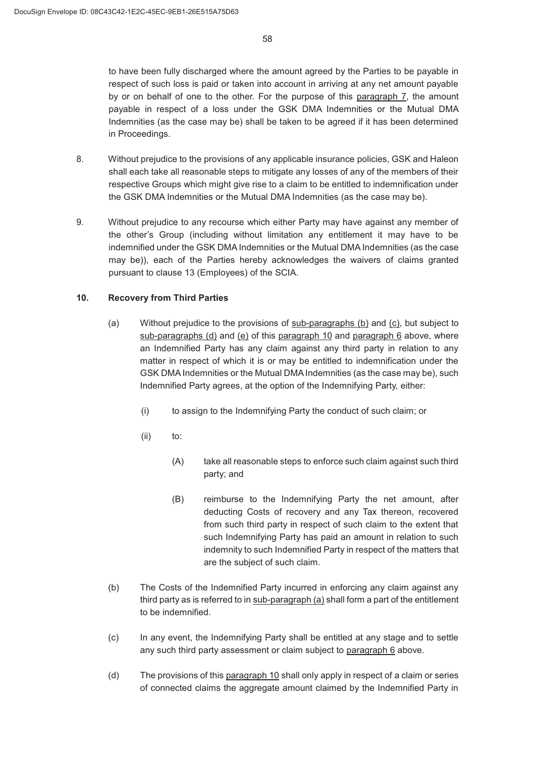to have been fully discharged where the amount agreed by the Parties to be payable in respect of such loss is paid or taken into account in arriving at any net amount payable by or on behalf of one to the other. For the purpose of this paragraph 7, the amount payable in respect of a loss under the GSK DMA Indemnities or the Mutual DMA Indemnities (as the case may be) shall be taken to be agreed if it has been determined in Proceedings.

- Without prejudice to the provisions of any applicable insurance policies, GSK and Haleon shall each take all reasonable steps to mitigate any losses of any of the members of their respective Groups which might give rise to a claim to be entitled to indemnification under the GSK DMA Indemnities or the Mutual DMA Indemnities (as the case may be).
- Without prejudice to any recourse which either Party may have against any member of the other's Group (including without limitation any entitlement it may have to be indemnified under the GSK DMA Indemnities or the Mutual DMA Indemnities (as the case may be)), each of the Parties hereby acknowledges the waivers of claims granted pursuant to clause 13 (Employees) of the SCIA.

#### **Recovery from Third Parties**

- $(a)$  Without prejudice to the provisions of sub-paragraphs  $(b)$  and  $(c)$ , but subject to sub-paragraphs (d) and (e) of this paragraph 10 and paragraph 6 above, where an Indemnified Party has any claim against any third party in relation to any matter in respect of which it is or may be entitled to indemnification under the GSK DMA Indemnities or the Mutual DMA Indemnities (as the case may be), such Indemnified Party agrees, at the option of the Indemnifying Party, either:
	- $(i)$  to assign to the Indemnifying Party the conduct of such claim; or
	- $(ii)$  to:
		- (A) take all reasonable steps to enforce such claim against such third party; and
		- (B) reimburse to the Indemnifying Party the net amount, after deducting Costs of recovery and any Tax thereon, recovered from such third party in respect of such claim to the extent that such Indemnifying Party has paid an amount in relation to such indemnity to such Indemnified Party in respect of the matters that are the subject of such claim.
- (b) The Costs of the Indemnified Party incurred in enforcing any claim against any third party as is referred to in sub-paragraph (a) shall form a part of the entitlement to be indemnified.
- (c) In any event, the Indemnifying Party shall be entitled at any stage and to settle any such third party assessment or claim subject to paragraph 6 above.
- (d) The provisions of this paragraph 10 shall only apply in respect of a claim or series of connected claims the aggregate amount claimed by the Indemnified Party in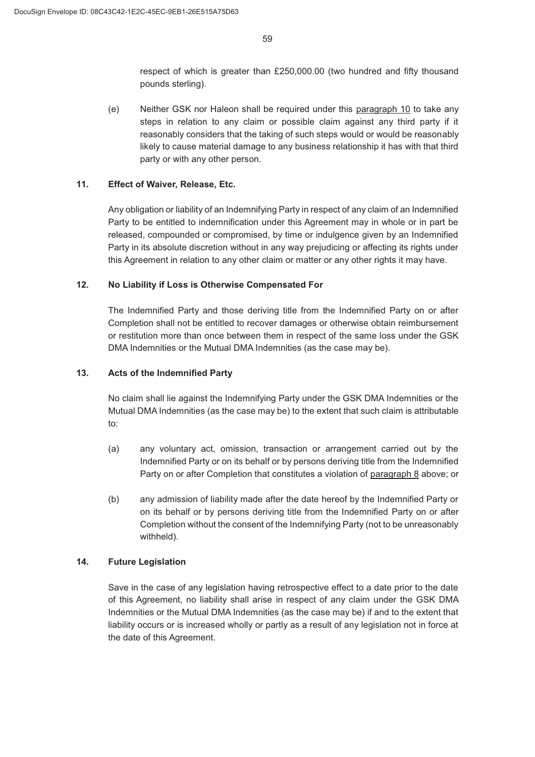respect of which is greater than £250,000.00 (two hundred and fifty thousand pounds sterling).

(e) Neither GSK nor Haleon shall be required under this paragraph  $10$  to take any steps in relation to any claim or possible claim against any third party if it reasonably considers that the taking of such steps would or would be reasonably likely to cause material damage to any business relationship it has with that third party or with any other person.

### **Effect of Waiver, Release, Etc.**

Any obligation or liability of an Indemnifying Party in respect of any claim of an Indemnified Party to be entitled to indemnification under this Agreement may in whole or in part be released, compounded or compromised, by time or indulgence given by an Indemnified Party in its absolute discretion without in any way prejudicing or affecting its rights under this Agreement in relation to any other claim or matter or any other rights it may have.

#### **No Liability if Loss is Otherwise Compensated For**

The Indemnified Party and those deriving title from the Indemnified Party on or after Completion shall not be entitled to recover damages or otherwise obtain reimbursement or restitution more than once between them in respect of the same loss under the GSK DMA Indemnities or the Mutual DMA Indemnities (as the case may be).

#### **Acts of the Indemnified Party**

No claim shall lie against the Indemnifying Party under the GSK DMA Indemnities or the Mutual DMA Indemnities (as the case may be) to the extent that such claim is attributable to:

- (a) any voluntary act, omission, transaction or arrangement carried out by the Indemnified Party or on its behalf or by persons deriving title from the Indemnified Party on or after Completion that constitutes a violation of paragraph 8 above; or
- (b) any admission of liability made after the date hereof by the Indemnified Party or on its behalf or by persons deriving title from the Indemnified Party on or after Completion without the consent of the Indemnifying Party (not to be unreasonably withheld).

### **Future Legislation**

Save in the case of any legislation having retrospective effect to a date prior to the date of this Agreement, no liability shall arise in respect of any claim under the GSK DMA Indemnities or the Mutual DMA Indemnities (as the case may be) if and to the extent that liability occurs or is increased wholly or partly as a result of any legislation not in force at the date of this Agreement.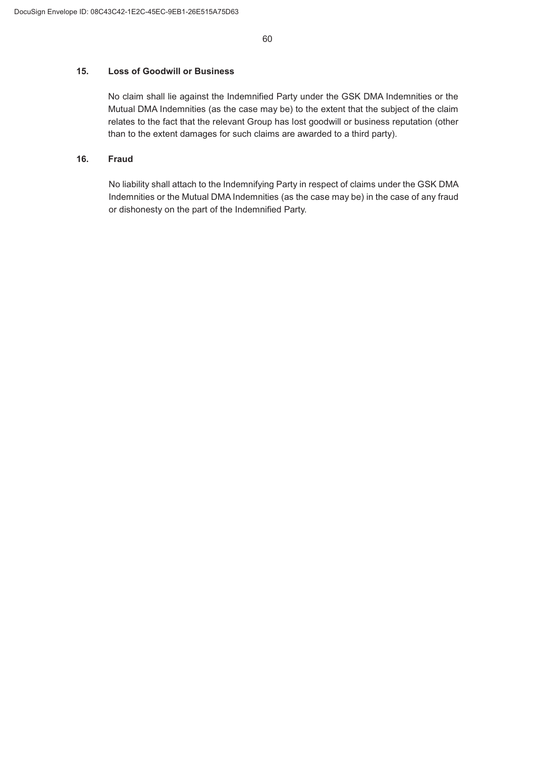### **Loss of Goodwill or Business**

No claim shall lie against the Indemnified Party under the GSK DMA Indemnities or the Mutual DMA Indemnities (as the case may be) to the extent that the subject of the claim relates to the fact that the relevant Group has lost goodwill or business reputation (other than to the extent damages for such claims are awarded to a third party).

### **Fraud**

No liability shall attach to the Indemnifying Party in respect of claims under the GSK DMA Indemnities or the Mutual DMA Indemnities (as the case may be) in the case of any fraud or dishonesty on the part of the Indemnified Party.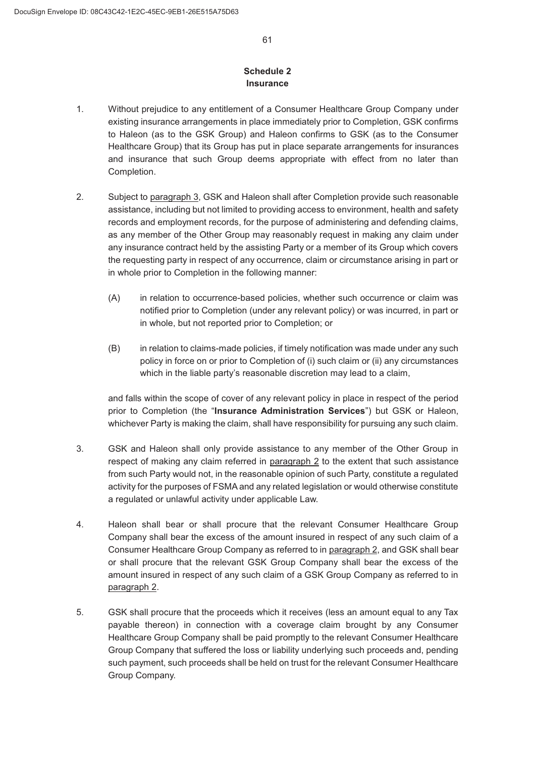### **Schedule 2 Insurance**

- Without prejudice to any entitlement of a Consumer Healthcare Group Company under existing insurance arrangements in place immediately prior to Completion, GSK confirms to Haleon (as to the GSK Group) and Haleon confirms to GSK (as to the Consumer Healthcare Group) that its Group has put in place separate arrangements for insurances and insurance that such Group deems appropriate with effect from no later than Completion.
- Subject to paragraph 3, GSK and Haleon shall after Completion provide such reasonable assistance, including but not limited to providing access to environment, health and safety records and employment records, for the purpose of administering and defending claims, as any member of the Other Group may reasonably request in making any claim under any insurance contract held by the assisting Party or a member of its Group which covers the requesting party in respect of any occurrence, claim or circumstance arising in part or in whole prior to Completion in the following manner:
	- (A) in relation to occurrence-based policies, whether such occurrence or claim was notified prior to Completion (under any relevant policy) or was incurred, in part or in whole, but not reported prior to Completion; or
	- (B) in relation to claims-made policies, if timely notification was made under any such policy in force on or prior to Completion of (i) such claim or (ii) any circumstances which in the liable party's reasonable discretion may lead to a claim.

and falls within the scope of cover of any relevant policy in place in respect of the period prior to Completion (the "**Insurance Administration Services**") but GSK or Haleon, whichever Party is making the claim, shall have responsibility for pursuing any such claim.

- GSK and Haleon shall only provide assistance to any member of the Other Group in respect of making any claim referred in paragraph 2 to the extent that such assistance from such Party would not, in the reasonable opinion of such Party, constitute a regulated activity for the purposes of FSMA and any related legislation or would otherwise constitute a regulated or unlawful activity under applicable Law.
- 4. Haleon shall bear or shall procure that the relevant Consumer Healthcare Group Company shall bear the excess of the amount insured in respect of any such claim of a Consumer Healthcare Group Company as referred to in paragraph 2, and GSK shall bear or shall procure that the relevant GSK Group Company shall bear the excess of the amount insured in respect of any such claim of a GSK Group Company as referred to in paragraph 2.
- GSK shall procure that the proceeds which it receives (less an amount equal to any Tax payable thereon) in connection with a coverage claim brought by any Consumer Healthcare Group Company shall be paid promptly to the relevant Consumer Healthcare Group Company that suffered the loss or liability underlying such proceeds and, pending such payment, such proceeds shall be held on trust for the relevant Consumer Healthcare Group Company.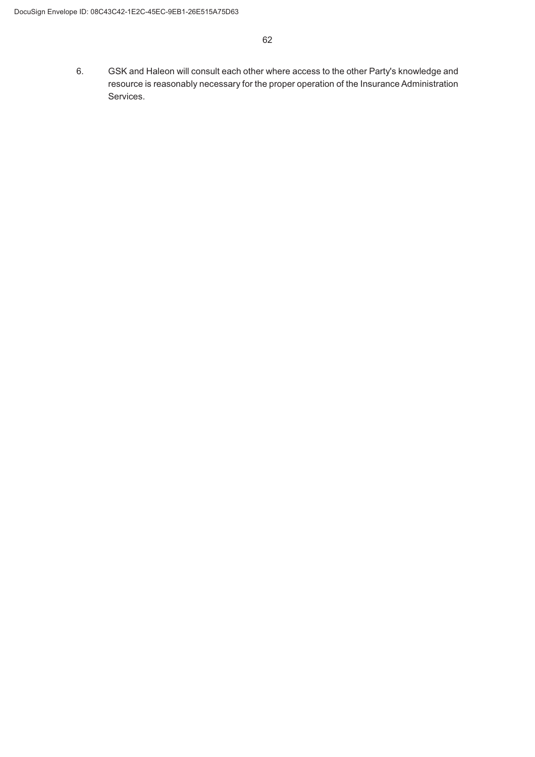GSK and Haleon will consult each other where access to the other Party's knowledge and resource is reasonably necessary for the proper operation of the Insurance Administration Services.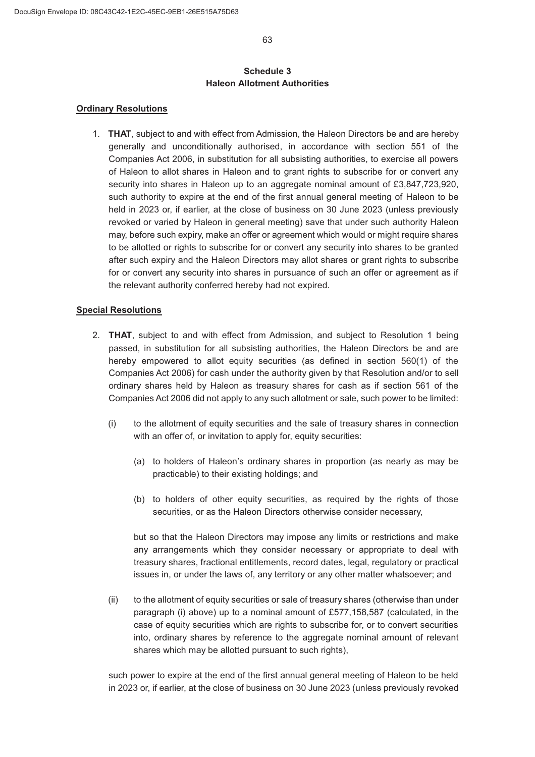### **Schedule 3 Haleon Allotment Authorities**

#### **Ordinary Resolutions**

 **THAT**, subject to and with effect from Admission, the Haleon Directors be and are hereby generally and unconditionally authorised, in accordance with section 551 of the Companies Act 2006, in substitution for all subsisting authorities, to exercise all powers of Haleon to allot shares in Haleon and to grant rights to subscribe for or convert any security into shares in Haleon up to an aggregate nominal amount of £3,847,723,920, such authority to expire at the end of the first annual general meeting of Haleon to be held in 2023 or, if earlier, at the close of business on 30 June 2023 (unless previously revoked or varied by Haleon in general meeting) save that under such authority Haleon may, before such expiry, make an offer or agreement which would or might require shares to be allotted or rights to subscribe for or convert any security into shares to be granted after such expiry and the Haleon Directors may allot shares or grant rights to subscribe for or convert any security into shares in pursuance of such an offer or agreement as if the relevant authority conferred hereby had not expired.

#### **Special Resolutions**

- **THAT**, subject to and with effect from Admission, and subject to Resolution 1 being passed, in substitution for all subsisting authorities, the Haleon Directors be and are hereby empowered to allot equity securities (as defined in section 560(1) of the Companies Act 2006) for cash under the authority given by that Resolution and/or to sell ordinary shares held by Haleon as treasury shares for cash as if section 561 of the Companies Act 2006 did not apply to any such allotment or sale, such power to be limited:
	- $(i)$  to the allotment of equity securities and the sale of treasury shares in connection with an offer of, or invitation to apply for, equity securities:
		- (a) to holders of Haleon's ordinary shares in proportion (as nearly as may be practicable) to their existing holdings; and
		- (b) to holders of other equity securities, as required by the rights of those securities, or as the Haleon Directors otherwise consider necessary,

but so that the Haleon Directors may impose any limits or restrictions and make any arrangements which they consider necessary or appropriate to deal with treasury shares, fractional entitlements, record dates, legal, regulatory or practical issues in, or under the laws of, any territory or any other matter whatsoever; and

 $(i)$  to the allotment of equity securities or sale of treasury shares (otherwise than under paragraph (i) above) up to a nominal amount of £577,158,587 (calculated, in the case of equity securities which are rights to subscribe for, or to convert securities into, ordinary shares by reference to the aggregate nominal amount of relevant shares which may be allotted pursuant to such rights),

such power to expire at the end of the first annual general meeting of Haleon to be held in 2023 or, if earlier, at the close of business on 30 June 2023 (unless previously revoked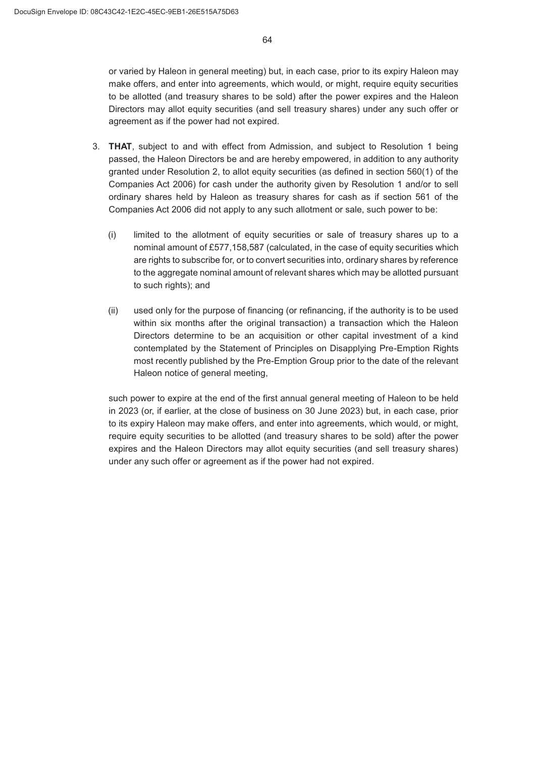or varied by Haleon in general meeting) but, in each case, prior to its expiry Haleon may make offers, and enter into agreements, which would, or might, require equity securities to be allotted (and treasury shares to be sold) after the power expires and the Haleon Directors may allot equity securities (and sell treasury shares) under any such offer or agreement as if the power had not expired.

- **THAT**, subject to and with effect from Admission, and subject to Resolution 1 being passed, the Haleon Directors be and are hereby empowered, in addition to any authority granted under Resolution 2, to allot equity securities (as defined in section 560(1) of the Companies Act 2006) for cash under the authority given by Resolution 1 and/or to sell ordinary shares held by Haleon as treasury shares for cash as if section 561 of the Companies Act 2006 did not apply to any such allotment or sale, such power to be:
	- $(i)$  limited to the allotment of equity securities or sale of treasury shares up to a nominal amount of £577,158,587 (calculated, in the case of equity securities which are rights to subscribe for, or to convert securities into, ordinary shares by reference to the aggregate nominal amount of relevant shares which may be allotted pursuant to such rights); and
	- $(i)$  used only for the purpose of financing (or refinancing, if the authority is to be used within six months after the original transaction) a transaction which the Haleon Directors determine to be an acquisition or other capital investment of a kind contemplated by the Statement of Principles on Disapplying Pre-Emption Rights most recently published by the Pre-Emption Group prior to the date of the relevant Haleon notice of general meeting,

such power to expire at the end of the first annual general meeting of Haleon to be held in 2023 (or, if earlier, at the close of business on 30 June 2023) but, in each case, prior to its expiry Haleon may make offers, and enter into agreements, which would, or might, require equity securities to be allotted (and treasury shares to be sold) after the power expires and the Haleon Directors may allot equity securities (and sell treasury shares) under any such offer or agreement as if the power had not expired.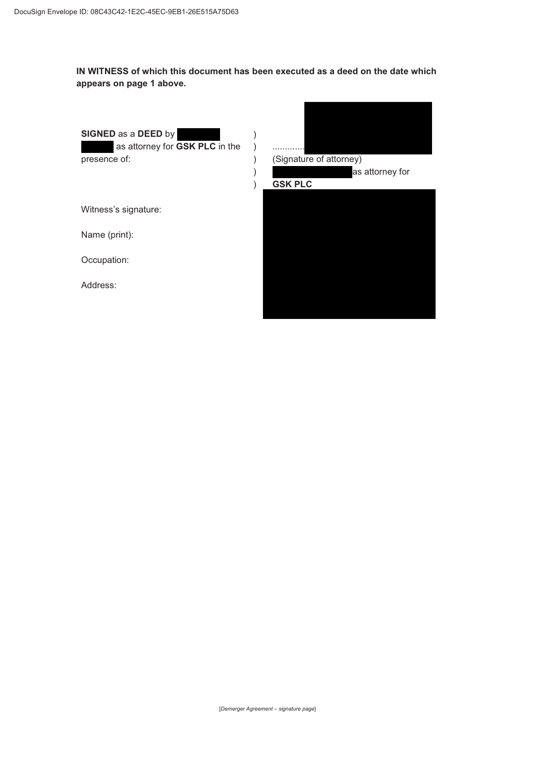**IN WITNESS of which this document has been executed as a deed on the date which appears on page 1 above.**